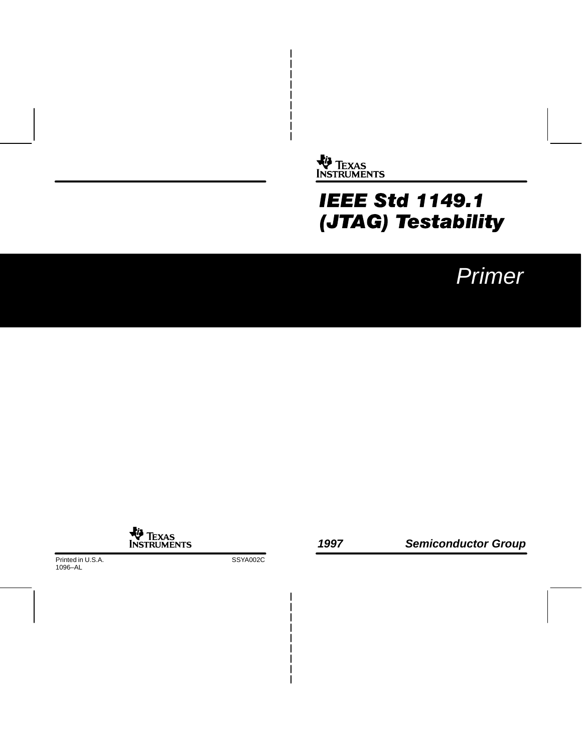

# **IEEE Std 1149.1** (JTAG) Testability



**1997 Semiconductor Group**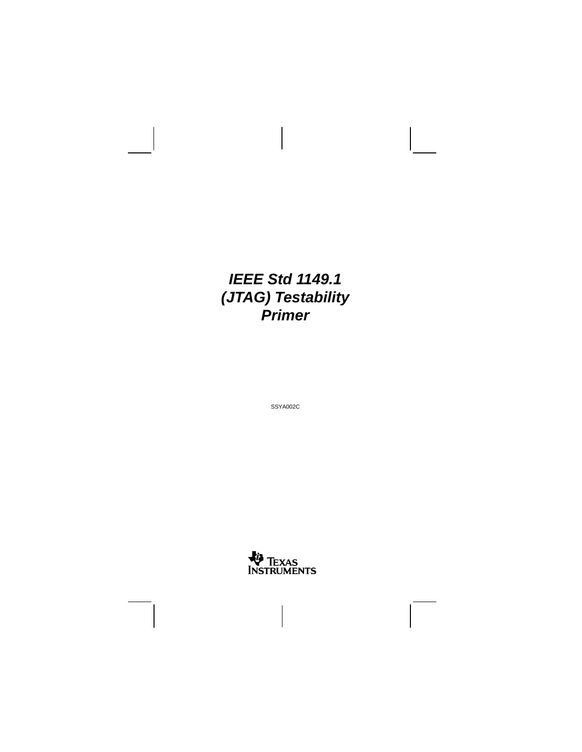## **IEEE Std 1149.1 (JTAG) Testability Primer**

SSYA002C

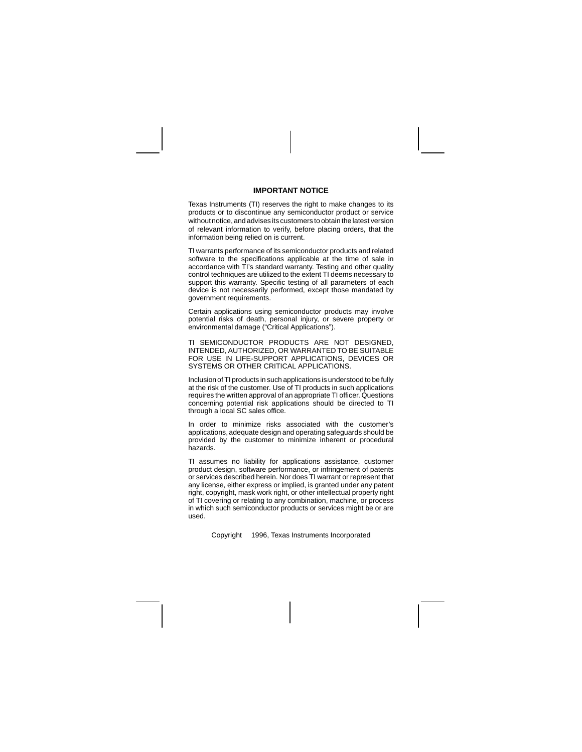#### **IMPORTANT NOTICE**

Texas Instruments (TI) reserves the right to make changes to its products or to discontinue any semiconductor product or service without notice, and advises its customers to obtain the latest version of relevant information to verify, before placing orders, that the information being relied on is current.

TI warrants performance of its semiconductor products and related software to the specifications applicable at the time of sale in accordance with TI's standard warranty. Testing and other quality control techniques are utilized to the extent TI deems necessary to support this warranty. Specific testing of all parameters of each device is not necessarily performed, except those mandated by government requirements.

Certain applications using semiconductor products may involve potential risks of death, personal injury, or severe property or environmental damage ("Critical Applications").

TI SEMICONDUCTOR PRODUCTS ARE NOT DESIGNED, INTENDED, AUTHORIZED, OR WARRANTED TO BE SUITABLE FOR USE IN LIFE-SUPPORT APPLICATIONS, DEVICES OR SYSTEMS OR OTHER CRITICAL APPLICATIONS.

Inclusion of TI products in such applications is understood to be fully at the risk of the customer. Use of TI products in such applications requires the written approval of an appropriate TI officer. Questions concerning potential risk applications should be directed to TI through a local SC sales office.

In order to minimize risks associated with the customer's applications, adequate design and operating safeguards should be provided by the customer to minimize inherent or procedural hazards.

TI assumes no liability for applications assistance, customer product design, software performance, or infringement of patents or services described herein. Nor does TI warrant or represent that any license, either express or implied, is granted under any patent right, copyright, mask work right, or other intellectual property right of TI covering or relating to any combination, machine, or process in which such semiconductor products or services might be or are used.

Copyright © 1996, Texas Instruments Incorporated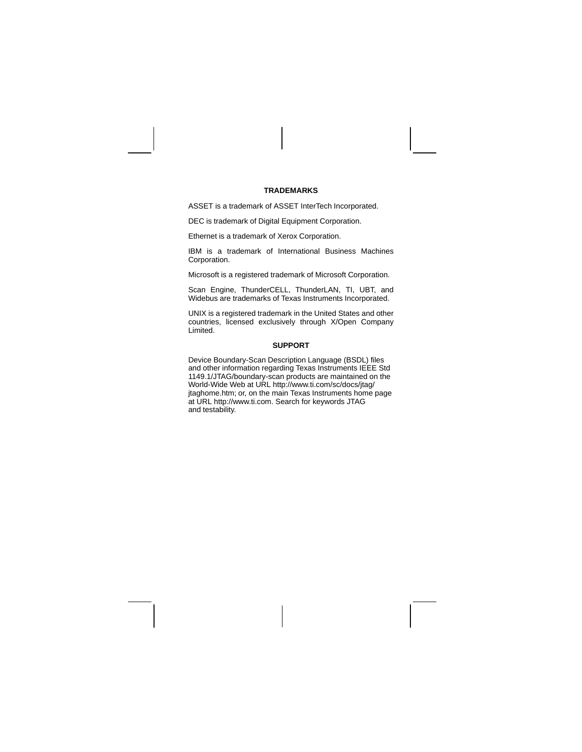#### **TRADEMARKS**

ASSET is a trademark of ASSET InterTech Incorporated.

DEC is trademark of Digital Equipment Corporation.

Ethernet is a trademark of Xerox Corporation.

IBM is a trademark of International Business Machines Corporation.

Microsoft is a registered trademark of Microsoft Corporation.

Scan Engine, ThunderCELL, ThunderLAN, TI, UBT, and Widebus are trademarks of Texas Instruments Incorporated.

UNIX is a registered trademark in the United States and other countries, licensed exclusively through X/Open Company Limited.

#### **SUPPORT**

Device Boundary-Scan Description Language (BSDL) files and other information regarding Texas Instruments IEEE Std 1149.1/JTAG/boundary-scan products are maintained on the World-Wide Web at URL http://www.ti.com/sc/docs/jtag/ jtaghome.htm; or, on the main Texas Instruments home page at URL http://www.ti.com. Search for keywords JTAG and testability.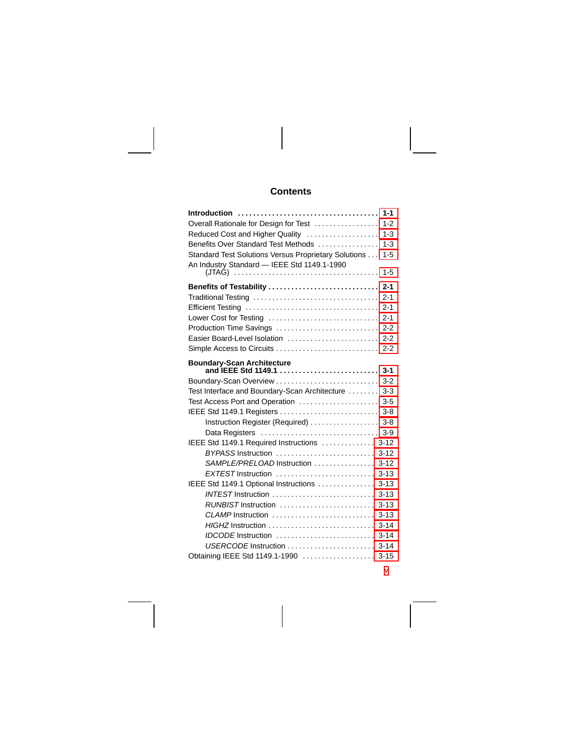## **Contents**

<span id="page-4-0"></span>

|                                                                     | $1 - 1$  |
|---------------------------------------------------------------------|----------|
| Overall Rationale for Design for Test                               | $1 - 2$  |
| Reduced Cost and Higher Quality                                     | $1 - 3$  |
| Benefits Over Standard Test Methods                                 | $1 - 3$  |
| Standard Test Solutions Versus Proprietary Solutions                | $1 - 5$  |
| An Industry Standard - IEEE Std 1149.1-1990                         | $1 - 5$  |
| Benefits of Testability  2-1                                        |          |
|                                                                     |          |
|                                                                     |          |
|                                                                     |          |
| Production Time Savings  2-2                                        |          |
| Easier Board-Level Isolation  2-2                                   |          |
|                                                                     |          |
| <b>Boundary-Scan Architecture</b><br>and IEEE Std 1149.1            | $3 - 1$  |
|                                                                     | $3 - 2$  |
| Test Interface and Boundary-Scan Architecture                       | $3 - 3$  |
| Test Access Port and Operation  3-5                                 |          |
|                                                                     |          |
| Instruction Register (Required)  3-8                                |          |
| Data Registers                                                      | $3-9$    |
| IEEE Std 1149.1 Required Instructions  3-12                         |          |
| BYPASS Instruction  3-12                                            |          |
| SAMPLE/PRELOAD Instruction  3-12                                    |          |
| EXTEST Instruction                                                  | $3 - 13$ |
| IEEE Std 1149.1 Optional Instructions                               | $3 - 13$ |
| $INTEST$ Instruction $\ldots \ldots \ldots \ldots \ldots \ldots$    | $3 - 13$ |
| RUNBIST Instruction                                                 | $3 - 13$ |
| CLAMP Instruction                                                   | $3 - 13$ |
| HIGHZ Instruction                                                   | $3 - 14$ |
| <i>IDCODE</i> Instruction                                           | $3 - 14$ |
| USERCODE Instruction $\ldots, \ldots, \ldots, \ldots, \ldots, 3-14$ |          |
| Obtaining IEEE Std 1149.1-1990                                      | $3 - 15$ |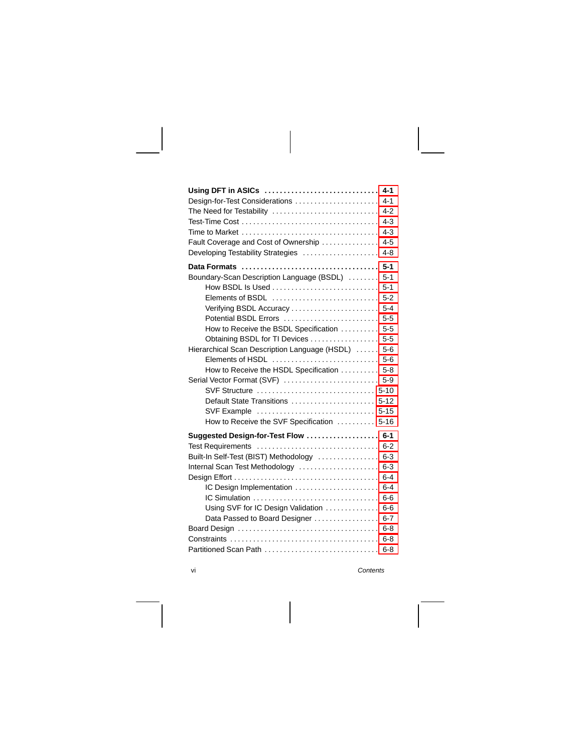| Using DFT in ASICs  4-1                            |         |
|----------------------------------------------------|---------|
| Design-for-Test Considerations  4-1                |         |
| The Need for Testability                           | $4 - 2$ |
|                                                    | $4 - 3$ |
|                                                    | $4 - 3$ |
| Fault Coverage and Cost of Ownership               | $4 - 5$ |
| Developing Testability Strategies                  | $4 - 8$ |
|                                                    |         |
| Boundary-Scan Description Language (BSDL)          | $5 - 1$ |
| How BSDL Is Used                                   | $5 - 1$ |
| Elements of BSDL                                   | $5 - 2$ |
| Verifying BSDL Accuracy                            | $5 - 4$ |
| Potential BSDL Errors                              | $5-5$   |
| How to Receive the BSDL Specification  5-5         |         |
| Obtaining BSDL for TI Devices                      | $5 - 5$ |
| Hierarchical Scan Description Language (HSDL)  5-6 |         |
| Elements of HSDL                                   | $5-6$   |
| How to Receive the HSDL Specification  5-8         |         |
|                                                    |         |
| SVF Structure  5-10                                |         |
| Default State Transitions  5-12                    |         |
| SVF Example  5-15                                  |         |
| How to Receive the SVF Specification  5-16         |         |
| Suggested Design-for-Test Flow                     | $6-1$   |
| Test Requirements                                  | $6 - 2$ |
| Built-In Self-Test (BIST) Methodology              | $6 - 3$ |
| Internal Scan Test Methodology                     | $6 - 3$ |
|                                                    | $6 - 4$ |
| IC Design Implementation                           | $6 - 4$ |
| IC Simulation                                      | $6-6$   |
| Using SVF for IC Design Validation                 | $6-6$   |
| Data Passed to Board Designer                      | $6 - 7$ |
|                                                    | $6 - 8$ |
|                                                    |         |
| Partitioned Scan Path                              | $6 - 8$ |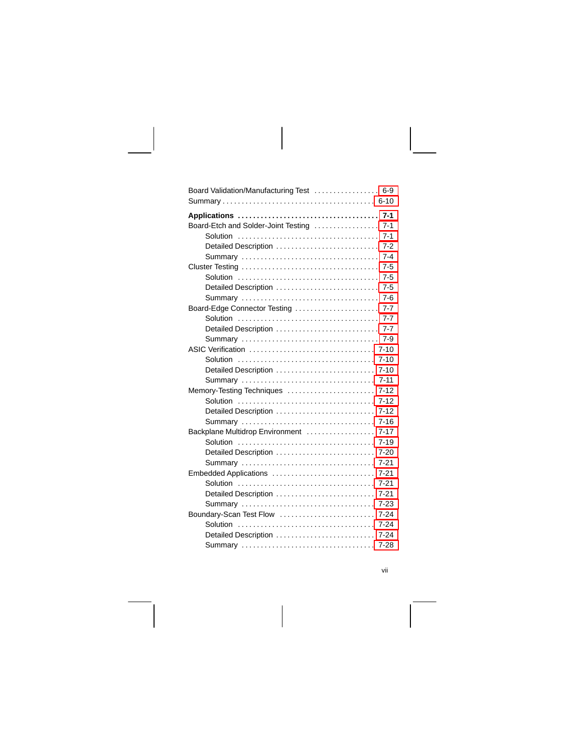| Board Validation/Manufacturing Test  6-9                                              |
|---------------------------------------------------------------------------------------|
|                                                                                       |
| $7-1$                                                                                 |
| Board-Etch and Solder-Joint Testing<br>$7 - 1$                                        |
| $7 - 1$                                                                               |
| Detailed Description<br>$7 - 2$                                                       |
| $7 - 4$                                                                               |
| $7 - 5$                                                                               |
| $7 - 5$                                                                               |
| $7 - 5$<br>Detailed Description                                                       |
| $7 - 6$                                                                               |
| Board-Edge Connector Testing<br>$7 - 7$                                               |
| $7 - 7$                                                                               |
| $7 - 7$<br>Detailed Description                                                       |
| $7 - 9$                                                                               |
| ASIC Verification<br>$7 - 10$                                                         |
| $7 - 10$                                                                              |
| Detailed Description<br>$7 - 10$                                                      |
| $7 - 11$<br>Summary                                                                   |
| Memory-Testing Techniques<br>$7 - 12$                                                 |
| $7 - 12$                                                                              |
| $7 - 12$<br>Detailed Description                                                      |
| $7 - 16$<br>Summary                                                                   |
| Backplane Multidrop Environment<br>$7 - 17$                                           |
| $7 - 19$                                                                              |
| $7 - 20$<br>Detailed Description                                                      |
| $7 - 21$<br>Summary                                                                   |
| Embedded Applications<br>$7 - 21$                                                     |
| $7 - 21$                                                                              |
| Detailed Description<br>$7 - 21$                                                      |
| $7 - 23$<br>Summary                                                                   |
| Boundary-Scan Test Flow<br>$7 - 24$                                                   |
| Solution $\ldots \ldots \ldots \ldots \ldots \ldots \ldots \ldots \ldots$<br>$7 - 24$ |
| Detailed Description<br>$7 - 24$                                                      |
| $7 - 28$<br>Summary                                                                   |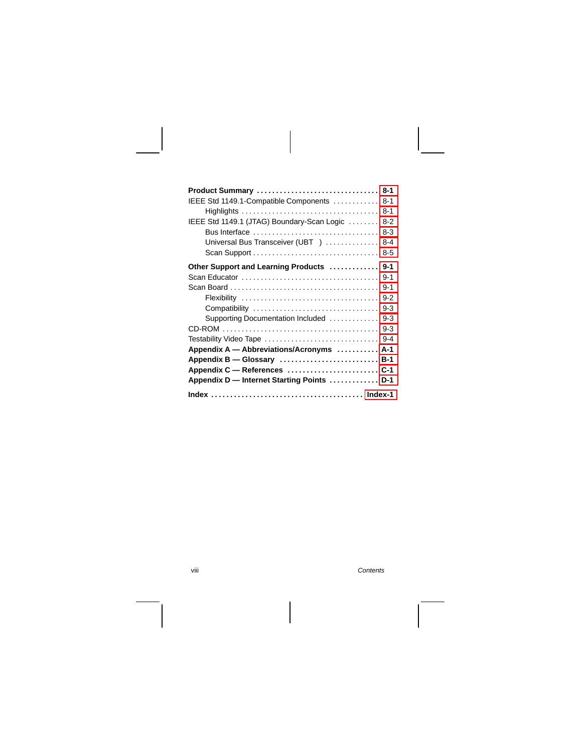| Product Summary  8-1                                                                 |         |
|--------------------------------------------------------------------------------------|---------|
| IEEE Std 1149.1-Compatible Components                                                | $8 - 1$ |
|                                                                                      | $8 - 1$ |
| IEEE Std 1149.1 (JTAG) Boundary-Scan Logic                                           | $8 - 2$ |
| Bus Interface                                                                        | 8-3     |
| Universal Bus Transceiver (UBT™)                                                     | 8-4     |
| Scan Support $\ldots \ldots \ldots \ldots \ldots \ldots \ldots \ldots \ldots \ldots$ | $8 - 5$ |
| Other Support and Learning Products  9-1                                             |         |
|                                                                                      | $9 - 1$ |
|                                                                                      | $9 - 1$ |
|                                                                                      | $9 - 2$ |
| Compatibility                                                                        | $9 - 3$ |
| Supporting Documentation Included                                                    | $9 - 3$ |
|                                                                                      | $9 - 3$ |
| Testability Video Tape                                                               | $9 - 4$ |
| Appendix A - Abbreviations/Acronyms  A-1                                             |         |
| Appendix B - Glossary  B-1                                                           |         |
| Appendix C - References  C-1                                                         |         |
| Appendix D - Internet Starting Points  D-1                                           |         |
|                                                                                      |         |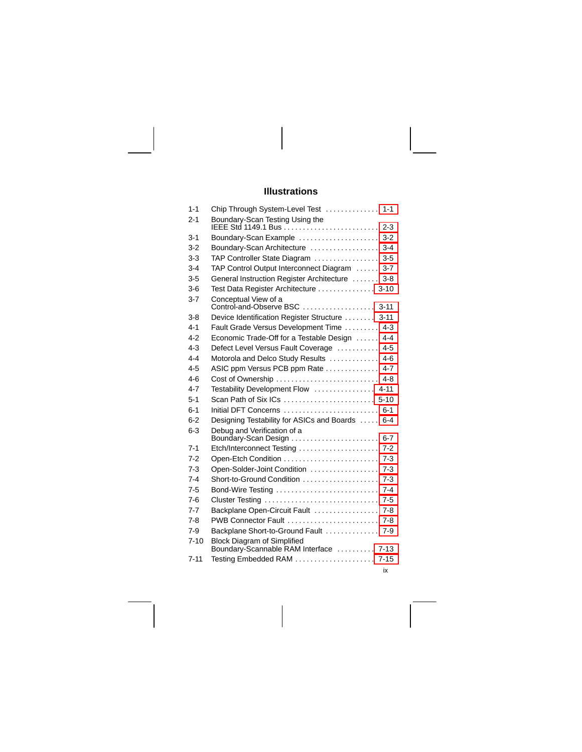## **Illustrations**

| $1 - 1$  | Chip Through System-Level Test<br>$1 - 1$                                        |
|----------|----------------------------------------------------------------------------------|
| $2 - 1$  | Boundary-Scan Testing Using the<br>IEEE Std 1149.1 Bus<br>$2 - 3$                |
| $3 - 1$  | Boundary-Scan Example<br>$3 - 2$                                                 |
| $3-2$    | Boundary-Scan Architecture<br>$3 - 4$                                            |
| $3-3$    | TAP Controller State Diagram<br>$3-5$                                            |
| $3-4$    | TAP Control Output Interconnect Diagram<br>$3 - 7$                               |
| 3-5      | General Instruction Register Architecture<br>$3-8$                               |
| 3-6      | Test Data Register Architecture  3-10                                            |
| $3 - 7$  | Conceptual View of a<br>Control-and-Observe BSC<br>$3 - 11$                      |
| $3 - 8$  | Device Identification Register Structure<br>$3 - 11$                             |
| $4 - 1$  | Fault Grade Versus Development Time<br>$4 - 3$                                   |
| 4-2      | Economic Trade-Off for a Testable Design<br>$4 - 4$                              |
| 4-3      | Defect Level Versus Fault Coverage<br>$4 - 5$                                    |
| $4-4$    | Motorola and Delco Study Results<br>4-6                                          |
| $4 - 5$  | ASIC ppm Versus PCB ppm Rate<br>$4 - 7$                                          |
| 4-6      | Cost of Ownership<br>$4 - 8$                                                     |
| $4 - 7$  | Testability Development Flow<br>$4 - 11$                                         |
| $5-1$    | Scan Path of Six ICs<br>$5 - 10$                                                 |
| $6 - 1$  | Initial DFT Concerns $\ldots, \ldots, \ldots, \ldots, \ldots, \ldots$<br>$6 - 1$ |
| $6 - 2$  | Designing Testability for ASICs and Boards<br>$6 - 4$                            |
| $6 - 3$  | Debug and Verification of a<br>$6 - 7$                                           |
| $7 - 1$  | Etch/Interconnect Testing<br>$7 - 2$                                             |
| $7 - 2$  | Open-Etch Condition<br>$7 - 3$                                                   |
| $7-3$    | Open-Solder-Joint Condition<br>$7-3$                                             |
| 7-4      | $7-3$<br>Short-to-Ground Condition                                               |
| 7-5      | $7 - 4$<br>Bond-Wire Testing                                                     |
| 7-6      | $7 - 5$<br>Cluster Testing                                                       |
| $7 - 7$  | Backplane Open-Circuit Fault<br>$7 - 8$                                          |
| 7-8      | PWB Connector Fault<br>$7-8$                                                     |
| 7-9      | Backplane Short-to-Ground Fault<br>$7-9$                                         |
| $7 - 10$ | <b>Block Diagram of Simplified</b><br>Boundary-Scannable RAM Interface  7-13     |
| $7 - 11$ | Testing Embedded RAM  7-15                                                       |
|          |                                                                                  |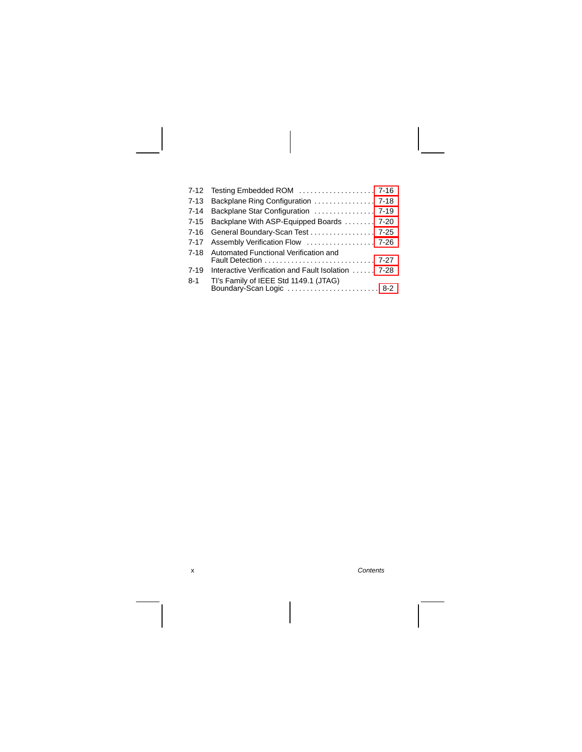| 7-18 Automated Functional Verification and |                                                                                                                                                                                                                                                                                                                                          |
|--------------------------------------------|------------------------------------------------------------------------------------------------------------------------------------------------------------------------------------------------------------------------------------------------------------------------------------------------------------------------------------------|
|                                            |                                                                                                                                                                                                                                                                                                                                          |
|                                            |                                                                                                                                                                                                                                                                                                                                          |
|                                            |                                                                                                                                                                                                                                                                                                                                          |
|                                            | 7-12 Testing Embedded ROM  7-16<br>7-13 Backplane Ring Configuration  7-18<br>7-15 Backplane With ASP-Equipped Boards  7-20<br>7-16 General Boundary-Scan Test  7-25<br>7-17 Assembly Verification Flow  7-26<br>Interactive Verification and Fault Isolation  7-28<br>Tl's Family of IEEE Std 1149.1 (JTAG)<br>Boundary-Scan Logic  8-2 |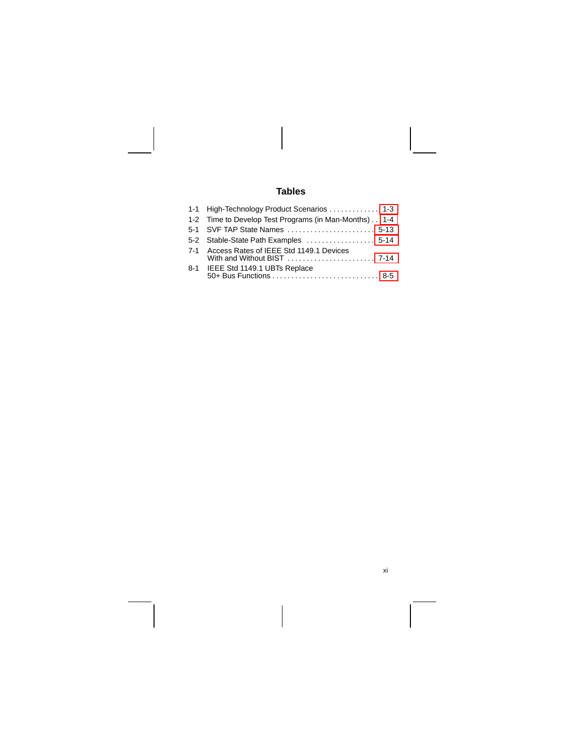## **Tables**

| 1-1 High-Technology Product Scenarios  1-3            |
|-------------------------------------------------------|
| 1-2 Time to Develop Test Programs (in Man-Months) 1-4 |
| 5-1 SVF TAP State Names  5-13                         |
| 5-2 Stable-State Path Examples  5-14                  |
| 7-1 Access Rates of IEEE Std 1149.1 Devices           |
| 8-1 IEEE Std 1149.1 UBTs Replace                      |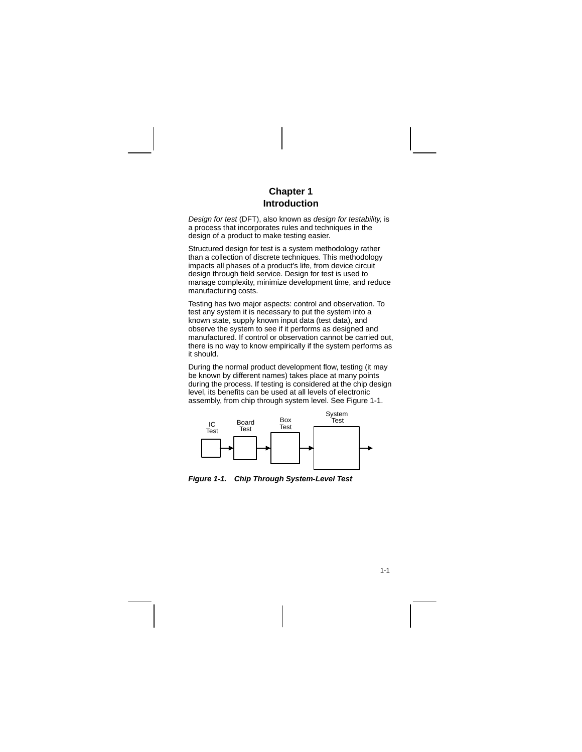## **Chapter 1 Introduction**

<span id="page-11-0"></span>Design for test (DFT), also known as design for testability, is a process that incorporates rules and techniques in the design of a product to make testing easier.

Structured design for test is a system methodology rather than a collection of discrete techniques. This methodology impacts all phases of a product's life, from device circuit design through field service. Design for test is used to manage complexity, minimize development time, and reduce manufacturing costs.

Testing has two major aspects: control and observation. To test any system it is necessary to put the system into a known state, supply known input data (test data), and observe the system to see if it performs as designed and manufactured. If control or observation cannot be carried out, there is no way to know empirically if the system performs as it should.

During the normal product development flow, testing (it may be known by different names) takes place at many points during the process. If testing is considered at the chip design level, its benefits can be used at all levels of electronic assembly, from chip through system level. See Figure 1-1.



**Figure 1-1. Chip Through System-Level Test**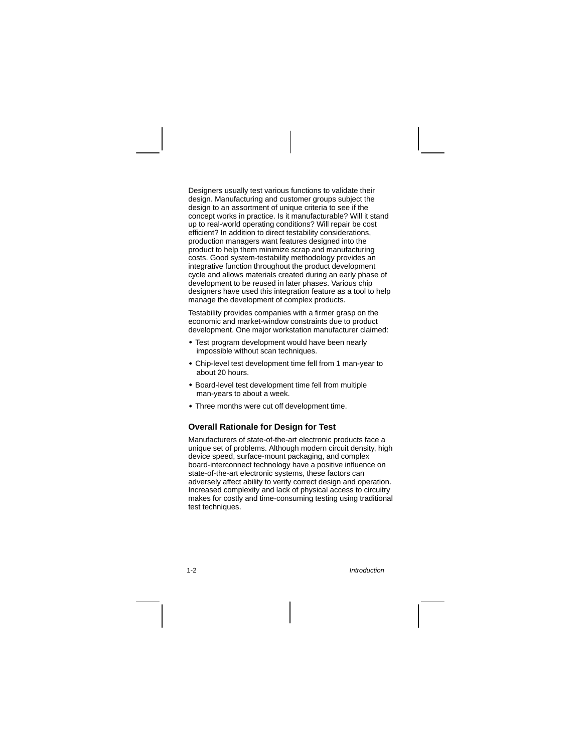<span id="page-12-0"></span>Designers usually test various functions to validate their design. Manufacturing and customer groups subject the design to an assortment of unique criteria to see if the concept works in practice. Is it manufacturable? Will it stand up to real-world operating conditions? Will repair be cost efficient? In addition to direct testability considerations, production managers want features designed into the product to help them minimize scrap and manufacturing costs. Good system-testability methodology provides an integrative function throughout the product development cycle and allows materials created during an early phase of development to be reused in later phases. Various chip designers have used this integration feature as a tool to help manage the development of complex products.

Testability provides companies with a firmer grasp on the economic and market-window constraints due to product development. One major workstation manufacturer claimed:

- Test program development would have been nearly impossible without scan techniques.
- Chip-level test development time fell from 1 man-year to about 20 hours.
- Board-level test development time fell from multiple man-years to about a week.
- Three months were cut off development time.

## **Overall Rationale for Design for Test**

Manufacturers of state-of-the-art electronic products face a unique set of problems. Although modern circuit density, high device speed, surface-mount packaging, and complex board-interconnect technology have a positive influence on state-of-the-art electronic systems, these factors can adversely affect ability to verify correct design and operation. Increased complexity and lack of physical access to circuitry makes for costly and time-consuming testing using traditional test techniques.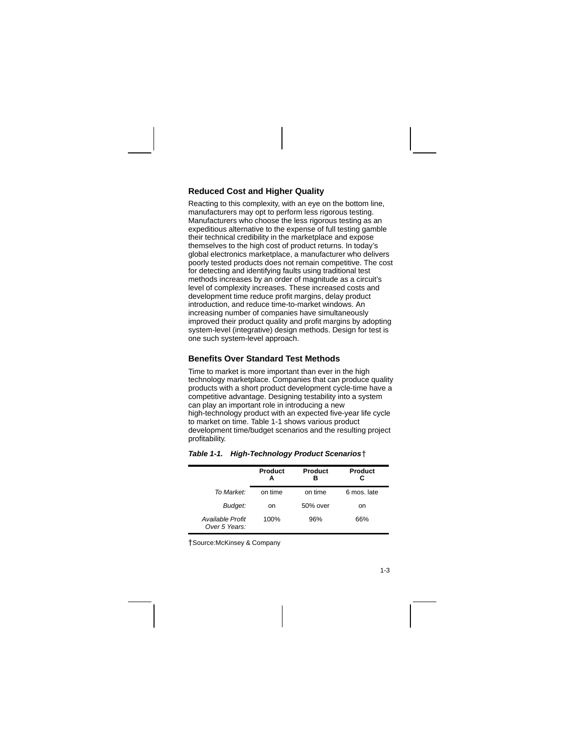## <span id="page-13-0"></span>**Reduced Cost and Higher Quality**

Reacting to this complexity, with an eye on the bottom line, manufacturers may opt to perform less rigorous testing. Manufacturers who choose the less rigorous testing as an expeditious alternative to the expense of full testing gamble their technical credibility in the marketplace and expose themselves to the high cost of product returns. In today's global electronics marketplace, a manufacturer who delivers poorly tested products does not remain competitive. The cost for detecting and identifying faults using traditional test methods increases by an order of magnitude as a circuit's level of complexity increases. These increased costs and development time reduce profit margins, delay product introduction, and reduce time-to-market windows. An increasing number of companies have simultaneously improved their product quality and profit margins by adopting system-level (integrative) design methods. Design for test is one such system-level approach.

## **Benefits Over Standard Test Methods**

Time to market is more important than ever in the high technology marketplace. Companies that can produce quality products with a short product development cycle-time have a competitive advantage. Designing testability into a system can play an important role in introducing a new high-technology product with an expected five-year life cycle to market on time. Table 1-1 shows various product development time/budget scenarios and the resulting project profitability.

|                                   | Product<br>А | Product<br>в | Product<br>C  |
|-----------------------------------|--------------|--------------|---------------|
| To Market:                        | on time      | on time      | 6 mos. late   |
| Budget:                           | on           | 50% over     | <sub>on</sub> |
| Available Profit<br>Over 5 Years: | 100%         | 96%          | 66%           |

| Table 1-1. High-Technology Product Scenarios + |
|------------------------------------------------|
|                                                |

Source:McKinsey & Company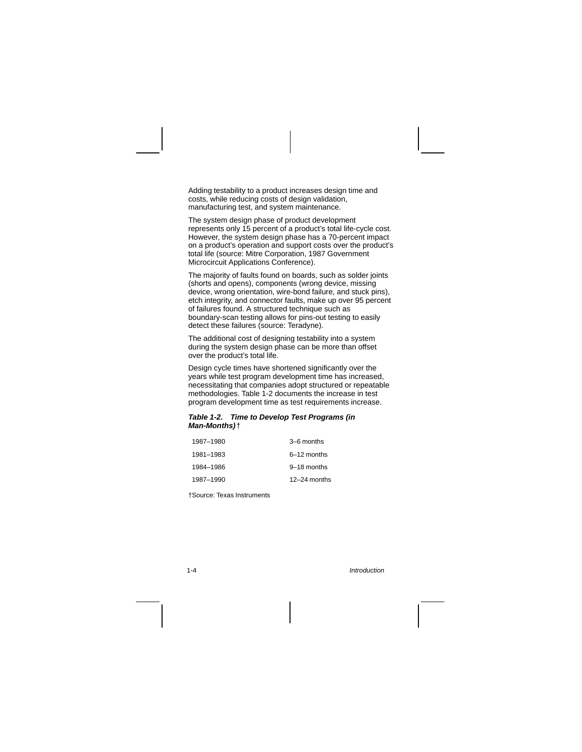<span id="page-14-0"></span>Adding testability to a product increases design time and costs, while reducing costs of design validation, manufacturing test, and system maintenance.

The system design phase of product development represents only 15 percent of a product's total life-cycle cost. However, the system design phase has a 70-percent impact on a product's operation and support costs over the product's total life (source: Mitre Corporation, 1987 Government Microcircuit Applications Conference).

The majority of faults found on boards, such as solder joints (shorts and opens), components (wrong device, missing device, wrong orientation, wire-bond failure, and stuck pins), etch integrity, and connector faults, make up over 95 percent of failures found. A structured technique such as boundary-scan testing allows for pins-out testing to easily detect these failures (source: Teradyne).

The additional cost of designing testability into a system during the system design phase can be more than offset over the product's total life.

Design cycle times have shortened significantly over the years while test program development time has increased, necessitating that companies adopt structured or repeatable methodologies. Table 1-2 documents the increase in test program development time as test requirements increase.

#### **Table 1-2. Time to Develop Test Programs (in Man-Months)**†

| 1987-1980 | 3–6 months       |
|-----------|------------------|
| 1981-1983 | 6-12 months      |
| 1984-1986 | 9-18 months      |
| 1987-1990 | $12 - 24$ months |

†Source: Texas Instruments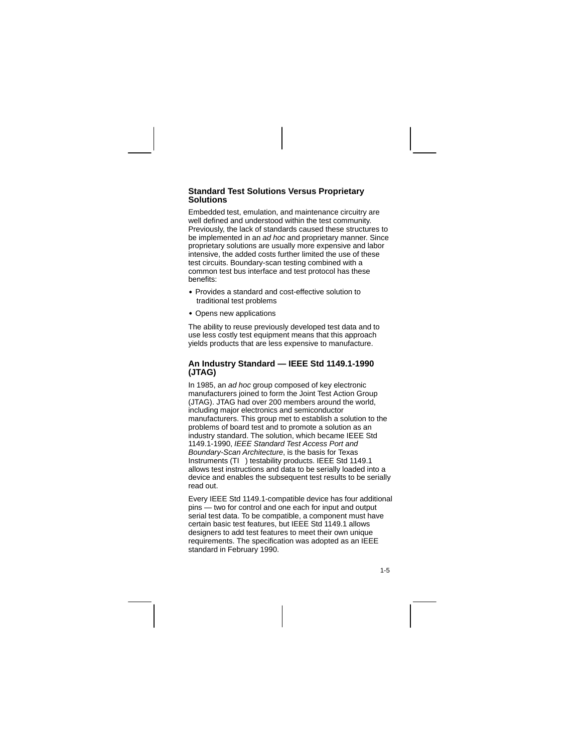#### <span id="page-15-0"></span>**Standard Test Solutions Versus Proprietary Solutions**

Embedded test, emulation, and maintenance circuitry are well defined and understood within the test community. Previously, the lack of standards caused these structures to be implemented in an ad hoc and proprietary manner. Since proprietary solutions are usually more expensive and labor intensive, the added costs further limited the use of these test circuits. Boundary-scan testing combined with a common test bus interface and test protocol has these benefits:

- Provides a standard and cost-effective solution to traditional test problems
- Opens new applications

The ability to reuse previously developed test data and to use less costly test equipment means that this approach yields products that are less expensive to manufacture.

#### **An Industry Standard — IEEE Std 1149.1-1990 (JTAG)**

In 1985, an ad hoc group composed of key electronic manufacturers joined to form the Joint Test Action Group (JTAG). JTAG had over 200 members around the world, including major electronics and semiconductor manufacturers. This group met to establish a solution to the problems of board test and to promote a solution as an industry standard. The solution, which became IEEE Std 1149.1-1990, IEEE Standard Test Access Port and Boundary-Scan Architecture, is the basis for Texas Instruments (TI™) testability products. IEEE Std 1149.1 allows test instructions and data to be serially loaded into a device and enables the subsequent test results to be serially read out.

Every IEEE Std 1149.1-compatible device has four additional pins — two for control and one each for input and output serial test data. To be compatible, a component must have certain basic test features, but IEEE Std 1149.1 allows designers to add test features to meet their own unique requirements. The specification was adopted as an IEEE standard in February 1990.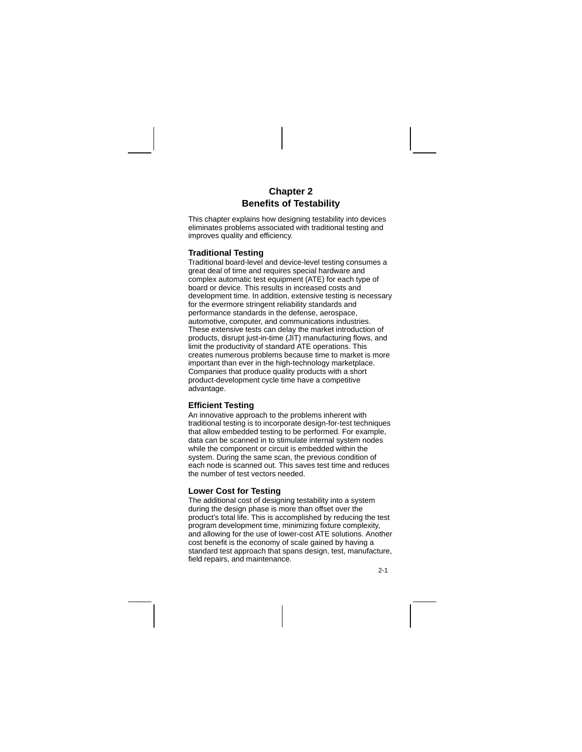## **Chapter 2 Benefits of Testability**

<span id="page-16-0"></span>This chapter explains how designing testability into devices eliminates problems associated with traditional testing and improves quality and efficiency.

## **Traditional Testing**

Traditional board-level and device-level testing consumes a great deal of time and requires special hardware and complex automatic test equipment (ATE) for each type of board or device. This results in increased costs and development time. In addition, extensive testing is necessary for the evermore stringent reliability standards and performance standards in the defense, aerospace, automotive, computer, and communications industries. These extensive tests can delay the market introduction of products, disrupt just-in-time (JIT) manufacturing flows, and limit the productivity of standard ATE operations. This creates numerous problems because time to market is more important than ever in the high-technology marketplace. Companies that produce quality products with a short product-development cycle time have a competitive advantage.

## **Efficient Testing**

An innovative approach to the problems inherent with traditional testing is to incorporate design-for-test techniques that allow embedded testing to be performed. For example, data can be scanned in to stimulate internal system nodes while the component or circuit is embedded within the system. During the same scan, the previous condition of each node is scanned out. This saves test time and reduces the number of test vectors needed.

## **Lower Cost for Testing**

The additional cost of designing testability into a system during the design phase is more than offset over the product's total life. This is accomplished by reducing the test program development time, minimizing fixture complexity, and allowing for the use of lower-cost ATE solutions. Another cost benefit is the economy of scale gained by having a standard test approach that spans design, test, manufacture, field repairs, and maintenance.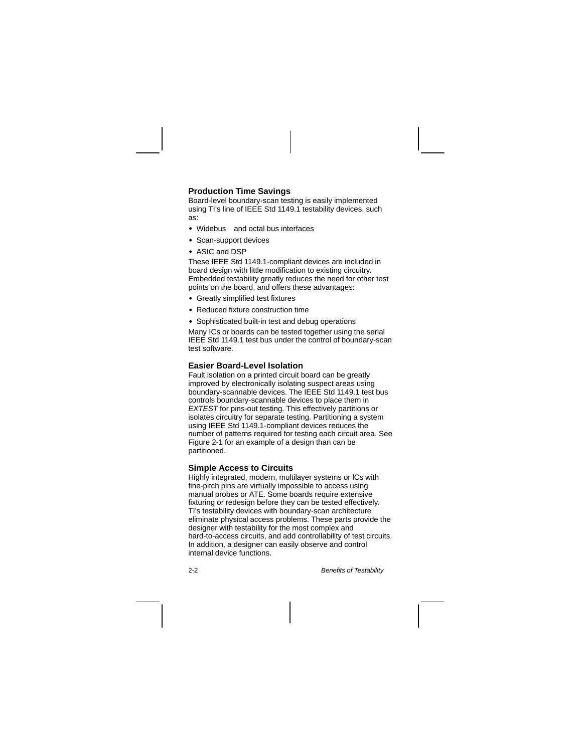## <span id="page-17-0"></span>**Production Time Savings**

Board-level boundary-scan testing is easily implemented using TI's line of IEEE Std 1149.1 testability devices, such as:

- $\bullet$  Widebus<sup> $m$ </sup> and octal bus interfaces
- Scan-support devices
- ASIC and DSP

These IEEE Std 1149.1-compliant devices are included in board design with little modification to existing circuitry. Embedded testability greatly reduces the need for other test points on the board, and offers these advantages:

- Greatly simplified test fixtures
- Reduced fixture construction time
- Sophisticated built-in test and debug operations

Many ICs or boards can be tested together using the serial IEEE Std 1149.1 test bus under the control of boundary-scan test software.

#### **Easier Board-Level Isolation**

Fault isolation on a printed circuit board can be greatly improved by electronically isolating suspect areas using boundary-scannable devices. The IEEE Std 1149.1 test bus controls boundary-scannable devices to place them in EXTEST for pins-out testing. This effectively partitions or isolates circuitry for separate testing. Partitioning a system using IEEE Std 1149.1-compliant devices reduces the number of patterns required for testing each circuit area. See Figure 2-1 for an example of a design than can be partitioned.

#### **Simple Access to Circuits**

Highly integrated, modern, multilayer systems or lCs with fine-pitch pins are virtually impossible to access using manual probes or ATE. Some boards require extensive fixturing or redesign before they can be tested effectively. TI's testability devices with boundary-scan architecture eliminate physical access problems. These parts provide the designer with testability for the most complex and hard-to-access circuits, and add controllability of test circuits. In addition, a designer can easily observe and control internal device functions.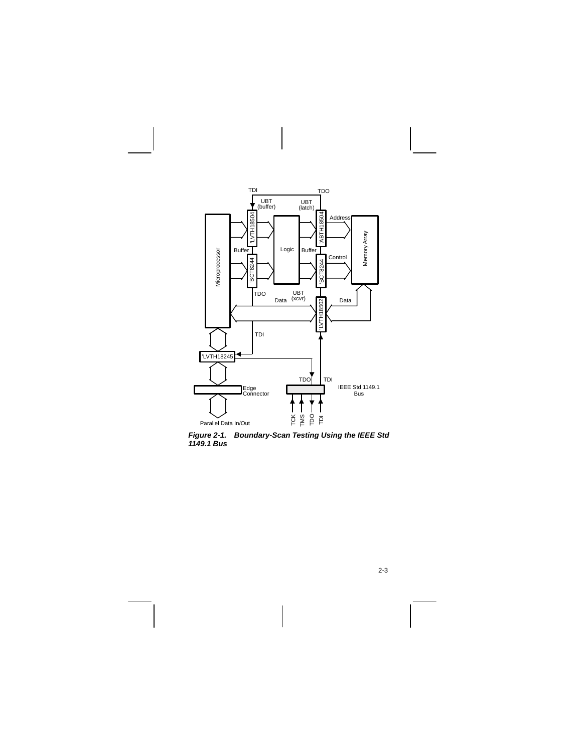<span id="page-18-0"></span>

**Figure 2-1. Boundary-Scan Testing Using the IEEE Std 1149.1 Bus**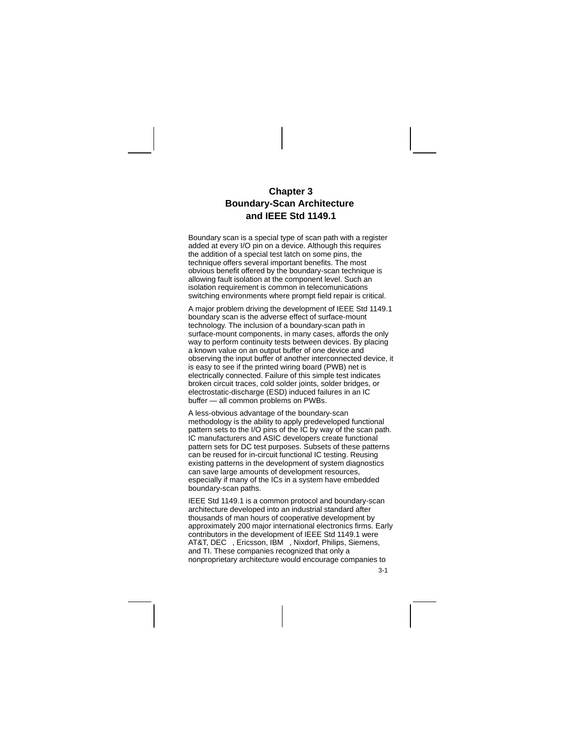## <span id="page-19-0"></span>**Chapter 3 Boundary-Scan Architecture and IEEE Std 1149.1**

Boundary scan is a special type of scan path with a register added at every I/O pin on a device. Although this requires the addition of a special test latch on some pins, the technique offers several important benefits. The most obvious benefit offered by the boundary-scan technique is allowing fault isolation at the component level. Such an isolation requirement is common in telecomunications switching environments where prompt field repair is critical.

A major problem driving the development of IEEE Std 1149.1 boundary scan is the adverse effect of surface-mount technology. The inclusion of a boundary-scan path in surface-mount components, in many cases, affords the only way to perform continuity tests between devices. By placing a known value on an output buffer of one device and observing the input buffer of another interconnected device, it is easy to see if the printed wiring board (PWB) net is electrically connected. Failure of this simple test indicates broken circuit traces, cold solder joints, solder bridges, or electrostatic-discharge (ESD) induced failures in an IC buffer — all common problems on PWBs.

A less-obvious advantage of the boundary-scan methodology is the ability to apply predeveloped functional pattern sets to the I/O pins of the IC by way of the scan path. IC manufacturers and ASIC developers create functional pattern sets for DC test purposes. Subsets of these patterns can be reused for in-circuit functional IC testing. Reusing existing patterns in the development of system diagnostics can save large amounts of development resources, especially if many of the ICs in a system have embedded boundary-scan paths.

IEEE Std 1149.1 is a common protocol and boundary-scan architecture developed into an industrial standard after thousands of man hours of cooperative development by approximately 200 major international electronics firms. Early contributors in the development of IEEE Std 1149.1 were AT&T, DEC™, Ericsson, IBM™, Nixdorf, Philips, Siemens, and TI. These companies recognized that only a nonproprietary architecture would encourage companies to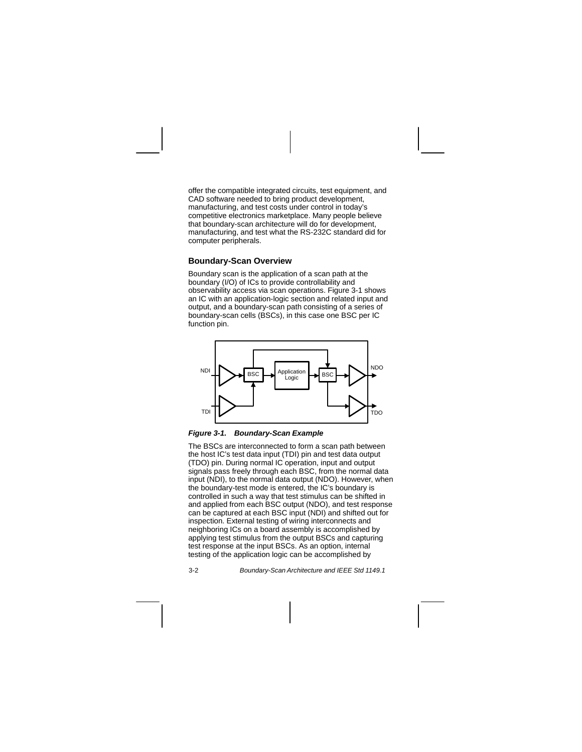<span id="page-20-0"></span>offer the compatible integrated circuits, test equipment, and CAD software needed to bring product development, manufacturing, and test costs under control in today's competitive electronics marketplace. Many people believe that boundary-scan architecture will do for development, manufacturing, and test what the RS-232C standard did for computer peripherals.

#### **Boundary-Scan Overview**

Boundary scan is the application of a scan path at the boundary (I/O) of ICs to provide controllability and observability access via scan operations. Figure 3-1 shows an IC with an application-logic section and related input and output, and a boundary-scan path consisting of a series of boundary-scan cells (BSCs), in this case one BSC per IC function pin.



#### **Figure 3-1. Boundary-Scan Example**

The BSCs are interconnected to form a scan path between the host IC's test data input (TDI) pin and test data output (TDO) pin. During normal IC operation, input and output signals pass freely through each BSC, from the normal data input (NDI), to the normal data output (NDO). However, when the boundary-test mode is entered, the IC's boundary is controlled in such a way that test stimulus can be shifted in and applied from each BSC output (NDO), and test response can be captured at each BSC input (NDI) and shifted out for inspection. External testing of wiring interconnects and neighboring ICs on a board assembly is accomplished by applying test stimulus from the output BSCs and capturing test response at the input BSCs. As an option, internal testing of the application logic can be accomplished by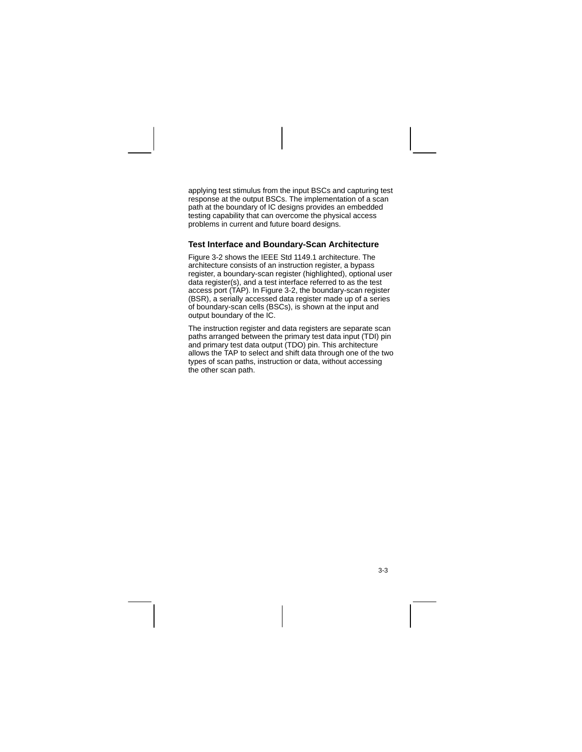<span id="page-21-0"></span>applying test stimulus from the input BSCs and capturing test response at the output BSCs. The implementation of a scan path at the boundary of IC designs provides an embedded testing capability that can overcome the physical access problems in current and future board designs.

#### **Test Interface and Boundary-Scan Architecture**

Figure 3-2 shows the IEEE Std 1149.1 architecture. The architecture consists of an instruction register, a bypass register, a boundary-scan register (highlighted), optional user data register(s), and a test interface referred to as the test access port (TAP). In Figure 3-2, the boundary-scan register (BSR), a serially accessed data register made up of a series of boundary-scan cells (BSCs), is shown at the input and output boundary of the IC.

The instruction register and data registers are separate scan paths arranged between the primary test data input (TDI) pin and primary test data output (TDO) pin. This architecture allows the TAP to select and shift data through one of the two types of scan paths, instruction or data, without accessing the other scan path.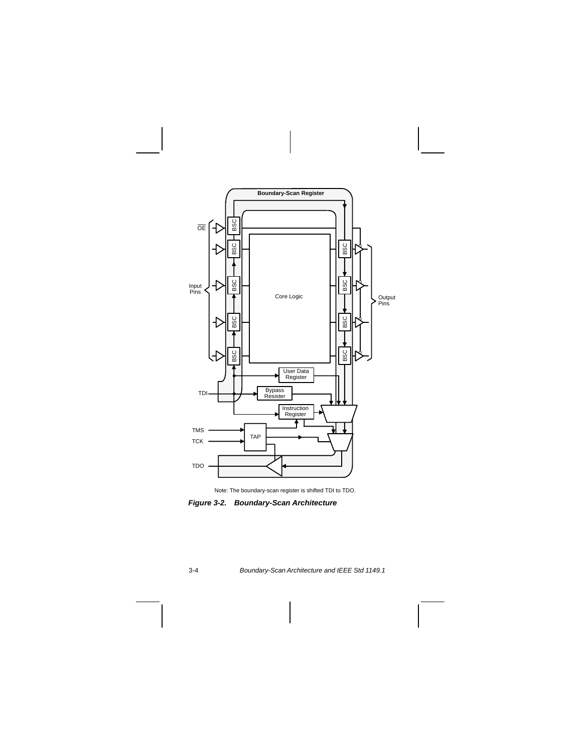<span id="page-22-0"></span>



#### **Figure 3-2. Boundary-Scan Architecture**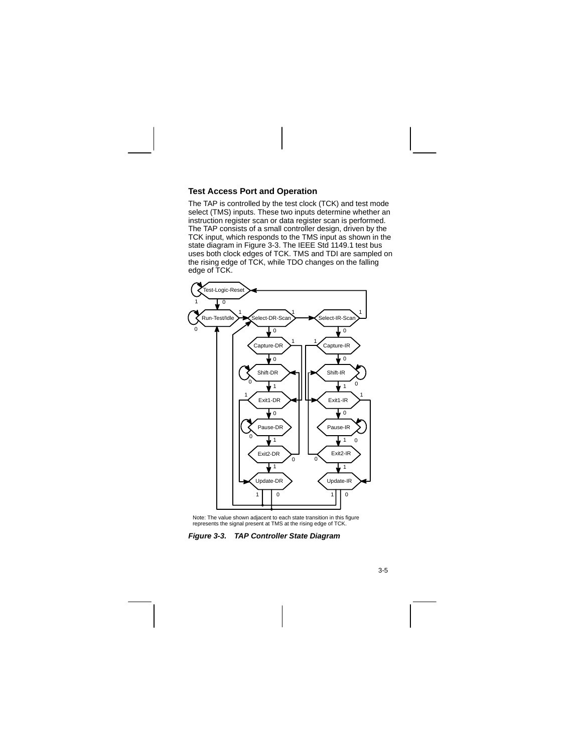#### <span id="page-23-0"></span>**Test Access Port and Operation**

The TAP is controlled by the test clock (TCK) and test mode select (TMS) inputs. These two inputs determine whether an instruction register scan or data register scan is performed. The TAP consists of a small controller design, driven by the TCK input, which responds to the TMS input as shown in the state diagram in Figure 3-3. The IEEE Std 1149.1 test bus uses both clock edges of TCK. TMS and TDI are sampled on the rising edge of TCK, while TDO changes on the falling edge of TCK.



Note: The value shown adjacent to each state transition in this figure represents the signal present at TMS at the rising edge of TCK.

#### **Figure 3-3. TAP Controller State Diagram**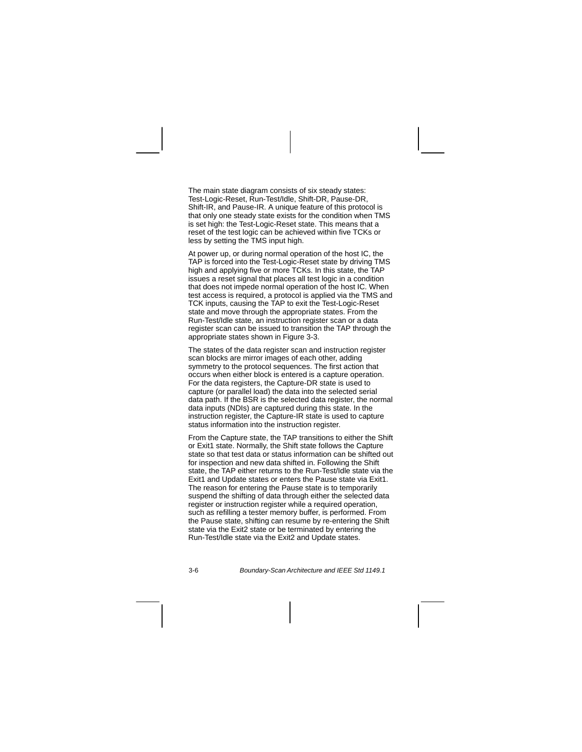The main state diagram consists of six steady states: Test-Logic-Reset, Run-Test/Idle, Shift-DR, Pause-DR, Shift-IR, and Pause-IR. A unique feature of this protocol is that only one steady state exists for the condition when TMS is set high: the Test-Logic-Reset state. This means that a reset of the test logic can be achieved within five TCKs or less by setting the TMS input high.

At power up, or during normal operation of the host IC, the TAP is forced into the Test-Logic-Reset state by driving TMS high and applying five or more TCKs. In this state, the TAP issues a reset signal that places all test logic in a condition that does not impede normal operation of the host IC. When test access is required, a protocol is applied via the TMS and TCK inputs, causing the TAP to exit the Test-Logic-Reset state and move through the appropriate states. From the Run-Test/Idle state, an instruction register scan or a data register scan can be issued to transition the TAP through the appropriate states shown in Figure 3-3.

The states of the data register scan and instruction register scan blocks are mirror images of each other, adding symmetry to the protocol sequences. The first action that occurs when either block is entered is a capture operation. For the data registers, the Capture-DR state is used to capture (or parallel load) the data into the selected serial data path. If the BSR is the selected data register, the normal data inputs (NDIs) are captured during this state. In the instruction register, the Capture-IR state is used to capture status information into the instruction register.

From the Capture state, the TAP transitions to either the Shift or Exit1 state. Normally, the Shift state follows the Capture state so that test data or status information can be shifted out for inspection and new data shifted in. Following the Shift state, the TAP either returns to the Run-Test/Idle state via the Exit1 and Update states or enters the Pause state via Exit1. The reason for entering the Pause state is to temporarily suspend the shifting of data through either the selected data register or instruction register while a required operation, such as refilling a tester memory buffer, is performed. From the Pause state, shifting can resume by re-entering the Shift state via the Exit2 state or be terminated by entering the Run-Test/Idle state via the Exit2 and Update states.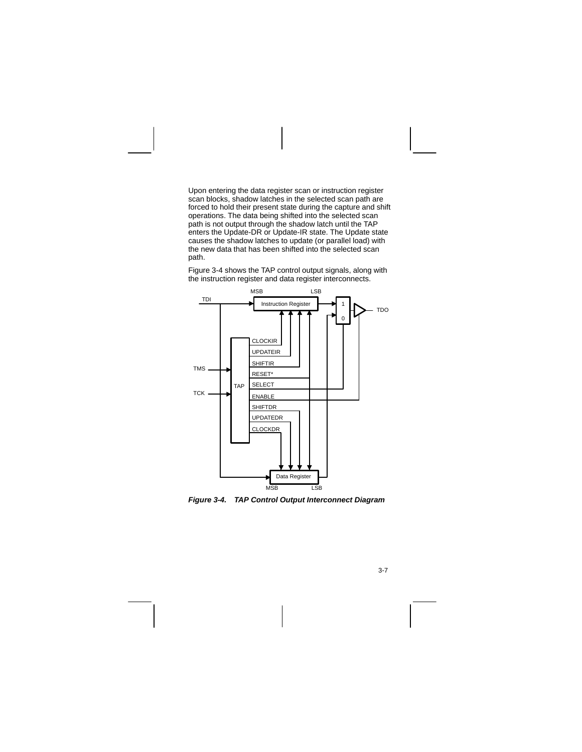<span id="page-25-0"></span>Upon entering the data register scan or instruction register scan blocks, shadow latches in the selected scan path are forced to hold their present state during the capture and shift operations. The data being shifted into the selected scan path is not output through the shadow latch until the TAP enters the Update-DR or Update-IR state. The Update state causes the shadow latches to update (or parallel load) with the new data that has been shifted into the selected scan path.

Figure 3-4 shows the TAP control output signals, along with the instruction register and data register interconnects.



**Figure 3-4. TAP Control Output Interconnect Diagram**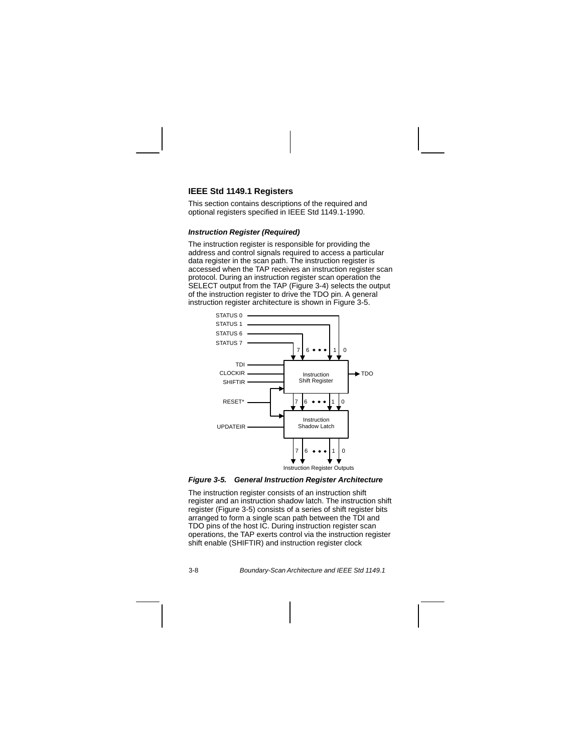## <span id="page-26-0"></span>**IEEE Std 1149.1 Registers**

This section contains descriptions of the required and optional registers specified in IEEE Std 1149.1-1990.

#### **Instruction Register (Required)**

The instruction register is responsible for providing the address and control signals required to access a particular data register in the scan path. The instruction register is accessed when the TAP receives an instruction register scan protocol. During an instruction register scan operation the SELECT output from the TAP (Figure 3-4) selects the output of the instruction register to drive the TDO pin. A general instruction register architecture is shown in Figure 3-5.



#### **Figure 3-5. General Instruction Register Architecture**

The instruction register consists of an instruction shift register and an instruction shadow latch. The instruction shift register (Figure 3-5) consists of a series of shift register bits arranged to form a single scan path between the TDI and TDO pins of the host IC. During instruction register scan operations, the TAP exerts control via the instruction register shift enable (SHIFTIR) and instruction register clock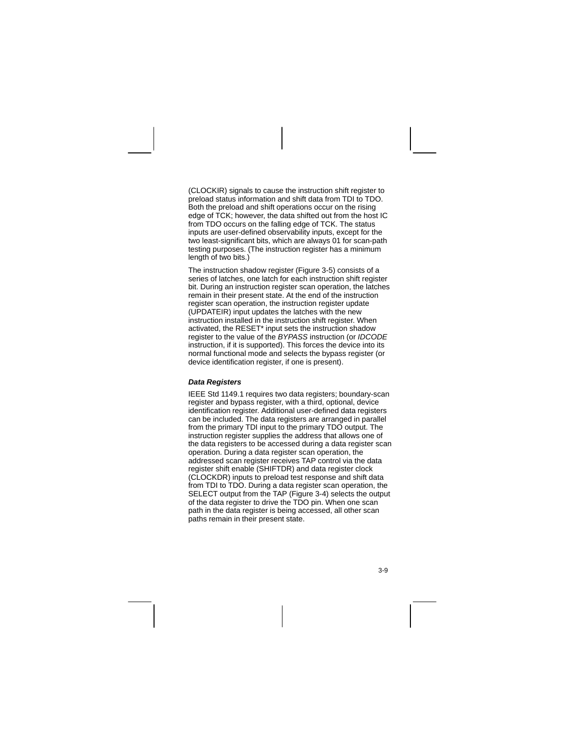<span id="page-27-0"></span>(CLOCKIR) signals to cause the instruction shift register to preload status information and shift data from TDI to TDO. Both the preload and shift operations occur on the rising edge of TCK; however, the data shifted out from the host IC from TDO occurs on the falling edge of TCK. The status inputs are user-defined observability inputs, except for the two least-significant bits, which are always 01 for scan-path testing purposes. (The instruction register has a minimum length of two bits.)

The instruction shadow register (Figure 3-5) consists of a series of latches, one latch for each instruction shift register bit. During an instruction register scan operation, the latches remain in their present state. At the end of the instruction register scan operation, the instruction register update (UPDATEIR) input updates the latches with the new instruction installed in the instruction shift register. When activated, the RESET\* input sets the instruction shadow register to the value of the BYPASS instruction (or IDCODE instruction, if it is supported). This forces the device into its normal functional mode and selects the bypass register (or device identification register, if one is present).

#### **Data Registers**

IEEE Std 1149.1 requires two data registers; boundary-scan register and bypass register, with a third, optional, device identification register. Additional user-defined data registers can be included. The data registers are arranged in parallel from the primary TDI input to the primary TDO output. The instruction register supplies the address that allows one of the data registers to be accessed during a data register scan operation. During a data register scan operation, the addressed scan register receives TAP control via the data register shift enable (SHIFTDR) and data register clock (CLOCKDR) inputs to preload test response and shift data from TDI to TDO. During a data register scan operation, the SELECT output from the TAP (Figure 3-4) selects the output of the data register to drive the TDO pin. When one scan path in the data register is being accessed, all other scan paths remain in their present state.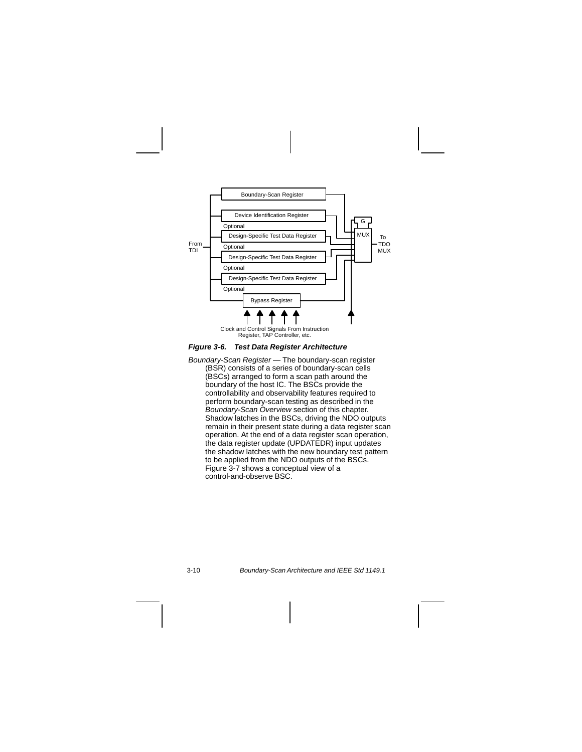<span id="page-28-0"></span>

#### **Figure 3-6. Test Data Register Architecture**

Boundary-Scan Register — The boundary-scan register (BSR) consists of a series of boundary-scan cells (BSCs) arranged to form a scan path around the boundary of the host IC. The BSCs provide the controllability and observability features required to perform boundary-scan testing as described in the Boundary-Scan Overview section of this chapter. Shadow latches in the BSCs, driving the NDO outputs remain in their present state during a data register scan operation. At the end of a data register scan operation, the data register update (UPDATEDR) input updates the shadow latches with the new boundary test pattern to be applied from the NDO outputs of the BSCs. Figure 3-7 shows a conceptual view of a control-and-observe BSC.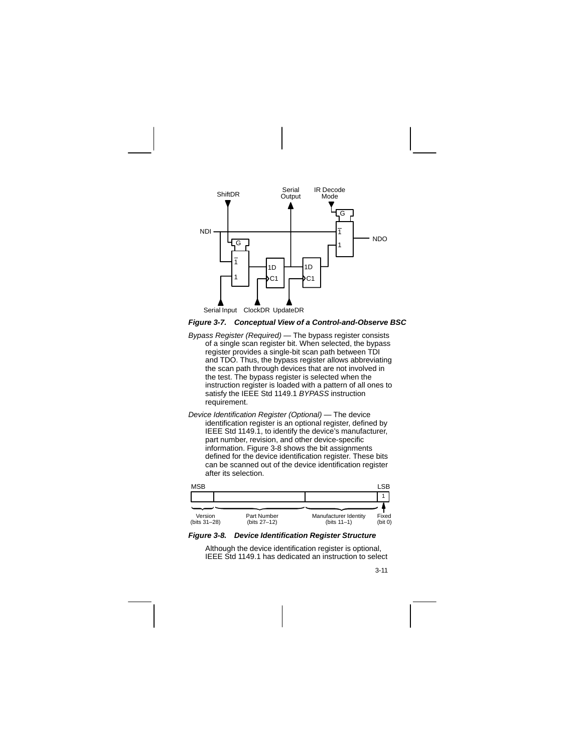<span id="page-29-0"></span>

#### **Figure 3-7. Conceptual View of a Control-and-Observe BSC**

- Bypass Register (Required) The bypass register consists of a single scan register bit. When selected, the bypass register provides a single-bit scan path between TDI and TDO. Thus, the bypass register allows abbreviating the scan path through devices that are not involved in the test. The bypass register is selected when the instruction register is loaded with a pattern of all ones to satisfy the IEEE Std 1149.1 BYPASS instruction requirement.
- Device Identification Register (Optional) The device identification register is an optional register, defined by IEEE Std 1149.1, to identify the device's manufacturer, part number, revision, and other device-specific information. Figure 3-8 shows the bit assignments defined for the device identification register. These bits can be scanned out of the device identification register after its selection.



#### **Figure 3-8. Device Identification Register Structure**

Although the device identification register is optional, IEEE Std 1149.1 has dedicated an instruction to select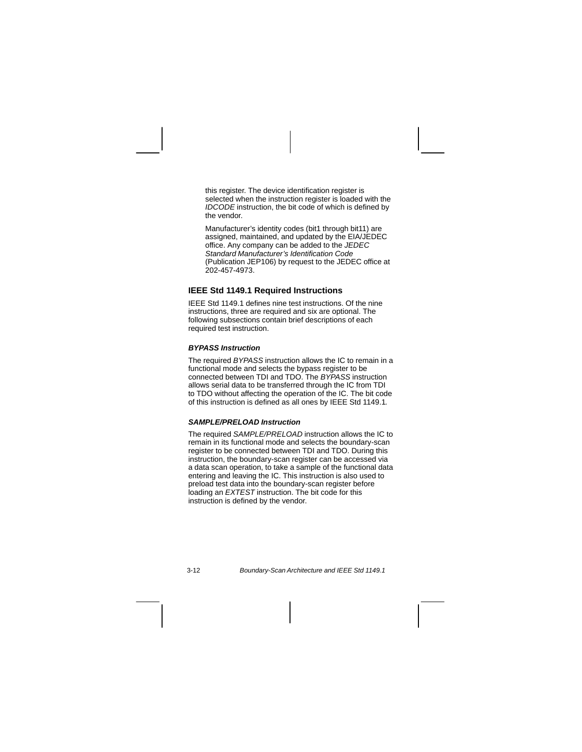<span id="page-30-0"></span>this register. The device identification register is selected when the instruction register is loaded with the IDCODE instruction, the bit code of which is defined by the vendor.

Manufacturer's identity codes (bit1 through bit11) are assigned, maintained, and updated by the EIA/JEDEC office. Any company can be added to the JEDEC Standard Manufacturer's Identification Code (Publication JEP106) by request to the JEDEC office at 202-457-4973.

## **IEEE Std 1149.1 Required Instructions**

IEEE Std 1149.1 defines nine test instructions. Of the nine instructions, three are required and six are optional. The following subsections contain brief descriptions of each required test instruction.

#### **BYPASS Instruction**

The required BYPASS instruction allows the IC to remain in a functional mode and selects the bypass register to be connected between TDI and TDO. The BYPASS instruction allows serial data to be transferred through the IC from TDI to TDO without affecting the operation of the IC. The bit code of this instruction is defined as all ones by IEEE Std 1149.1.

#### **SAMPLE/PRELOAD Instruction**

The required SAMPLE/PRELOAD instruction allows the IC to remain in its functional mode and selects the boundary-scan register to be connected between TDI and TDO. During this instruction, the boundary-scan register can be accessed via a data scan operation, to take a sample of the functional data entering and leaving the IC. This instruction is also used to preload test data into the boundary-scan register before loading an **EXTEST** instruction. The bit code for this instruction is defined by the vendor.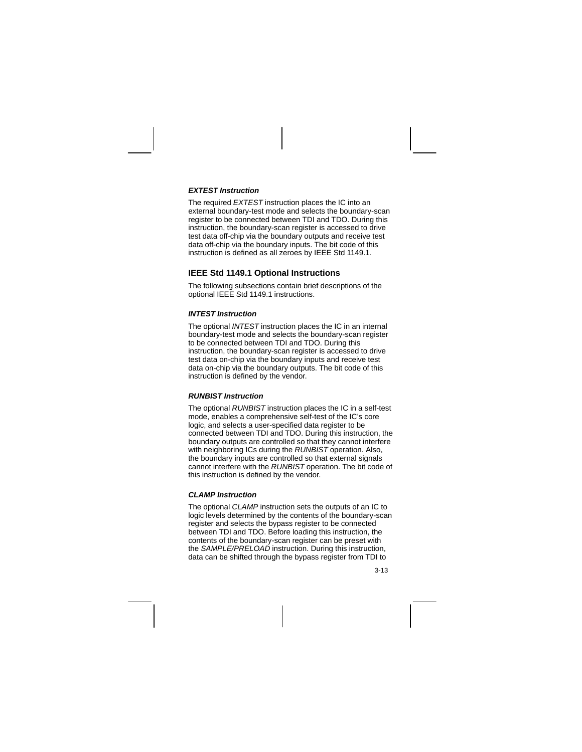#### <span id="page-31-0"></span>**EXTEST Instruction**

The required EXTEST instruction places the IC into an external boundary-test mode and selects the boundary-scan register to be connected between TDI and TDO. During this instruction, the boundary-scan register is accessed to drive test data off-chip via the boundary outputs and receive test data off-chip via the boundary inputs. The bit code of this instruction is defined as all zeroes by IEEE Std 1149.1.

## **IEEE Std 1149.1 Optional Instructions**

The following subsections contain brief descriptions of the optional IEEE Std 1149.1 instructions.

#### **INTEST Instruction**

The optional INTEST instruction places the IC in an internal boundary-test mode and selects the boundary-scan register to be connected between TDI and TDO. During this instruction, the boundary-scan register is accessed to drive test data on-chip via the boundary inputs and receive test data on-chip via the boundary outputs. The bit code of this instruction is defined by the vendor.

#### **RUNBIST Instruction**

The optional RUNBIST instruction places the IC in a self-test mode, enables a comprehensive self-test of the IC's core logic, and selects a user-specified data register to be connected between TDI and TDO. During this instruction, the boundary outputs are controlled so that they cannot interfere with neighboring ICs during the RUNBIST operation. Also, the boundary inputs are controlled so that external signals cannot interfere with the RUNBIST operation. The bit code of this instruction is defined by the vendor.

#### **CLAMP Instruction**

The optional CLAMP instruction sets the outputs of an IC to logic levels determined by the contents of the boundary-scan register and selects the bypass register to be connected between TDI and TDO. Before loading this instruction, the contents of the boundary-scan register can be preset with the SAMPLE/PRELOAD instruction. During this instruction, data can be shifted through the bypass register from TDI to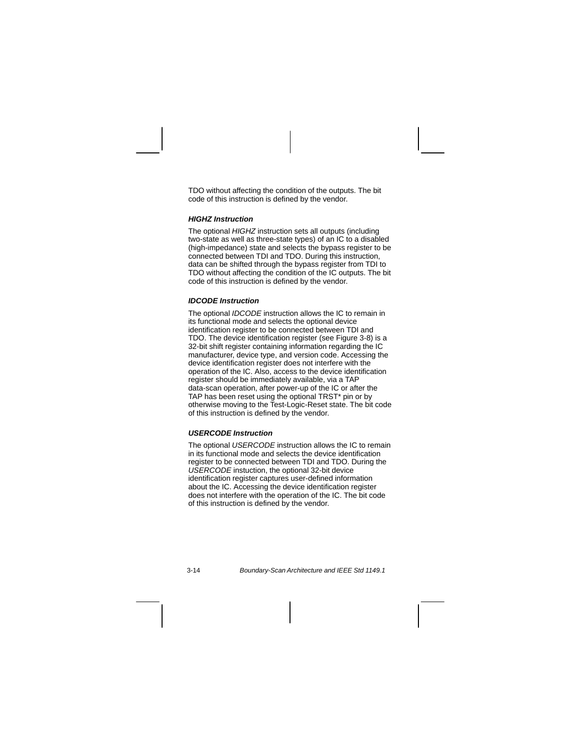<span id="page-32-0"></span>TDO without affecting the condition of the outputs. The bit code of this instruction is defined by the vendor.

#### **HIGHZ Instruction**

The optional HIGHZ instruction sets all outputs (including two-state as well as three-state types) of an IC to a disabled (high-impedance) state and selects the bypass register to be connected between TDI and TDO. During this instruction, data can be shifted through the bypass register from TDI to TDO without affecting the condition of the IC outputs. The bit code of this instruction is defined by the vendor.

#### **IDCODE Instruction**

The optional IDCODE instruction allows the IC to remain in its functional mode and selects the optional device identification register to be connected between TDI and TDO. The device identification register (see Figure 3-8) is a 32-bit shift register containing information regarding the IC manufacturer, device type, and version code. Accessing the device identification register does not interfere with the operation of the IC. Also, access to the device identification register should be immediately available, via a TAP data-scan operation, after power-up of the IC or after the TAP has been reset using the optional TRST\* pin or by otherwise moving to the Test-Logic-Reset state. The bit code of this instruction is defined by the vendor.

#### **USERCODE Instruction**

The optional USERCODE instruction allows the IC to remain in its functional mode and selects the device identification register to be connected between TDI and TDO. During the USERCODE instuction, the optional 32-bit device identification register captures user-defined information about the IC. Accessing the device identification register does not interfere with the operation of the IC. The bit code of this instruction is defined by the vendor.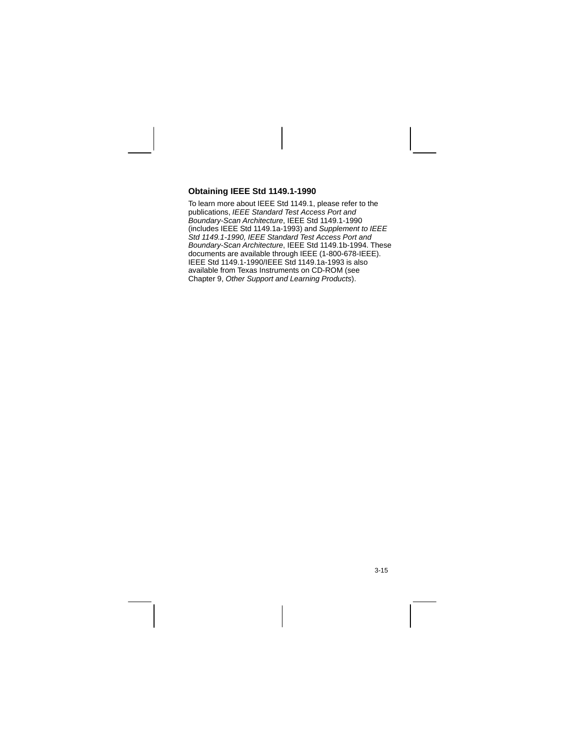## <span id="page-33-0"></span>**Obtaining IEEE Std 1149.1-1990**

To learn more about IEEE Std 1149.1, please refer to the publications, IEEE Standard Test Access Port and Boundary-Scan Architecture, IEEE Std 1149.1-1990 (includes IEEE Std 1149.1a-1993) and Supplement to IEEE Std 1149.1-1990, IEEE Standard Test Access Port and Boundary-Scan Architecture, IEEE Std 1149.1b-1994. These documents are available through IEEE (1-800-678-IEEE). IEEE Std 1149.1-1990/IEEE Std 1149.1a-1993 is also available from Texas Instruments on CD-ROM (see Chapter 9, Other Support and Learning Products).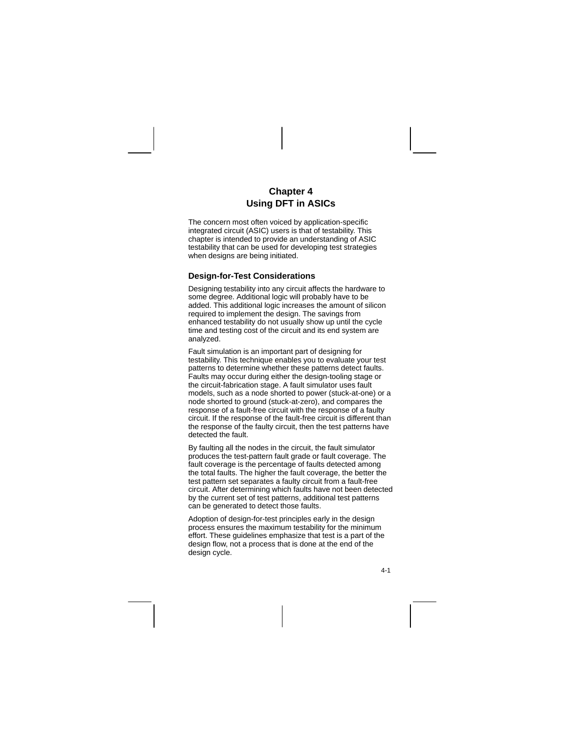## **Chapter 4 Using DFT in ASICs**

<span id="page-34-0"></span>The concern most often voiced by application-specific integrated circuit (ASIC) users is that of testability. This chapter is intended to provide an understanding of ASIC testability that can be used for developing test strategies when designs are being initiated.

#### **Design-for-Test Considerations**

Designing testability into any circuit affects the hardware to some degree. Additional logic will probably have to be added. This additional logic increases the amount of silicon required to implement the design. The savings from enhanced testability do not usually show up until the cycle time and testing cost of the circuit and its end system are analyzed.

Fault simulation is an important part of designing for testability. This technique enables you to evaluate your test patterns to determine whether these patterns detect faults. Faults may occur during either the design-tooling stage or the circuit-fabrication stage. A fault simulator uses fault models, such as a node shorted to power (stuck-at-one) or a node shorted to ground (stuck-at-zero), and compares the response of a fault-free circuit with the response of a faulty circuit. If the response of the fault-free circuit is different than the response of the faulty circuit, then the test patterns have detected the fault.

By faulting all the nodes in the circuit, the fault simulator produces the test-pattern fault grade or fault coverage. The fault coverage is the percentage of faults detected among the total faults. The higher the fault coverage, the better the test pattern set separates a faulty circuit from a fault-free circuit. After determining which faults have not been detected by the current set of test patterns, additional test patterns can be generated to detect those faults.

Adoption of design-for-test principles early in the design process ensures the maximum testability for the minimum effort. These guidelines emphasize that test is a part of the design flow, not a process that is done at the end of the design cycle.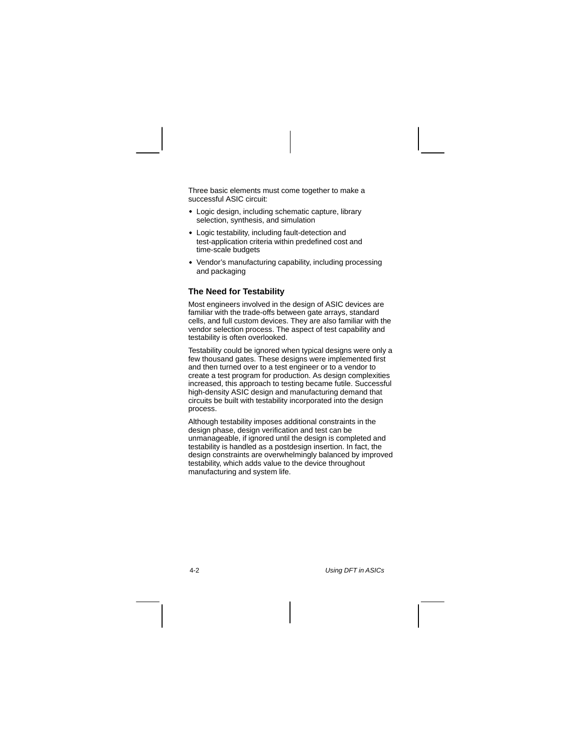<span id="page-35-0"></span>Three basic elements must come together to make a successful ASIC circuit:

- Logic design, including schematic capture, library selection, synthesis, and simulation
- Logic testability, including fault-detection and test-application criteria within predefined cost and time-scale budgets
- Vendor's manufacturing capability, including processing and packaging

## **The Need for Testability**

Most engineers involved in the design of ASIC devices are familiar with the trade-offs between gate arrays, standard cells, and full custom devices. They are also familiar with the vendor selection process. The aspect of test capability and testability is often overlooked.

Testability could be ignored when typical designs were only a few thousand gates. These designs were implemented first and then turned over to a test engineer or to a vendor to create a test program for production. As design complexities increased, this approach to testing became futile. Successful high-density ASIC design and manufacturing demand that circuits be built with testability incorporated into the design process.

Although testability imposes additional constraints in the design phase, design verification and test can be unmanageable, if ignored until the design is completed and testability is handled as a postdesign insertion. In fact, the design constraints are overwhelmingly balanced by improved testability, which adds value to the device throughout manufacturing and system life.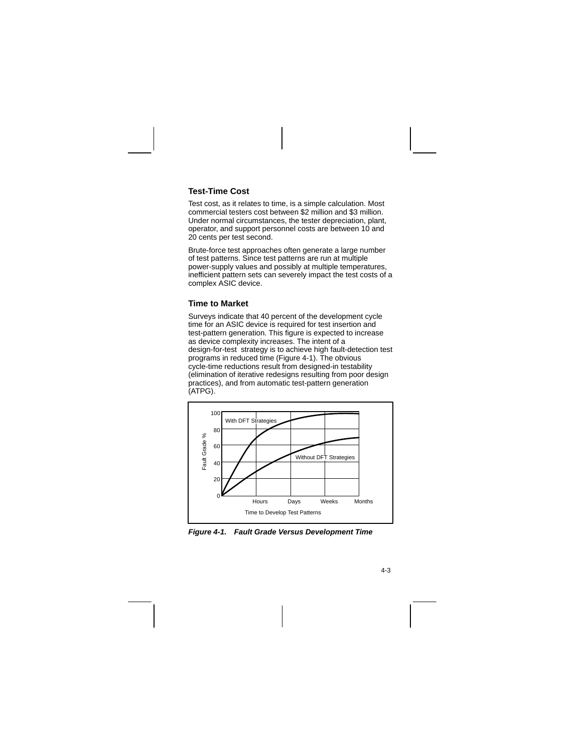## **Test-Time Cost**

Test cost, as it relates to time, is a simple calculation. Most commercial testers cost between \$2 million and \$3 million. Under normal circumstances, the tester depreciation, plant, operator, and support personnel costs are between 10 and 20 cents per test second.

Brute-force test approaches often generate a large number of test patterns. Since test patterns are run at multiple power-supply values and possibly at multiple temperatures, inefficient pattern sets can severely impact the test costs of a complex ASIC device.

## **Time to Market**

Surveys indicate that 40 percent of the development cycle time for an ASIC device is required for test insertion and test-pattern generation. This figure is expected to increase as device complexity increases. The intent of a design-for-test strategy is to achieve high fault-detection test programs in reduced time (Figure 4-1). The obvious cycle-time reductions result from designed-in testability (elimination of iterative redesigns resulting from poor design practices), and from automatic test-pattern generation (ATPG).



**Figure 4-1. Fault Grade Versus Development Time**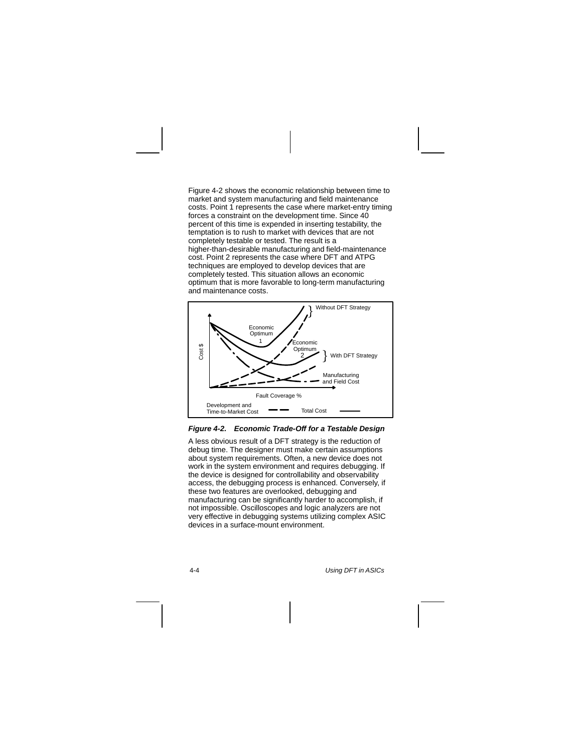Figure 4-2 shows the economic relationship between time to market and system manufacturing and field maintenance costs. Point 1 represents the case where market-entry timing forces a constraint on the development time. Since 40 percent of this time is expended in inserting testability, the temptation is to rush to market with devices that are not completely testable or tested. The result is a higher-than-desirable manufacturing and field-maintenance cost. Point 2 represents the case where DFT and ATPG techniques are employed to develop devices that are completely tested. This situation allows an economic optimum that is more favorable to long-term manufacturing and maintenance costs.



### **Figure 4-2. Economic Trade-Off for a Testable Design**

A less obvious result of a DFT strategy is the reduction of debug time. The designer must make certain assumptions about system requirements. Often, a new device does not work in the system environment and requires debugging. If the device is designed for controllability and observability access, the debugging process is enhanced. Conversely, if these two features are overlooked, debugging and manufacturing can be significantly harder to accomplish, if not impossible. Oscilloscopes and logic analyzers are not very effective in debugging systems utilizing complex ASIC devices in a surface-mount environment.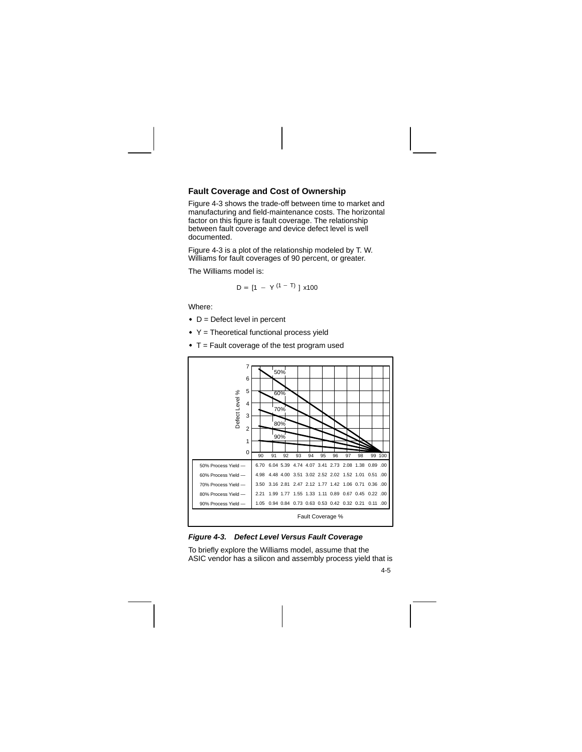## **Fault Coverage and Cost of Ownership**

Figure 4-3 shows the trade-off between time to market and manufacturing and field-maintenance costs. The horizontal factor on this figure is fault coverage. The relationship between fault coverage and device defect level is well documented.

Figure 4-3 is a plot of the relationship modeled by T. W. Williams for fault coverages of 90 percent, or greater.

The Williams model is:

$$
D = [1 - Y^{(1 - T)}] x100
$$

Where:

- $\bullet$  D = Defect level in percent
- $\bullet$  Y = Theoretical functional process yield
- $\bullet$  T = Fault coverage of the test program used



## **Figure 4-3. Defect Level Versus Fault Coverage**

To briefly explore the Williams model, assume that the ASIC vendor has a silicon and assembly process yield that is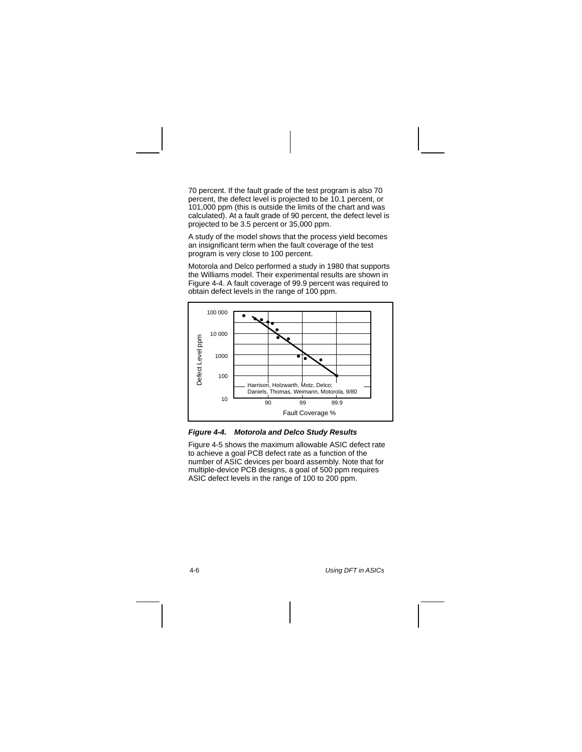70 percent. If the fault grade of the test program is also 70 percent, the defect level is projected to be 10.1 percent, or 101,000 ppm (this is outside the limits of the chart and was calculated). At a fault grade of 90 percent, the defect level is projected to be 3.5 percent or 35,000 ppm.

A study of the model shows that the process yield becomes an insignificant term when the fault coverage of the test program is very close to 100 percent.

Motorola and Delco performed a study in 1980 that supports the Williams model. Their experimental results are shown in Figure 4-4. A fault coverage of 99.9 percent was required to obtain defect levels in the range of 100 ppm.



#### **Figure 4-4. Motorola and Delco Study Results**

Figure 4-5 shows the maximum allowable ASIC defect rate to achieve a goal PCB defect rate as a function of the number of ASIC devices per board assembly. Note that for multiple-device PCB designs, a goal of 500 ppm requires ASIC defect levels in the range of 100 to 200 ppm.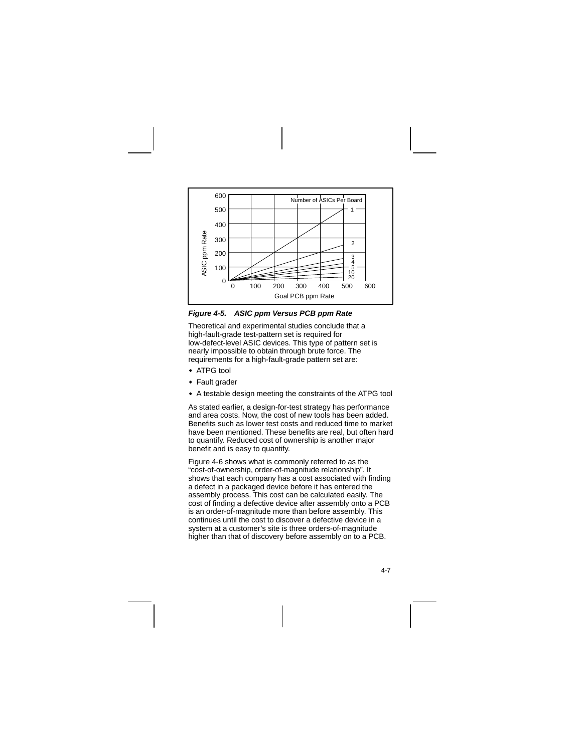

**Figure 4-5. ASIC ppm Versus PCB ppm Rate**

Theoretical and experimental studies conclude that a high-fault-grade test-pattern set is required for low-defect-level ASIC devices. This type of pattern set is nearly impossible to obtain through brute force. The requirements for a high-fault-grade pattern set are:

- ATPG tool
- Fault grader
- A testable design meeting the constraints of the ATPG tool

As stated earlier, a design-for-test strategy has performance and area costs. Now, the cost of new tools has been added. Benefits such as lower test costs and reduced time to market have been mentioned. These benefits are real, but often hard to quantify. Reduced cost of ownership is another major benefit and is easy to quantify.

Figure 4-6 shows what is commonly referred to as the "cost-of-ownership, order-of-magnitude relationship". It shows that each company has a cost associated with finding a defect in a packaged device before it has entered the assembly process. This cost can be calculated easily. The cost of finding a defective device after assembly onto a PCB is an order-of-magnitude more than before assembly. This continues until the cost to discover a defective device in a system at a customer's site is three orders-of-magnitude higher than that of discovery before assembly on to a PCB.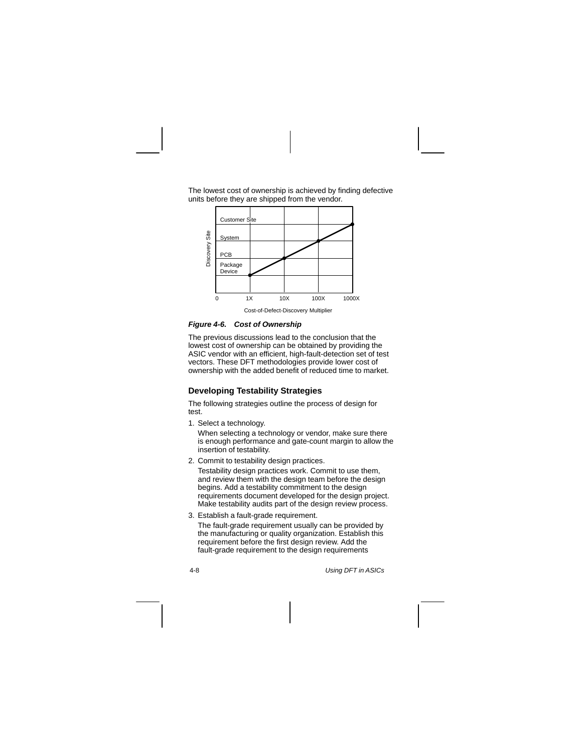The lowest cost of ownership is achieved by finding defective units before they are shipped from the vendor.



### **Figure 4-6. Cost of Ownership**

The previous discussions lead to the conclusion that the lowest cost of ownership can be obtained by providing the ASIC vendor with an efficient, high-fault-detection set of test vectors. These DFT methodologies provide lower cost of ownership with the added benefit of reduced time to market.

## **Developing Testability Strategies**

The following strategies outline the process of design for test.

1. Select a technology.

When selecting a technology or vendor, make sure there is enough performance and gate-count margin to allow the insertion of testability.

2. Commit to testability design practices.

Testability design practices work. Commit to use them, and review them with the design team before the design begins. Add a testability commitment to the design requirements document developed for the design project. Make testability audits part of the design review process.

3. Establish a fault-grade requirement.

The fault-grade requirement usually can be provided by the manufacturing or quality organization. Establish this requirement before the first design review. Add the fault-grade requirement to the design requirements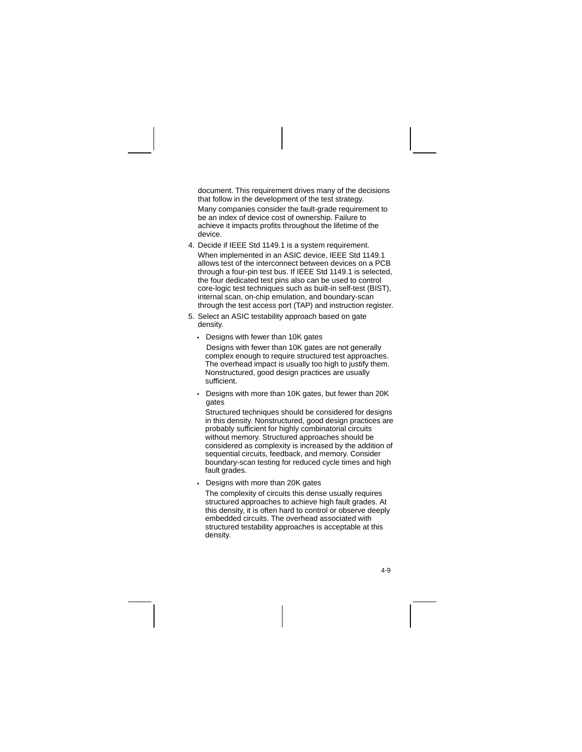document. This requirement drives many of the decisions that follow in the development of the test strategy.

Many companies consider the fault-grade requirement to be an index of device cost of ownership. Failure to achieve it impacts profits throughout the lifetime of the device.

- 4. Decide if IEEE Std 1149.1 is a system requirement. When implemented in an ASIC device, IEEE Std 1149.1 allows test of the interconnect between devices on a PCB through a four-pin test bus. If IEEE Std 1149.1 is selected, the four dedicated test pins also can be used to control core-logic test techniques such as built-in self-test (BIST), internal scan, on-chip emulation, and boundary-scan through the test access port (TAP) and instruction register.
- 5. Select an ASIC testability approach based on gate density.
	- Designs with fewer than 10K gates

Designs with fewer than 10K gates are not generally complex enough to require structured test approaches. The overhead impact is usually too high to justify them. Nonstructured, good design practices are usually sufficient.

Designs with more than 10K gates, but fewer than 20K gates

Structured techniques should be considered for designs in this density. Nonstructured, good design practices are probably sufficient for highly combinatorial circuits without memory. Structured approaches should be considered as complexity is increased by the addition of sequential circuits, feedback, and memory. Consider boundary-scan testing for reduced cycle times and high fault grades.

Designs with more than 20K gates

The complexity of circuits this dense usually requires structured approaches to achieve high fault grades. At this density, it is often hard to control or observe deeply embedded circuits. The overhead associated with structured testability approaches is acceptable at this density.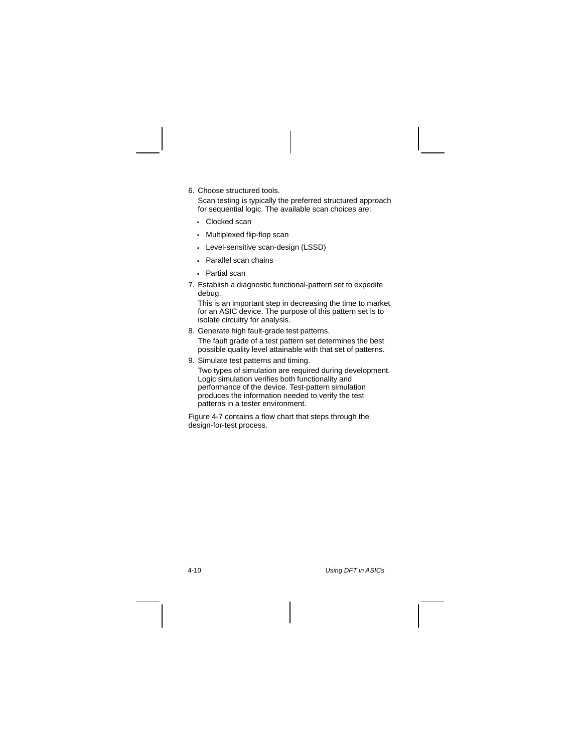6. Choose structured tools.

Scan testing is typically the preferred structured approach for sequential logic. The available scan choices are:

- Clocked scan
- Multiplexed flip-flop scan
- Level-sensitive scan-design (LSSD)
- Parallel scan chains
- Partial scan
- 7. Establish a diagnostic functional-pattern set to expedite debug.

This is an important step in decreasing the time to market for an ASIC device. The purpose of this pattern set is to isolate circuitry for analysis.

8. Generate high fault-grade test patterns.

The fault grade of a test pattern set determines the best possible quality level attainable with that set of patterns.

9. Simulate test patterns and timing.

Two types of simulation are required during development. Logic simulation verifies both functionality and performance of the device. Test-pattern simulation produces the information needed to verify the test patterns in a tester environment.

Figure 4-7 contains a flow chart that steps through the design-for-test process.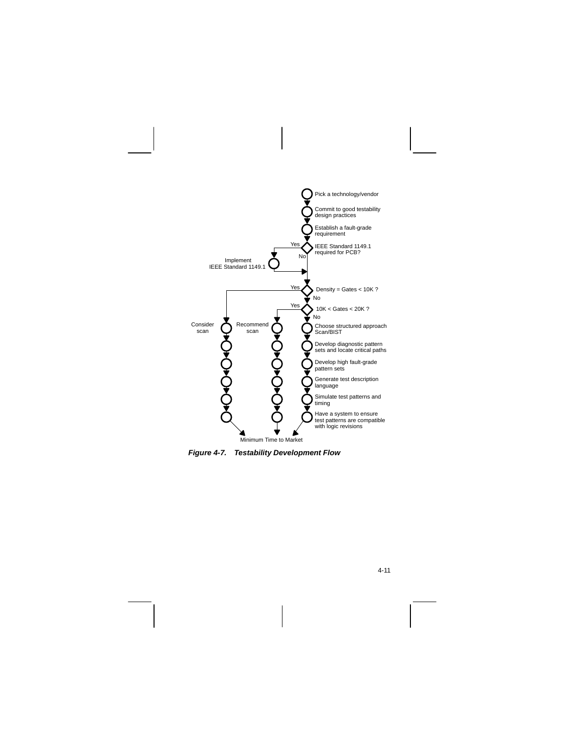

**Figure 4-7. Testability Development Flow**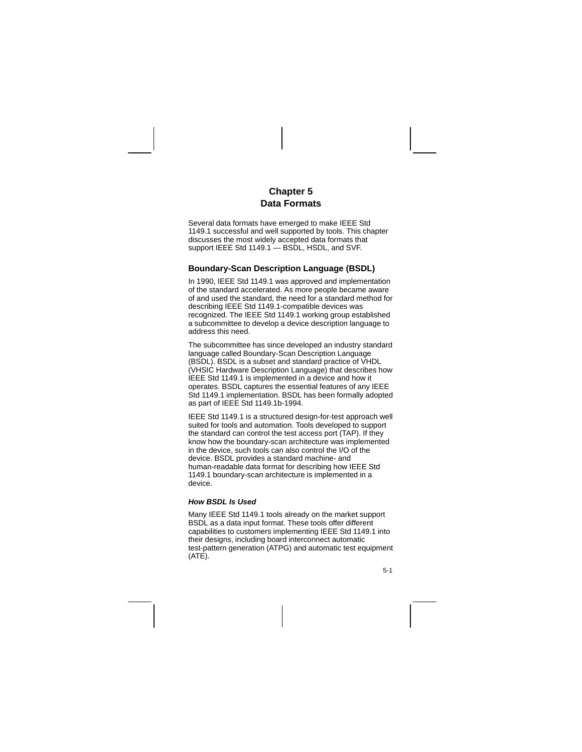# **Chapter 5 Data Formats**

Several data formats have emerged to make IEEE Std 1149.1 successful and well supported by tools. This chapter discusses the most widely accepted data formats that support IEEE Std 1149.1 - BSDL, HSDL, and SVF.

## **Boundary-Scan Description Language (BSDL)**

In 1990, IEEE Std 1149.1 was approved and implementation of the standard accelerated. As more people became aware of and used the standard, the need for a standard method for describing IEEE Std 1149.1-compatible devices was recognized. The IEEE Std 1149.1 working group established a subcommittee to develop a device description language to address this need.

The subcommittee has since developed an industry standard language called Boundary-Scan Description Language (BSDL). BSDL is a subset and standard practice of VHDL (VHSIC Hardware Description Language) that describes how IEEE Std 1149.1 is implemented in a device and how it operates. BSDL captures the essential features of any IEEE Std 1149.1 implementation. BSDL has been formally adopted as part of IEEE Std 1149.1b-1994.

IEEE Std 1149.1 is a structured design-for-test approach well suited for tools and automation. Tools developed to support the standard can control the test access port (TAP). If they know how the boundary-scan architecture was implemented in the device, such tools can also control the I/O of the device. BSDL provides a standard machine- and human-readable data format for describing how IEEE Std 1149.1 boundary-scan architecture is implemented in a device.

#### **How BSDL Is Used**

Many IEEE Std 1149.1 tools already on the market support BSDL as a data input format. These tools offer different capabilities to customers implementing IEEE Std 1149.1 into their designs, including board interconnect automatic test-pattern generation (ATPG) and automatic test equipment (ATE).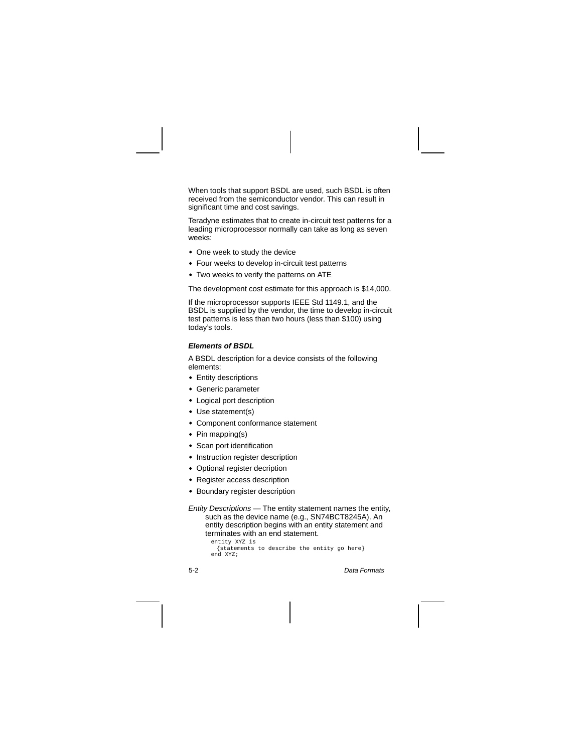When tools that support BSDL are used, such BSDL is often received from the semiconductor vendor. This can result in significant time and cost savings.

Teradyne estimates that to create in-circuit test patterns for a leading microprocessor normally can take as long as seven weeks:

- One week to study the device
- Four weeks to develop in-circuit test patterns
- Two weeks to verify the patterns on ATE

The development cost estimate for this approach is \$14,000.

If the microprocessor supports IEEE Std 1149.1, and the BSDL is supplied by the vendor, the time to develop in-circuit test patterns is less than two hours (less than \$100) using today's tools.

### **Elements of BSDL**

A BSDL description for a device consists of the following elements:

- Entity descriptions
- Generic parameter
- Logical port description
- Use statement(s)
- Component conformance statement
- $\bullet$  Pin mapping(s)
- Scan port identification
- Instruction register description
- Optional register decription
- Register access description
- Boundary register description

Entity Descriptions — The entity statement names the entity, such as the device name (e.g., SN74BCT8245A). An entity description begins with an entity statement and terminates with an end statement.

```
entity XYZ is
 {statements to describe the entity go here}
end XYZ;
```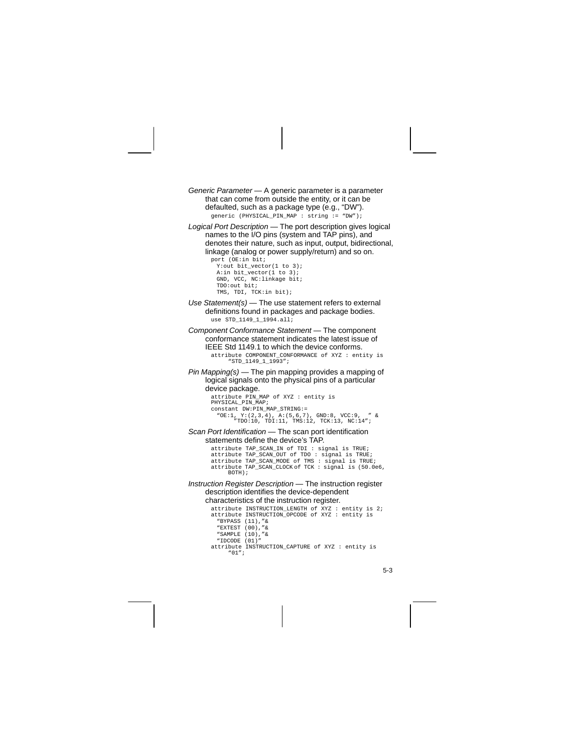Generic Parameter — A generic parameter is a parameter that can come from outside the entity, or it can be defaulted, such as a package type (e.g., "DW"). generic (PHYSICAL\_PIN\_MAP : string := "DW");

Logical Port Description — The port description gives logical names to the I/O pins (system and TAP pins), and denotes their nature, such as input, output, bidirectional, linkage (analog or power supply/return) and so on.

```
port (OE:in bit;
 Y:out bit vector(1 to 3);
 A:in bit_vector(1 to 3);
 GND, VCC, NC:linkage bit;
 TDO:out bit;
 TMS, TDI, TCK:in bit);
```
- Use Statement(s) The use statement refers to external definitions found in packages and package bodies. use STD 1149 1 1994.all;
- Component Conformance Statement The component conformance statement indicates the latest issue of IEEE Std 1149.1 to which the device conforms.

```
attribute COMPONENT_CONFORMANCE of XYZ : entity is 
     "STD 1149 1 1993";
```
*Pin Mapping(s)* — The pin mapping provides a mapping of logical signals onto the physical pins of a particular device package.

```
attribute PIN_MAP of XYZ : entity is
PHYSICAL_PIN_MAP;
constant DW:PIN_MAP_STRING:=
  "OE:1, Y:(2,3,4), A:(5,6,7), GND:8, VCC:9, " & 
"TDO:10, TDI:11, TMS:12, TCK:13, NC:14";
```
#### Scan Port Identification — The scan port identification statements define the device's TAP.

attribute TAP\_SCAN\_IN of TDI : signal is TRUE; attribute TAP\_SCAN\_OUT of TDO : signal is TRUE; attribute TAP SCAN MODE of TMS : signal is TRUE; attribute TAP\_SCAN\_CLOCK of TCK : signal is (50.0e6, BOTH);

Instruction Register Description — The instruction register description identifies the device-dependent characteristics of the instruction register.

```
attribute INSTRUCTION_LENGTH of XYZ : entity is 2;
attribute INSTRUCTION_OPCODE of XYZ : entity is
 "BYPASS (11),"&
 "EXTEST (00),"&
 "SAMPLE (10),"&
 "IDCODE (01)"
attribute INSTRUCTION_CAPTURE of XYZ : entity is 
     "01";
```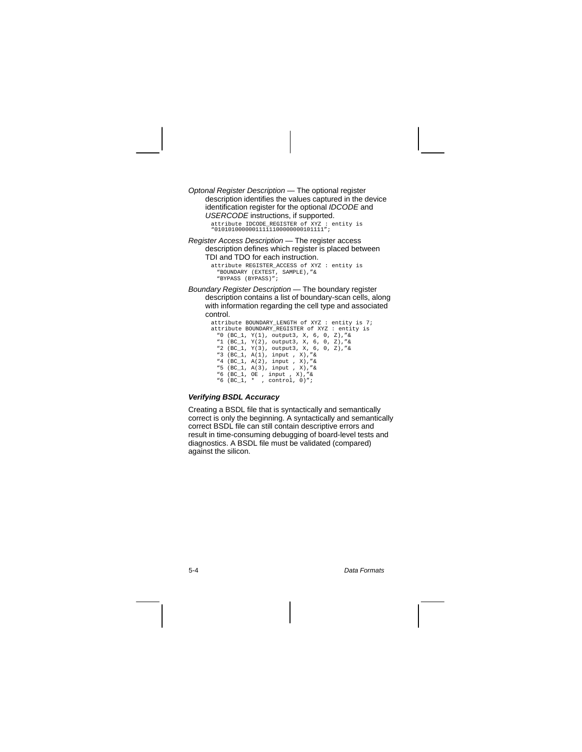Optonal Register Description — The optional register description identifies the values captured in the device identification register for the optional *IDCODE* and USERCODE instructions, if supported.

attribute IDCODE\_REGISTER of XYZ : entity is "0101010000001111111000000000101111";

Register Access Description — The register access description defines which register is placed between TDI and TDO for each instruction.

```
attribute REGISTER_ACCESS of XYZ : entity is
 "BOUNDARY (EXTEST, SAMPLE),"&
 "BYPASS (BYPASS)";
```
Boundary Register Description — The boundary register description contains a list of boundary-scan cells, along with information regarding the cell type and associated control.

```
attribute BOUNDARY LENGTH of XYZ : entity is 7;
attribute BOUNDARY_REGISTER of XYZ : entity is
 "0 (BC_1, Y(1), output3, X, 6, 0, Z),"&
  "1 (BC_1, Y(2), output3, X, 6, 0, Z),"&
"2 (BC_1, Y(3), output3, X, 6, 0, Z),"&
 "3 (BC_1, A(1), input , X),"&
 "4 (BC_1, A(2), input , X),"&
 "5 (BC_1, A(3), input , X),"&
 "6 (BC_1, OE , input , X),"&
 "6 (BC_1, * , control, 0)";
```
#### **Verifying BSDL Accuracy**

Creating a BSDL file that is syntactically and semantically correct is only the beginning. A syntactically and semantically correct BSDL file can still contain descriptive errors and result in time-consuming debugging of board-level tests and diagnostics. A BSDL file must be validated (compared) against the silicon.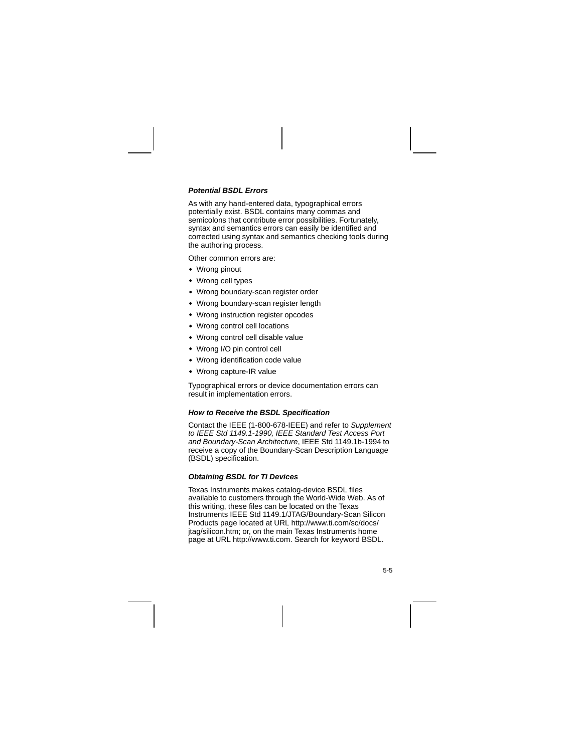### **Potential BSDL Errors**

As with any hand-entered data, typographical errors potentially exist. BSDL contains many commas and semicolons that contribute error possibilities. Fortunately, syntax and semantics errors can easily be identified and corrected using syntax and semantics checking tools during the authoring process.

Other common errors are:

- Wrong pinout
- Wrong cell types
- Wrong boundary-scan register order
- Wrong boundary-scan register length
- Wrong instruction register opcodes
- Wrong control cell locations
- Wrong control cell disable value
- Wrong I/O pin control cell
- Wrong identification code value
- Wrong capture-IR value

Typographical errors or device documentation errors can result in implementation errors.

### **How to Receive the BSDL Specification**

Contact the IEEE (1-800-678-IEEE) and refer to Supplement to IEEE Std 1149.1-1990, IEEE Standard Test Access Port and Boundary-Scan Architecture, IEEE Std 1149.1b-1994 to receive a copy of the Boundary-Scan Description Language (BSDL) specification.

### **Obtaining BSDL for TI Devices**

Texas Instruments makes catalog-device BSDL files available to customers through the World-Wide Web. As of this writing, these files can be located on the Texas Instruments IEEE Std 1149.1/JTAG/Boundary-Scan Silicon Products page located at URL http://www.ti.com/sc/docs/ jtag/silicon.htm; or, on the main Texas Instruments home page at URL http://www.ti.com. Search for keyword BSDL.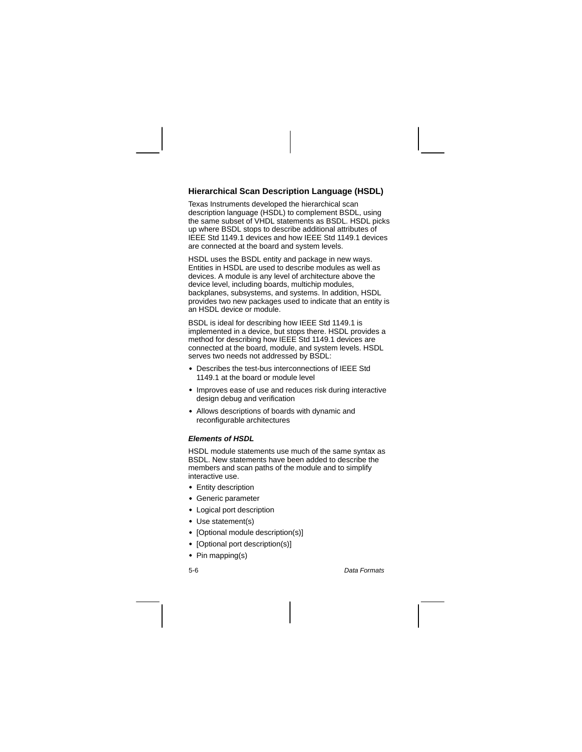## **Hierarchical Scan Description Language (HSDL)**

Texas Instruments developed the hierarchical scan description language (HSDL) to complement BSDL, using the same subset of VHDL statements as BSDL. HSDL picks up where BSDL stops to describe additional attributes of IEEE Std 1149.1 devices and how IEEE Std 1149.1 devices are connected at the board and system levels.

HSDL uses the BSDL entity and package in new ways. Entities in HSDL are used to describe modules as well as devices. A module is any level of architecture above the device level, including boards, multichip modules, backplanes, subsystems, and systems. In addition, HSDL provides two new packages used to indicate that an entity is an HSDL device or module.

BSDL is ideal for describing how IEEE Std 1149.1 is implemented in a device, but stops there. HSDL provides a method for describing how IEEE Std 1149.1 devices are connected at the board, module, and system levels. HSDL serves two needs not addressed by BSDL:

- Describes the test-bus interconnections of IEEE Std 1149.1 at the board or module level
- Improves ease of use and reduces risk during interactive design debug and verification
- Allows descriptions of boards with dynamic and reconfigurable architectures

#### **Elements of HSDL**

HSDL module statements use much of the same syntax as BSDL. New statements have been added to describe the members and scan paths of the module and to simplify interactive use.

- Entity description
- Generic parameter
- Logical port description
- Use statement(s)
- [Optional module description(s)]
- [Optional port description(s)]
- $\bullet$  Pin mapping(s)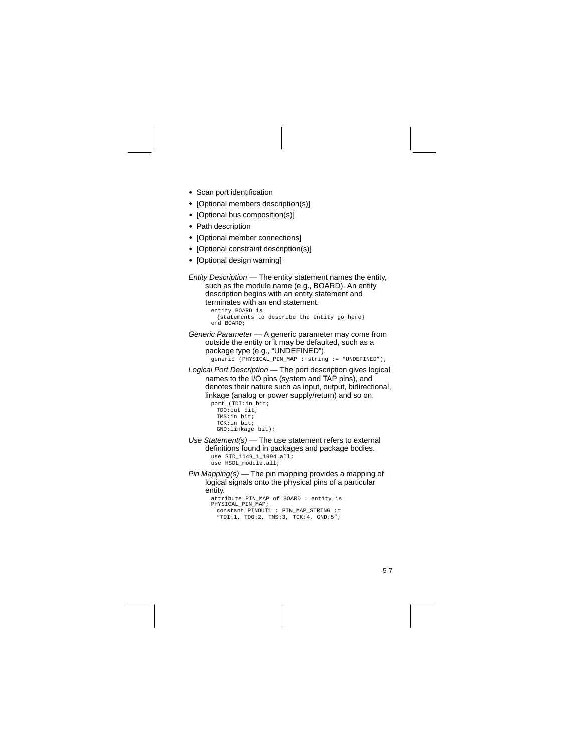- Scan port identification
- [Optional members description(s)]
- [Optional bus composition(s)]
- Path description
- [Optional member connections]
- [Optional constraint description(s)]
- [Optional design warning]

```
Entity Description — The entity statement names the entity,
    such as the module name (e.g., BOARD). An entity
    description begins with an entity statement and
    terminates with an end statement.
```

```
entity BOARD is
 {statements to describe the entity go here}
end BOARD;
```
Generic Parameter — A generic parameter may come from outside the entity or it may be defaulted, such as a package type (e.g., "UNDEFINED").

```
generic (PHYSICAL_PIN_MAP : string := "UNDEFINED");
```
Logical Port Description — The port description gives logical names to the I/O pins (system and TAP pins), and denotes their nature such as input, output, bidirectional, linkage (analog or power supply/return) and so on.

```
port (TDI:in bit;
 TDO:out bit;
 TMS:in bit;
 TCK:in bit;
 GND:linkage bit);
```
Use Statement(s) — The use statement refers to external definitions found in packages and package bodies. use STD 1149 1 1994.all;

```
use HSDL module.all;
```
*Pin Mapping(s)* — The pin mapping provides a mapping of logical signals onto the physical pins of a particular entity.

```
attribute PIN_MAP of BOARD : entity is
PHYSICAL_PIN_MAP;
 constant PINOUT1 : PIN_MAP_STRING :=
 "TDI:1, TDO:2, TMS:3, TCK:4, GND:5";
```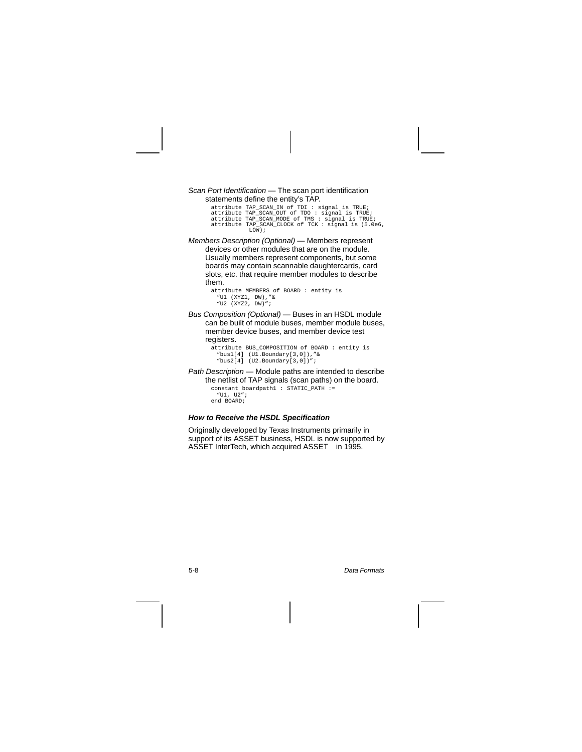Scan Port Identification — The scan port identification statements define the entity's TAP.

> attribute TAP SCAN IN of TDI : signal is TRUE; attribute TAP\_SCAN\_OUT of TDO : signal is TRUE; attribute TAP\_SCAN\_MODE of TMS : signal is TRUE; attribute TAP\_SCAN\_CLOCK of TCK : signal is (5.0e6, LOW);

Members Description (Optional) — Members represent devices or other modules that are on the module. Usually members represent components, but some boards may contain scannable daughtercards, card slots, etc. that require member modules to describe them.

```
attribute MEMBERS of BOARD : entity is
 "U1 (XYZ1, DW),"&
 "U2 (XYZ2, DW)";
```
Bus Composition (Optional) — Buses in an HSDL module can be built of module buses, member module buses, member device buses, and member device test registers.

```
attribute BUS_COMPOSITION of BOARD : entity is
 "bus1[4] (U1.Boundary[3,0]),"&
 "bus2[4] (U2.Boundary[3,0])";
```
Path Description — Module paths are intended to describe the netlist of TAP signals (scan paths) on the board.

```
constant boardpath1 : STATIC PATH :=
 "U1, U2";
end BOARD;
```
#### **How to Receive the HSDL Specification**

Originally developed by Texas Instruments primarily in support of its ASSET business, HSDL is now supported by ASSET InterTech, which acquired ASSET™ in 1995.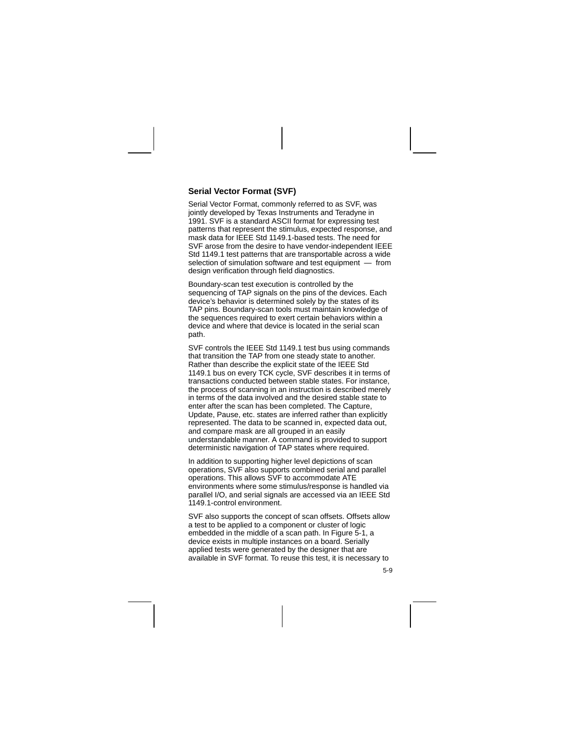## **Serial Vector Format (SVF)**

Serial Vector Format, commonly referred to as SVF, was jointly developed by Texas Instruments and Teradyne in 1991. SVF is a standard ASCII format for expressing test patterns that represent the stimulus, expected response, and mask data for IEEE Std 1149.1-based tests. The need for SVF arose from the desire to have vendor-independent IEEE Std 1149.1 test patterns that are transportable across a wide selection of simulation software and test equipment — from design verification through field diagnostics.

Boundary-scan test execution is controlled by the sequencing of TAP signals on the pins of the devices. Each device's behavior is determined solely by the states of its TAP pins. Boundary-scan tools must maintain knowledge of the sequences required to exert certain behaviors within a device and where that device is located in the serial scan path.

SVF controls the IEEE Std 1149.1 test bus using commands that transition the TAP from one steady state to another. Rather than describe the explicit state of the IEEE Std 1149.1 bus on every TCK cycle, SVF describes it in terms of transactions conducted between stable states. For instance, the process of scanning in an instruction is described merely in terms of the data involved and the desired stable state to enter after the scan has been completed. The Capture, Update, Pause, etc. states are inferred rather than explicitly represented. The data to be scanned in, expected data out, and compare mask are all grouped in an easily understandable manner. A command is provided to support deterministic navigation of TAP states where required.

In addition to supporting higher level depictions of scan operations, SVF also supports combined serial and parallel operations. This allows SVF to accommodate ATE environments where some stimulus/response is handled via parallel I/O, and serial signals are accessed via an IEEE Std 1149.1-control environment.

SVF also supports the concept of scan offsets. Offsets allow a test to be applied to a component or cluster of logic embedded in the middle of a scan path. In Figure 5-1, a device exists in multiple instances on a board. Serially applied tests were generated by the designer that are available in SVF format. To reuse this test, it is necessary to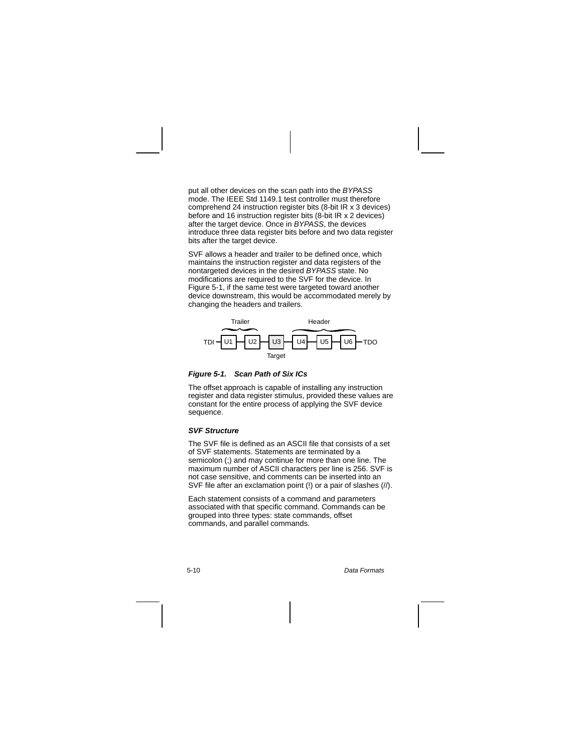put all other devices on the scan path into the BYPASS mode. The IEEE Std 1149.1 test controller must therefore comprehend 24 instruction register bits (8-bit IR x 3 devices) before and 16 instruction register bits (8-bit IR x 2 devices) after the target device. Once in BYPASS, the devices introduce three data register bits before and two data register bits after the target device.

SVF allows a header and trailer to be defined once, which maintains the instruction register and data registers of the nontargeted devices in the desired BYPASS state. No modifications are required to the SVF for the device. In Figure 5-1, if the same test were targeted toward another device downstream, this would be accommodated merely by changing the headers and trailers.



### **Figure 5-1. Scan Path of Six ICs**

The offset approach is capable of installing any instruction register and data register stimulus, provided these values are constant for the entire process of applying the SVF device sequence.

#### **SVF Structure**

The SVF file is defined as an ASCII file that consists of a set of SVF statements. Statements are terminated by a semicolon (;) and may continue for more than one line. The maximum number of ASCII characters per line is 256. SVF is not case sensitive, and comments can be inserted into an SVF file after an exclamation point (!) or a pair of slashes (//).

Each statement consists of a command and parameters associated with that specific command. Commands can be grouped into three types: state commands, offset commands, and parallel commands.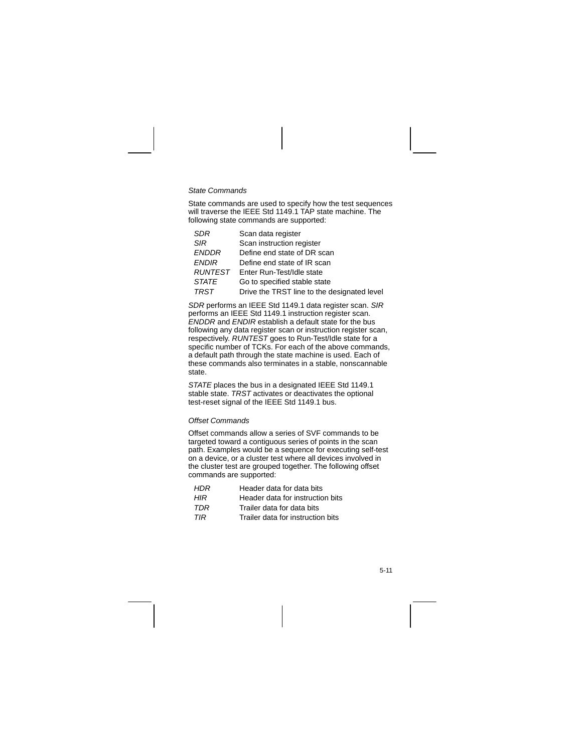#### State Commands

State commands are used to specify how the test sequences will traverse the IEEE Std 1149.1 TAP state machine. The following state commands are supported:

| SDR            | Scan data register                          |
|----------------|---------------------------------------------|
| SIR            | Scan instruction register                   |
| <b>ENDDR</b>   | Define end state of DR scan                 |
| ENDIR          | Define end state of IR scan                 |
| <b>RUNTEST</b> | Enter Run-Test/Idle state                   |
| STATE          | Go to specified stable state                |
| TRST           | Drive the TRST line to the designated level |
|                |                                             |

SDR performs an IEEE Std 1149.1 data register scan. SIR performs an IEEE Std 1149.1 instruction register scan. ENDDR and ENDIR establish a default state for the bus following any data register scan or instruction register scan, respectively. RUNTEST goes to Run-Test/Idle state for a specific number of TCKs. For each of the above commands, a default path through the state machine is used. Each of these commands also terminates in a stable, nonscannable state.

STATE places the bus in a designated IEEE Std 1149.1 stable state. TRST activates or deactivates the optional test-reset signal of the IEEE Std 1149.1 bus.

#### Offset Commands

Offset commands allow a series of SVF commands to be targeted toward a contiguous series of points in the scan path. Examples would be a sequence for executing self-test on a device, or a cluster test where all devices involved in the cluster test are grouped together. The following offset commands are supported:

| HDR  | Header data for data bits         |
|------|-----------------------------------|
| HIR. | Header data for instruction bits  |
| TDR  | Trailer data for data bits        |
| TIR  | Trailer data for instruction bits |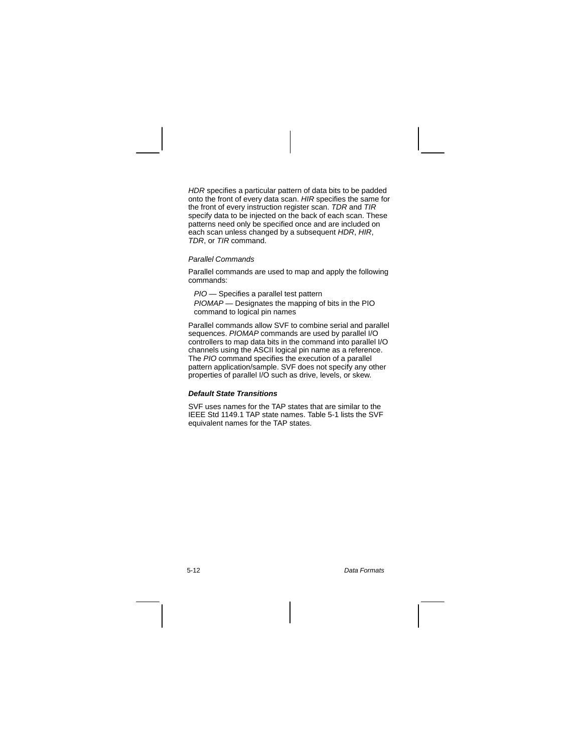HDR specifies a particular pattern of data bits to be padded onto the front of every data scan. HIR specifies the same for the front of every instruction register scan. TDR and TIR specify data to be injected on the back of each scan. These patterns need only be specified once and are included on each scan unless changed by a subsequent HDR, HIR, TDR, or TIR command.

#### Parallel Commands

Parallel commands are used to map and apply the following commands:

PIO — Specifies a parallel test pattern PIOMAP — Designates the mapping of bits in the PIO command to logical pin names

Parallel commands allow SVF to combine serial and parallel sequences. PIOMAP commands are used by parallel I/O controllers to map data bits in the command into parallel I/O channels using the ASCII logical pin name as a reference. The PIO command specifies the execution of a parallel pattern application/sample. SVF does not specify any other properties of parallel I/O such as drive, levels, or skew.

#### **Default State Transitions**

SVF uses names for the TAP states that are similar to the IEEE Std 1149.1 TAP state names. Table 5-1 lists the SVF equivalent names for the TAP states.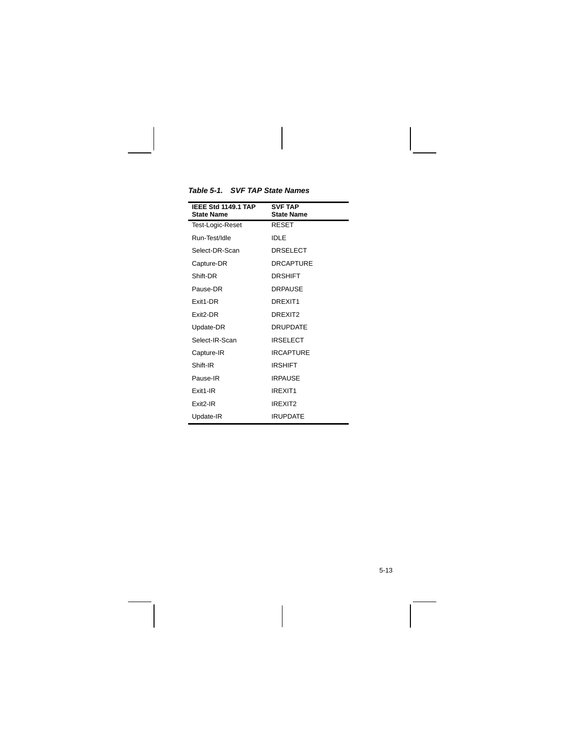| IEEE Std 1149.1 TAP<br><b>State Name</b> | <b>SVF TAP</b><br><b>State Name</b> |
|------------------------------------------|-------------------------------------|
| Test-Logic-Reset                         | RESET                               |
| Run-Test/Idle                            | IDLE                                |
| Select-DR-Scan                           | <b>DRSELECT</b>                     |
| Capture-DR                               | <b>DRCAPTURE</b>                    |
| Shift-DR                                 | <b>DRSHIFT</b>                      |
| Pause-DR                                 | <b>DRPAUSE</b>                      |
| Exit1-DR                                 | DREXIT <sub>1</sub>                 |
| Exit2-DR                                 | DREXIT2                             |
| Update-DR                                | <b>DRUPDATE</b>                     |
| Select-IR-Scan                           | <b>IRSELECT</b>                     |
| Capture-IR                               | <b>IRCAPTURE</b>                    |
| Shift-IR                                 | <b>IRSHIFT</b>                      |
| Pause-IR                                 | <b>IRPAUSE</b>                      |
| Exit1-IR                                 | IREXIT1                             |
| $Exit2-IR$                               | IREXIT2                             |
| Update-IR                                | <b>IRUPDATE</b>                     |

**Table 5-1. SVF TAP State Names**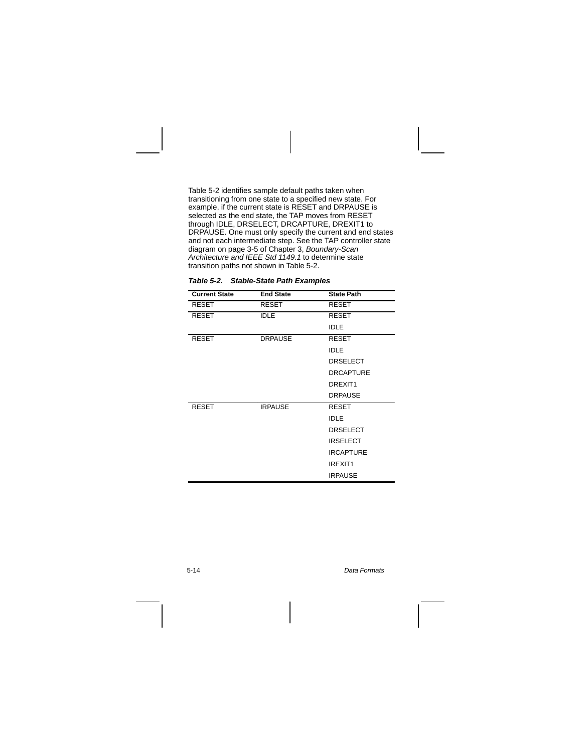Table 5-2 identifies sample default paths taken when transitioning from one state to a specified new state. For example, if the current state is RESET and DRPAUSE is selected as the end state, the TAP moves from RESET through IDLE, DRSELECT, DRCAPTURE, DREXIT1 to DRPAUSE. One must only specify the current and end states and not each intermediate step. See the TAP controller state diagram on page 3-5 of Chapter 3, Boundary-Scan Architecture and IEEE Std 1149.1 to determine state transition paths not shown in Table 5-2.

| <b>Current State</b> | <b>End State</b> | <b>State Path</b> |
|----------------------|------------------|-------------------|
| <b>RESET</b>         | <b>RESET</b>     | <b>RESET</b>      |
| <b>RESET</b>         | <b>IDLE</b>      | <b>RESET</b>      |
|                      |                  | <b>IDLE</b>       |
| RESET                | <b>DRPAUSE</b>   | <b>RESET</b>      |
|                      |                  | <b>IDLE</b>       |
|                      |                  | <b>DRSELECT</b>   |
|                      |                  | <b>DRCAPTURE</b>  |
|                      |                  | DREXIT1           |
|                      |                  | <b>DRPAUSE</b>    |
| <b>RESET</b>         | <b>IRPAUSE</b>   | <b>RESET</b>      |
|                      |                  | <b>IDLE</b>       |
|                      |                  | <b>DRSELECT</b>   |
|                      |                  | <b>IRSELECT</b>   |
|                      |                  | <b>IRCAPTURE</b>  |
|                      |                  | IREXIT1           |
|                      |                  | <b>IRPAUSE</b>    |

**Table 5-2. Stable-State Path Examples**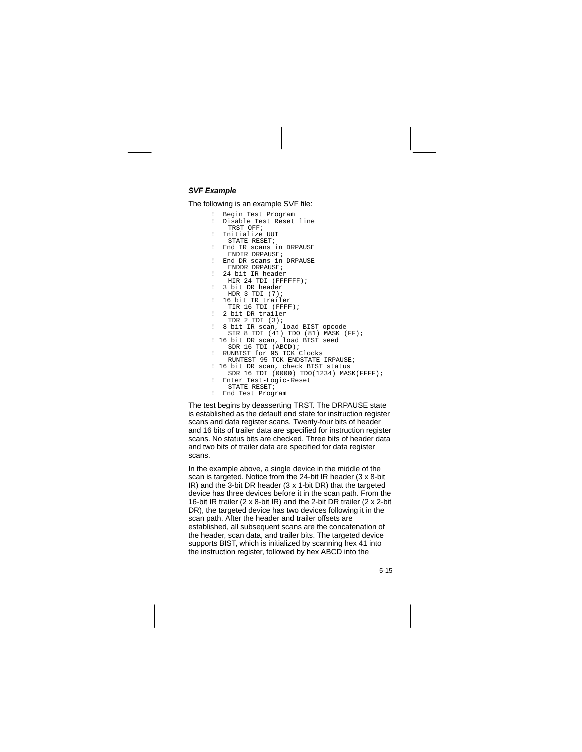### **SVF Example**

The following is an example SVF file:

```
! Begin Test Program<br>! Disable Test Reset
! Disable Test Reset line<br>TRST OFF;<br>! Initialize UUT<br>STATE RESET;
STATE RESET; ! ENDIR DRPAUSE;<br>! End DR scans in DRPAUSE<br>! ENDDR DRPAUSE;<br>! ENDDR DRPAUSE;<br>! 24 bit IR header
     HIR 24 TDI (FFFFFF);
! 3 bit DR header
     HDR 3 TDI (7);
! 16 bit IR trailer
      TIR 16 TDI (FFFF);
! 2 bit DR trailer
      TDR 2 TDI (3);
! 8 bit IR scan, load BIST opcode
      SIR 8 TDI (41) TDO (81) MASK (FF);
! 16 bit DR scan, load BIST seed
      SDR 16 TDI (ABCD);
! RUNBIST for 95 TCK Clocks RUNTEST 95 TCK ENDSTATE IRPAUSE; ! 16 bit DR scan, check BIST status
      SDR 16 TDI (0000) TDO(1234) MASK(FFFF);
! Enter Test-Logic-Reset STATE RESET; ! End Test Program
```
The test begins by deasserting TRST. The DRPAUSE state is established as the default end state for instruction register scans and data register scans. Twenty-four bits of header and 16 bits of trailer data are specified for instruction register scans. No status bits are checked. Three bits of header data and two bits of trailer data are specified for data register scans.

In the example above, a single device in the middle of the scan is targeted. Notice from the 24-bit IR header (3 x 8-bit IR) and the 3-bit DR header (3 x 1-bit DR) that the targeted device has three devices before it in the scan path. From the 16-bit IR trailer (2 x 8-bit IR) and the 2-bit DR trailer (2 x 2-bit DR), the targeted device has two devices following it in the scan path. After the header and trailer offsets are established, all subsequent scans are the concatenation of the header, scan data, and trailer bits. The targeted device supports BIST, which is initialized by scanning hex 41 into the instruction register, followed by hex ABCD into the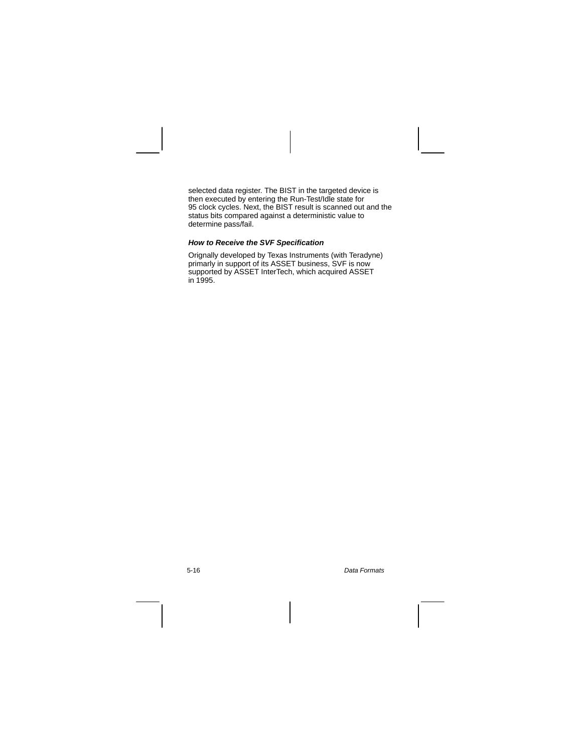selected data register. The BIST in the targeted device is then executed by entering the Run-Test/Idle state for 95 clock cycles. Next, the BIST result is scanned out and the status bits compared against a deterministic value to determine pass/fail.

### **How to Receive the SVF Specification**

Orignally developed by Texas Instruments (with Teradyne) primarly in support of its ASSET business, SVF is now supported by ASSET InterTech, which acquired ASSET<sup>™</sup> in 1995.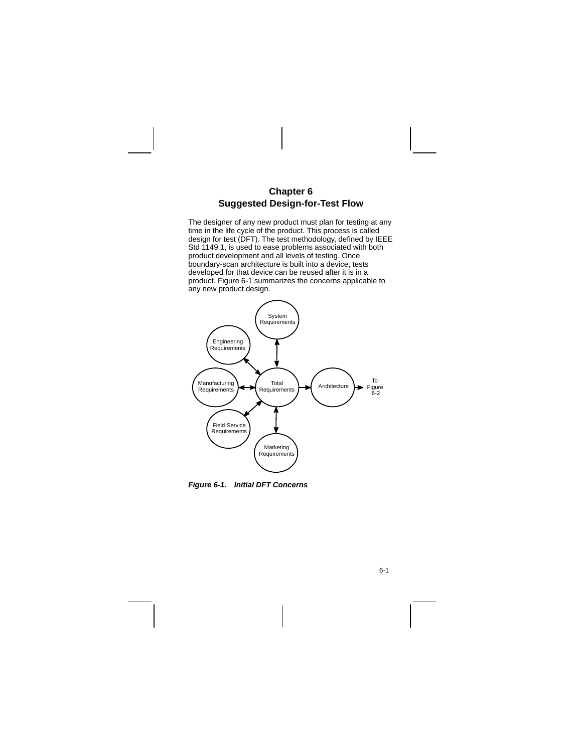# **Chapter 6 Suggested Design-for-Test Flow**

The designer of any new product must plan for testing at any time in the life cycle of the product. This process is called design for test (DFT). The test methodology, defined by IEEE Std 1149.1, is used to ease problems associated with both product development and all levels of testing. Once boundary-scan architecture is built into a device, tests developed for that device can be reused after it is in a product. Figure 6-1 summarizes the concerns applicable to any new product design.



**Figure 6-1. Initial DFT Concerns**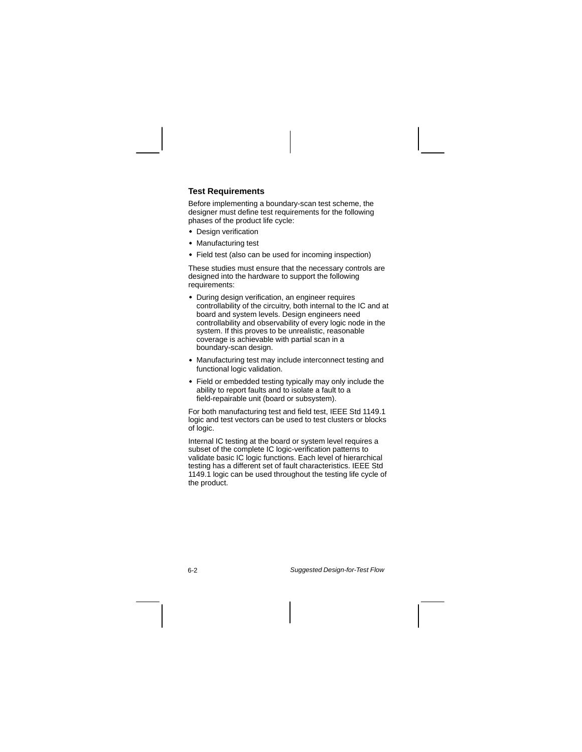## **Test Requirements**

Before implementing a boundary-scan test scheme, the designer must define test requirements for the following phases of the product life cycle:

- Design verification
- Manufacturing test
- Field test (also can be used for incoming inspection)

These studies must ensure that the necessary controls are designed into the hardware to support the following requirements:

- During design verification, an engineer requires controllability of the circuitry, both internal to the IC and at board and system levels. Design engineers need controllability and observability of every logic node in the system. If this proves to be unrealistic, reasonable coverage is achievable with partial scan in a boundary-scan design.
- Manufacturing test may include interconnect testing and functional logic validation.
- Field or embedded testing typically may only include the ability to report faults and to isolate a fault to a field-repairable unit (board or subsystem).

For both manufacturing test and field test, IEEE Std 1149.1 logic and test vectors can be used to test clusters or blocks of logic.

Internal IC testing at the board or system level requires a subset of the complete IC logic-verification patterns to validate basic IC logic functions. Each level of hierarchical testing has a different set of fault characteristics. IEEE Std 1149.1 logic can be used throughout the testing life cycle of the product.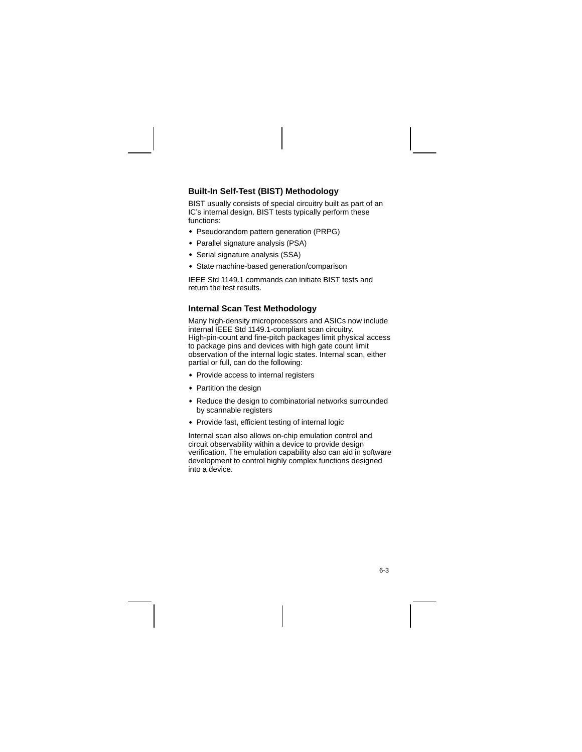# **Built-In Self-Test (BIST) Methodology**

BIST usually consists of special circuitry built as part of an IC's internal design. BIST tests typically perform these functions:

- Pseudorandom pattern generation (PRPG)
- Parallel signature analysis (PSA)
- Serial signature analysis (SSA)
- State machine-based generation/comparison

IEEE Std 1149.1 commands can initiate BIST tests and return the test results.

## **Internal Scan Test Methodology**

Many high-density microprocessors and ASICs now include internal IEEE Std 1149.1-compliant scan circuitry. High-pin-count and fine-pitch packages limit physical access to package pins and devices with high gate count limit observation of the internal logic states. Internal scan, either partial or full, can do the following:

- Provide access to internal registers
- Partition the design
- Reduce the design to combinatorial networks surrounded by scannable registers
- Provide fast, efficient testing of internal logic

Internal scan also allows on-chip emulation control and circuit observability within a device to provide design verification. The emulation capability also can aid in software development to control highly complex functions designed into a device.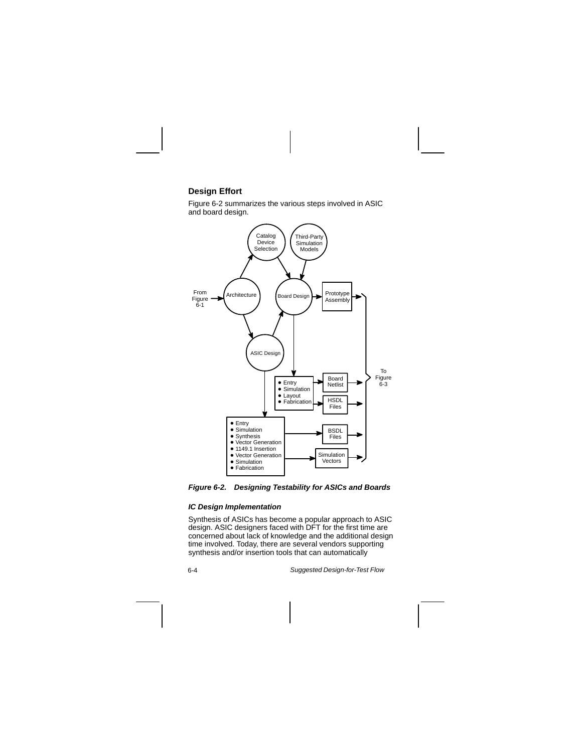## **Design Effort**

Figure 6-2 summarizes the various steps involved in ASIC and board design.



**Figure 6-2. Designing Testability for ASICs and Boards**

### **IC Design Implementation**

Synthesis of ASICs has become a popular approach to ASIC design. ASIC designers faced with DFT for the first time are concerned about lack of knowledge and the additional design time involved. Today, there are several vendors supporting synthesis and/or insertion tools that can automatically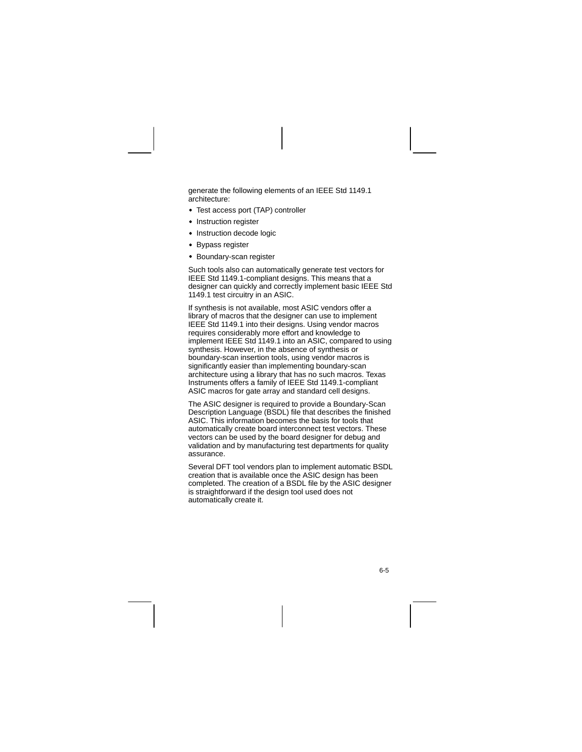generate the following elements of an IEEE Std 1149.1 architecture:

- Test access port (TAP) controller
- Instruction register
- Instruction decode logic
- Bypass register
- Boundary-scan register

Such tools also can automatically generate test vectors for IEEE Std 1149.1-compliant designs. This means that a designer can quickly and correctly implement basic IEEE Std 1149.1 test circuitry in an ASIC.

If synthesis is not available, most ASIC vendors offer a library of macros that the designer can use to implement IEEE Std 1149.1 into their designs. Using vendor macros requires considerably more effort and knowledge to implement IEEE Std 1149.1 into an ASIC, compared to using synthesis. However, in the absence of synthesis or boundary-scan insertion tools, using vendor macros is significantly easier than implementing boundary-scan architecture using a library that has no such macros. Texas Instruments offers a family of IEEE Std 1149.1-compliant ASIC macros for gate array and standard cell designs.

The ASIC designer is required to provide a Boundary-Scan Description Language (BSDL) file that describes the finished ASIC. This information becomes the basis for tools that automatically create board interconnect test vectors. These vectors can be used by the board designer for debug and validation and by manufacturing test departments for quality assurance.

Several DFT tool vendors plan to implement automatic BSDL creation that is available once the ASIC design has been completed. The creation of a BSDL file by the ASIC designer is straightforward if the design tool used does not automatically create it.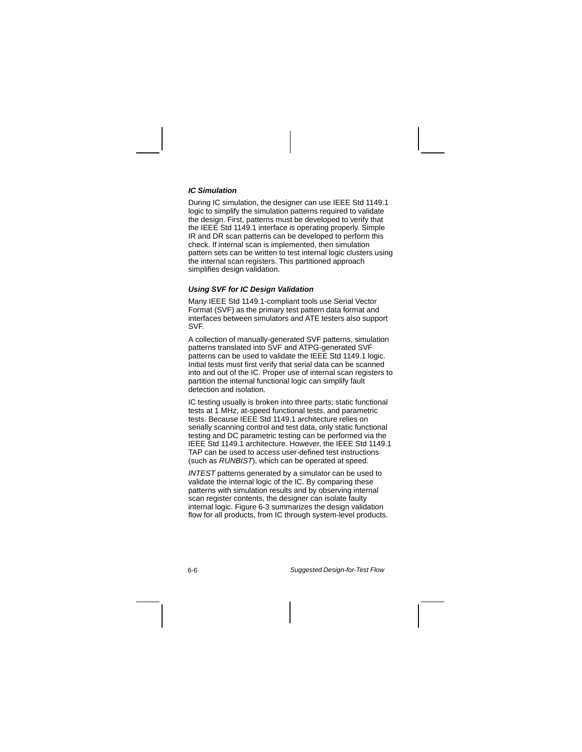### **IC Simulation**

During IC simulation, the designer can use IEEE Std 1149.1 logic to simplify the simulation patterns required to validate the design. First, patterns must be developed to verify that the IEEE Std 1149.1 interface is operating properly. Simple IR and DR scan patterns can be developed to perform this check. If internal scan is implemented, then simulation pattern sets can be written to test internal logic clusters using the internal scan registers. This partitioned approach simplifies design validation.

### **Using SVF for IC Design Validation**

Many IEEE Std 1149.1-compliant tools use Serial Vector Format (SVF) as the primary test pattern data format and interfaces between simulators and ATE testers also support SVF.

A collection of manually-generated SVF patterns, simulation patterns translated into SVF and ATPG-generated SVF patterns can be used to validate the IEEE Std 1149.1 logic. Initial tests must first verify that serial data can be scanned into and out of the IC. Proper use of internal scan registers to partition the internal functional logic can simplify fault detection and isolation.

IC testing usually is broken into three parts; static functional tests at 1 MHz, at-speed functional tests, and parametric tests. Because IEEE Std 1149.1 architecture relies on serially scanning control and test data, only static functional testing and DC parametric testing can be performed via the IEEE Std 1149.1 architecture. However, the IEEE Std 1149.1 TAP can be used to access user-defined test instructions (such as RUNBIST), which can be operated at speed.

INTEST patterns generated by a simulator can be used to validate the internal logic of the IC. By comparing these patterns with simulation results and by observing internal scan register contents, the designer can isolate faulty internal logic. Figure 6-3 summarizes the design validation flow for all products, from IC through system-level products.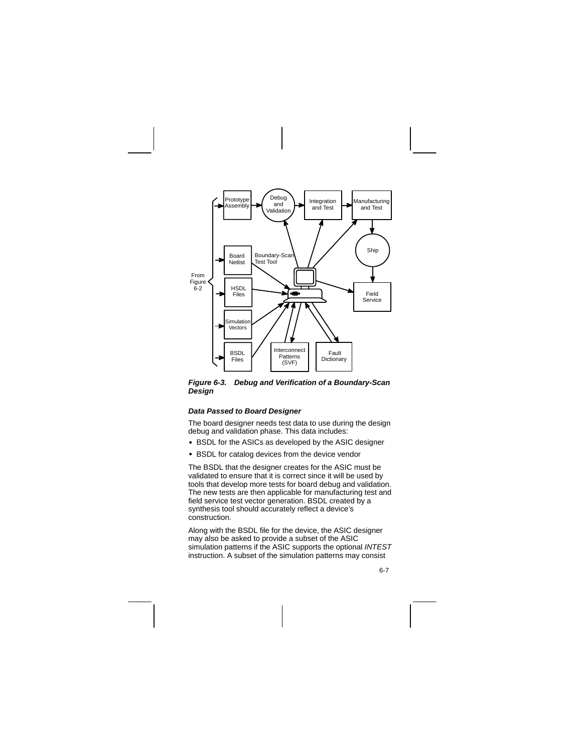

**Figure 6-3. Debug and Verification of a Boundary-Scan Design**

### **Data Passed to Board Designer**

The board designer needs test data to use during the design debug and validation phase. This data includes:

- BSDL for the ASICs as developed by the ASIC designer
- BSDL for catalog devices from the device vendor

The BSDL that the designer creates for the ASIC must be validated to ensure that it is correct since it will be used by tools that develop more tests for board debug and validation. The new tests are then applicable for manufacturing test and field service test vector generation. BSDL created by a synthesis tool should accurately reflect a device's construction.

Along with the BSDL file for the device, the ASIC designer may also be asked to provide a subset of the ASIC simulation patterns if the ASIC supports the optional INTEST instruction. A subset of the simulation patterns may consist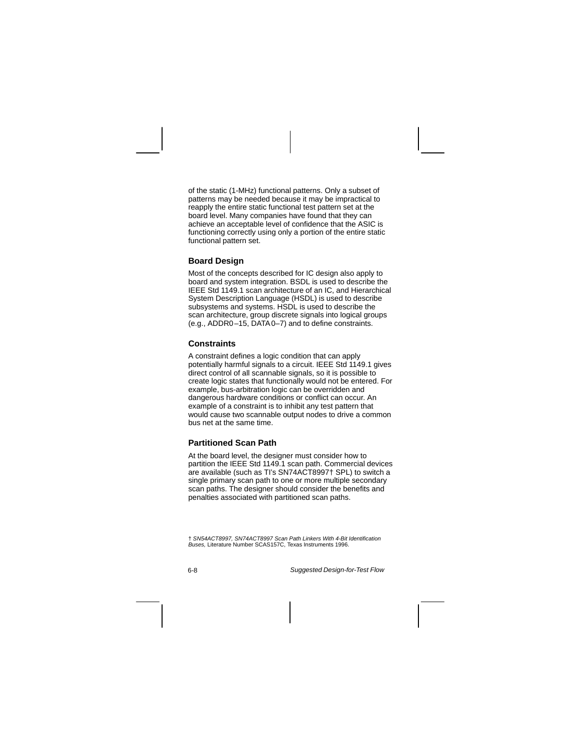of the static (1-MHz) functional patterns. Only a subset of patterns may be needed because it may be impractical to reapply the entire static functional test pattern set at the board level. Many companies have found that they can achieve an acceptable level of confidence that the ASIC is functioning correctly using only a portion of the entire static functional pattern set.

## **Board Design**

Most of the concepts described for IC design also apply to board and system integration. BSDL is used to describe the IEEE Std 1149.1 scan architecture of an IC, and Hierarchical System Description Language (HSDL) is used to describe subsystems and systems. HSDL is used to describe the scan architecture, group discrete signals into logical groups (e.g., ADDR0–15, DATA0–7) and to define constraints.

## **Constraints**

A constraint defines a logic condition that can apply potentially harmful signals to a circuit. IEEE Std 1149.1 gives direct control of all scannable signals, so it is possible to create logic states that functionally would not be entered. For example, bus-arbitration logic can be overridden and dangerous hardware conditions or conflict can occur. An example of a constraint is to inhibit any test pattern that would cause two scannable output nodes to drive a common bus net at the same time.

## **Partitioned Scan Path**

At the board level, the designer must consider how to partition the IEEE Std 1149.1 scan path. Commercial devices are available (such as TI's SN74ACT8997† SPL) to switch a single primary scan path to one or more multiple secondary scan paths. The designer should consider the benefits and penalties associated with partitioned scan paths.

<sup>†</sup> SN54ACT8997, SN74ACT8997 Scan Path Linkers With 4-Bit Identification Buses, Literature Number SCAS157C, Texas Instruments 1996.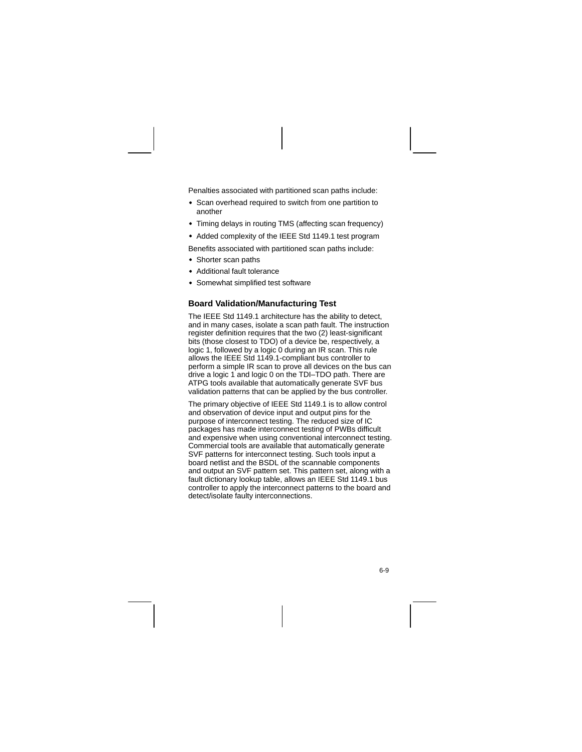Penalties associated with partitioned scan paths include:

- Scan overhead required to switch from one partition to another
- Timing delays in routing TMS (affecting scan frequency)
- Added complexity of the IEEE Std 1149.1 test program

Benefits associated with partitioned scan paths include:

- Shorter scan paths
- Additional fault tolerance
- Somewhat simplified test software

### **Board Validation/Manufacturing Test**

The IEEE Std 1149.1 architecture has the ability to detect, and in many cases, isolate a scan path fault. The instruction register definition requires that the two (2) least-significant bits (those closest to TDO) of a device be, respectively, a logic 1, followed by a logic 0 during an IR scan. This rule allows the IEEE Std 1149.1-compliant bus controller to perform a simple IR scan to prove all devices on the bus can drive a logic 1 and logic 0 on the TDI–TDO path. There are ATPG tools available that automatically generate SVF bus validation patterns that can be applied by the bus controller.

The primary objective of IEEE Std 1149.1 is to allow control and observation of device input and output pins for the purpose of interconnect testing. The reduced size of IC packages has made interconnect testing of PWBs difficult and expensive when using conventional interconnect testing. Commercial tools are available that automatically generate SVF patterns for interconnect testing. Such tools input a board netlist and the BSDL of the scannable components and output an SVF pattern set. This pattern set, along with a fault dictionary lookup table, allows an IEEE Std 1149.1 bus controller to apply the interconnect patterns to the board and detect/isolate faulty interconnections.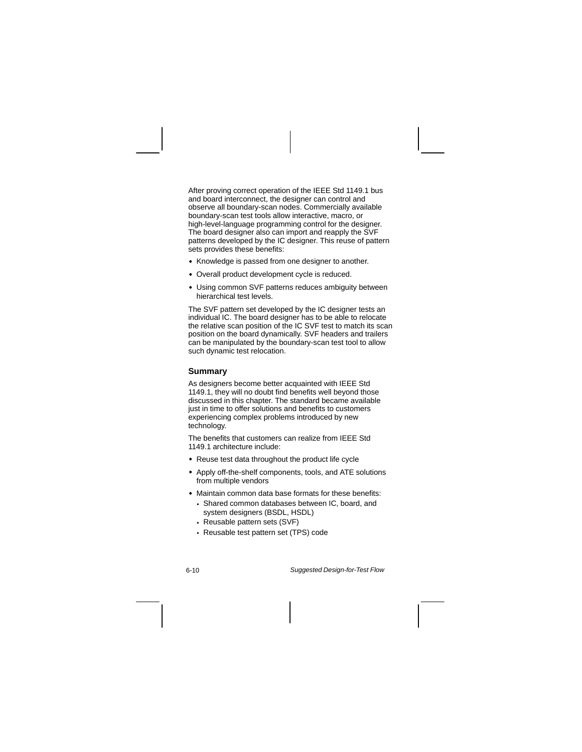After proving correct operation of the IEEE Std 1149.1 bus and board interconnect, the designer can control and observe all boundary-scan nodes. Commercially available boundary-scan test tools allow interactive, macro, or high-level-language programming control for the designer. The board designer also can import and reapply the SVF patterns developed by the IC designer. This reuse of pattern sets provides these benefits:

- Knowledge is passed from one designer to another.
- Overall product development cycle is reduced.
- Using common SVF patterns reduces ambiguity between hierarchical test levels.

The SVF pattern set developed by the IC designer tests an individual IC. The board designer has to be able to relocate the relative scan position of the IC SVF test to match its scan position on the board dynamically. SVF headers and trailers can be manipulated by the boundary-scan test tool to allow such dynamic test relocation.

## **Summary**

As designers become better acquainted with IEEE Std 1149.1, they will no doubt find benefits well beyond those discussed in this chapter. The standard became available just in time to offer solutions and benefits to customers experiencing complex problems introduced by new technology.

The benefits that customers can realize from IEEE Std 1149.1 architecture include:

- Reuse test data throughout the product life cycle
- Apply off-the-shelf components, tools, and ATE solutions from multiple vendors
- Maintain common data base formats for these benefits:
	- Shared common databases between IC, board, and system designers (BSDL, HSDL)
	- Reusable pattern sets (SVF)
	- Reusable test pattern set (TPS) code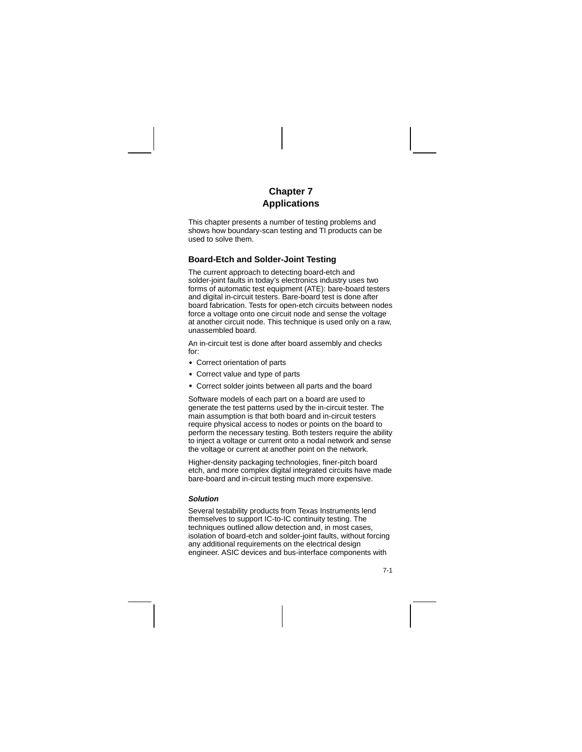# **Chapter 7 Applications**

This chapter presents a number of testing problems and shows how boundary-scan testing and TI products can be used to solve them.

## **Board-Etch and Solder-Joint Testing**

The current approach to detecting board-etch and solder-joint faults in today's electronics industry uses two forms of automatic test equipment (ATE): bare-board testers and digital in-circuit testers. Bare-board test is done after board fabrication. Tests for open-etch circuits between nodes force a voltage onto one circuit node and sense the voltage at another circuit node. This technique is used only on a raw, unassembled board.

An in-circuit test is done after board assembly and checks for:

- Correct orientation of parts
- Correct value and type of parts
- Correct solder joints between all parts and the board

Software models of each part on a board are used to generate the test patterns used by the in-circuit tester. The main assumption is that both board and in-circuit testers require physical access to nodes or points on the board to perform the necessary testing. Both testers require the ability to inject a voltage or current onto a nodal network and sense the voltage or current at another point on the network.

Higher-density packaging technologies, finer-pitch board etch, and more complex digital integrated circuits have made bare-board and in-circuit testing much more expensive.

### **Solution**

Several testability products from Texas Instruments lend themselves to support IC-to-IC continuity testing. The techniques outlined allow detection and, in most cases, isolation of board-etch and solder-joint faults, without forcing any additional requirements on the electrical design engineer. ASIC devices and bus-interface components with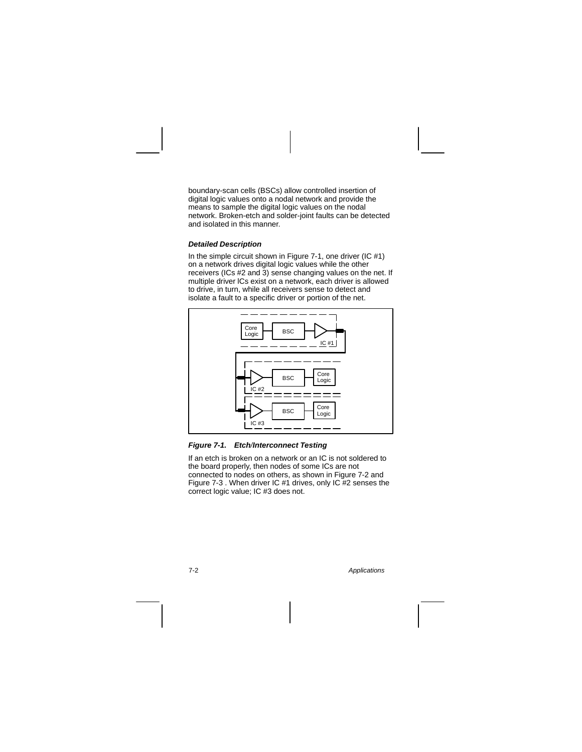boundary-scan cells (BSCs) allow controlled insertion of digital logic values onto a nodal network and provide the means to sample the digital logic values on the nodal network. Broken-etch and solder-joint faults can be detected and isolated in this manner.

### **Detailed Description**

In the simple circuit shown in Figure 7-1, one driver (IC #1) on a network drives digital logic values while the other receivers (ICs #2 and 3) sense changing values on the net. If multiple driver lCs exist on a network, each driver is allowed to drive, in turn, while all receivers sense to detect and isolate a fault to a specific driver or portion of the net.



#### **Figure 7-1. Etch**/**Interconnect Testing**

If an etch is broken on a network or an IC is not soldered to the board properly, then nodes of some ICs are not connected to nodes on others, as shown in Figure 7-2 and Figure 7-3 . When driver IC #1 drives, only IC #2 senses the correct logic value; IC #3 does not.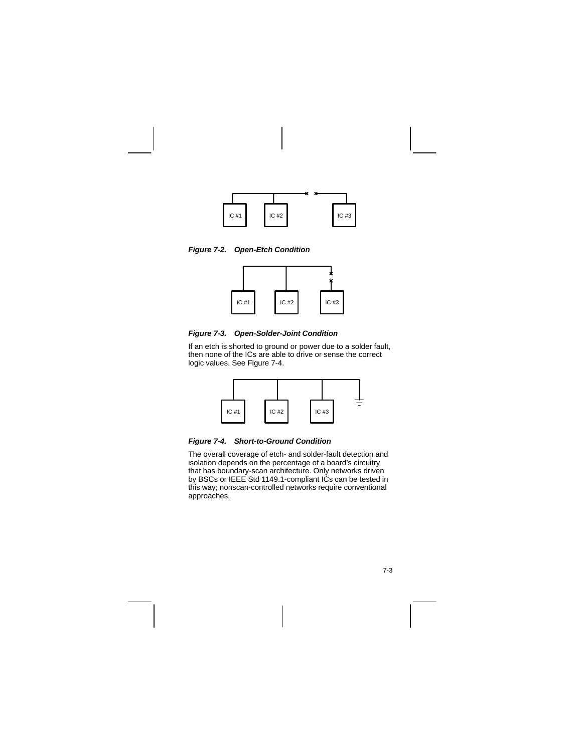





## **Figure 7-3. Open-Solder-Joint Condition**

If an etch is shorted to ground or power due to a solder fault, then none of the ICs are able to drive or sense the correct logic values. See Figure 7-4.



## **Figure 7-4. Short-to-Ground Condition**

The overall coverage of etch- and solder-fault detection and isolation depends on the percentage of a board's circuitry that has boundary-scan architecture. Only networks driven by BSCs or IEEE Std 1149.1-compliant ICs can be tested in this way; nonscan-controlled networks require conventional approaches.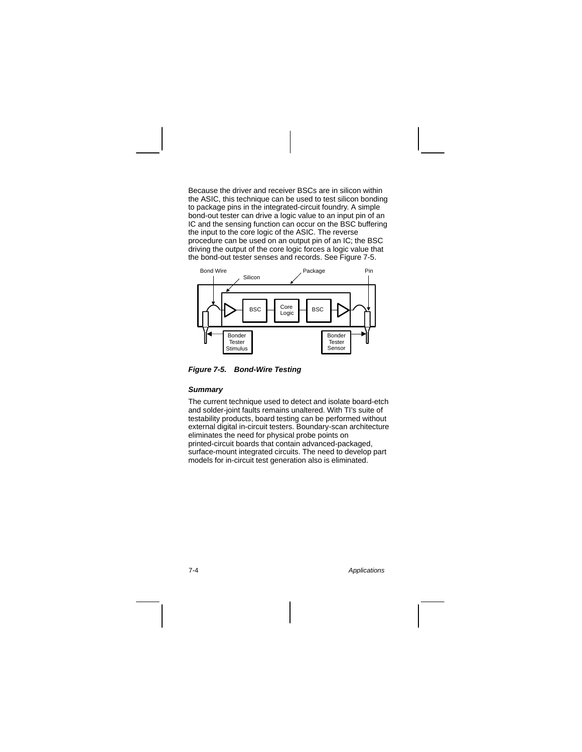Because the driver and receiver BSCs are in silicon within the ASIC, this technique can be used to test silicon bonding to package pins in the integrated-circuit foundry. A simple bond-out tester can drive a logic value to an input pin of an IC and the sensing function can occur on the BSC buffering the input to the core logic of the ASIC. The reverse procedure can be used on an output pin of an IC; the BSC driving the output of the core logic forces a logic value that the bond-out tester senses and records. See Figure 7-5.



**Figure 7-5. Bond-Wire Testing**

## **Summary**

The current technique used to detect and isolate board-etch and solder-joint faults remains unaltered. With TI's suite of testability products, board testing can be performed without external digital in-circuit testers. Boundary-scan architecture eliminates the need for physical probe points on printed-circuit boards that contain advanced-packaged, surface-mount integrated circuits. The need to develop part models for in-circuit test generation also is eliminated.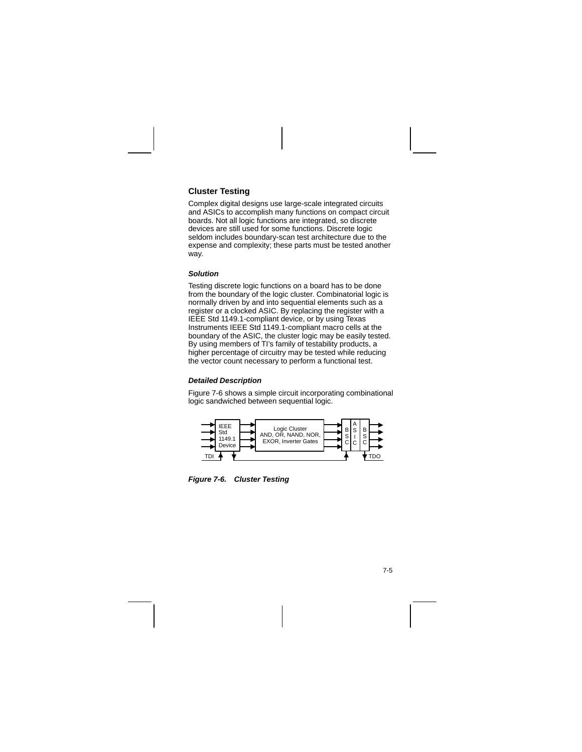## **Cluster Testing**

Complex digital designs use large-scale integrated circuits and ASICs to accomplish many functions on compact circuit boards. Not all logic functions are integrated, so discrete devices are still used for some functions. Discrete logic seldom includes boundary-scan test architecture due to the expense and complexity; these parts must be tested another way.

## **Solution**

Testing discrete logic functions on a board has to be done from the boundary of the logic cluster. Combinatorial logic is normally driven by and into sequential elements such as a register or a clocked ASIC. By replacing the register with a IEEE Std 1149.1-compliant device, or by using Texas Instruments IEEE Std 1149.1-compliant macro cells at the boundary of the ASIC, the cluster logic may be easily tested. By using members of TI's family of testability products, a higher percentage of circuitry may be tested while reducing the vector count necessary to perform a functional test.

## **Detailed Description**

Figure 7-6 shows a simple circuit incorporating combinational logic sandwiched between sequential logic.



**Figure 7-6. Cluster Testing**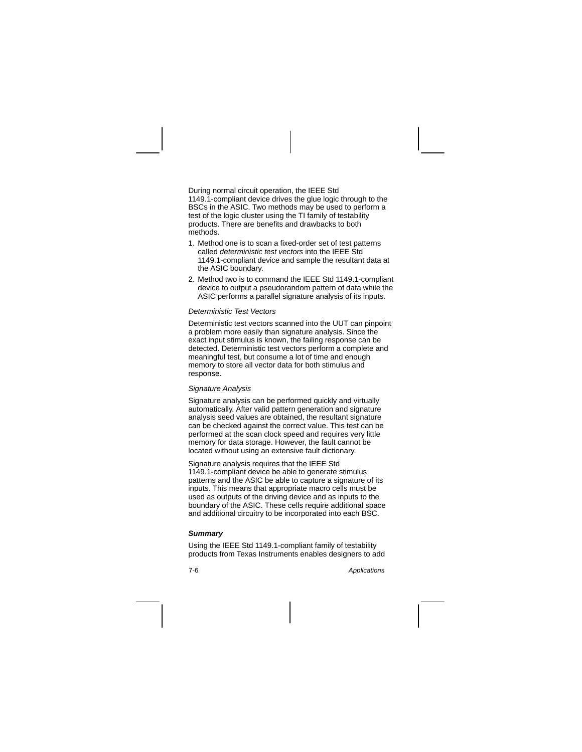During normal circuit operation, the IEEE Std 1149.1-compliant device drives the glue logic through to the BSCs in the ASIC. Two methods may be used to perform a test of the logic cluster using the TI family of testability products. There are benefits and drawbacks to both methods.

- 1. Method one is to scan a fixed-order set of test patterns called deterministic test vectors into the IEEE Std 1149.1-compliant device and sample the resultant data at the ASIC boundary.
- 2. Method two is to command the IEEE Std 1149.1-compliant device to output a pseudorandom pattern of data while the ASIC performs a parallel signature analysis of its inputs.

#### Deterministic Test Vectors

Deterministic test vectors scanned into the UUT can pinpoint a problem more easily than signature analysis. Since the exact input stimulus is known, the failing response can be detected. Deterministic test vectors perform a complete and meaningful test, but consume a lot of time and enough memory to store all vector data for both stimulus and response.

#### Signature Analysis

Signature analysis can be performed quickly and virtually automatically. After valid pattern generation and signature analysis seed values are obtained, the resultant signature can be checked against the correct value. This test can be performed at the scan clock speed and requires very little memory for data storage. However, the fault cannot be located without using an extensive fault dictionary.

Signature analysis requires that the IEEE Std 1149.1-compliant device be able to generate stimulus patterns and the ASIC be able to capture a signature of its inputs. This means that appropriate macro cells must be used as outputs of the driving device and as inputs to the boundary of the ASIC. These cells require additional space and additional circuitry to be incorporated into each BSC.

## **Summary**

Using the IEEE Std 1149.1-compliant family of testability products from Texas Instruments enables designers to add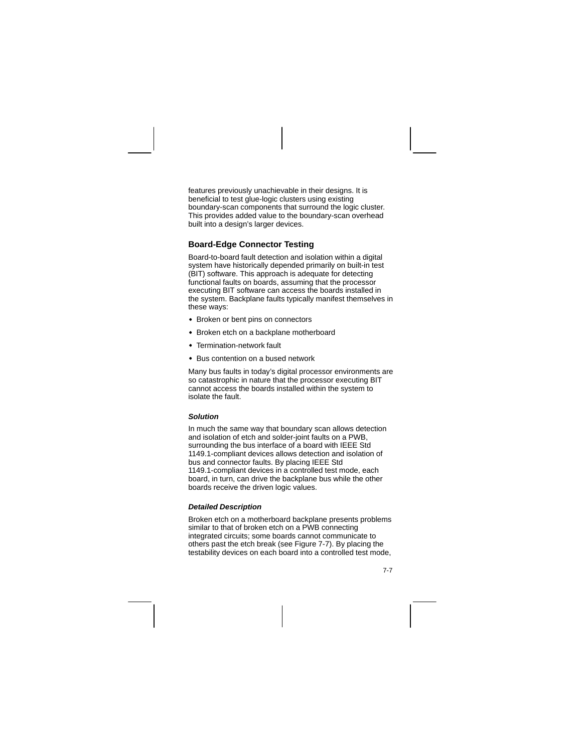features previously unachievable in their designs. It is beneficial to test glue-logic clusters using existing boundary-scan components that surround the logic cluster. This provides added value to the boundary-scan overhead built into a design's larger devices.

## **Board-Edge Connector Testing**

Board-to-board fault detection and isolation within a digital system have historically depended primarily on built-in test (BIT) software. This approach is adequate for detecting functional faults on boards, assuming that the processor executing BIT software can access the boards installed in the system. Backplane faults typically manifest themselves in these ways:

- Broken or bent pins on connectors
- Broken etch on a backplane motherboard
- Termination-network fault
- Bus contention on a bused network

Many bus faults in today's digital processor environments are so catastrophic in nature that the processor executing BIT cannot access the boards installed within the system to isolate the fault.

## **Solution**

In much the same way that boundary scan allows detection and isolation of etch and solder-joint faults on a PWB, surrounding the bus interface of a board with IEEE Std 1149.1-compliant devices allows detection and isolation of bus and connector faults. By placing IEEE Std 1149.1-compliant devices in a controlled test mode, each board, in turn, can drive the backplane bus while the other boards receive the driven logic values.

## **Detailed Description**

Broken etch on a motherboard backplane presents problems similar to that of broken etch on a PWB connecting integrated circuits; some boards cannot communicate to others past the etch break (see Figure 7-7). By placing the testability devices on each board into a controlled test mode,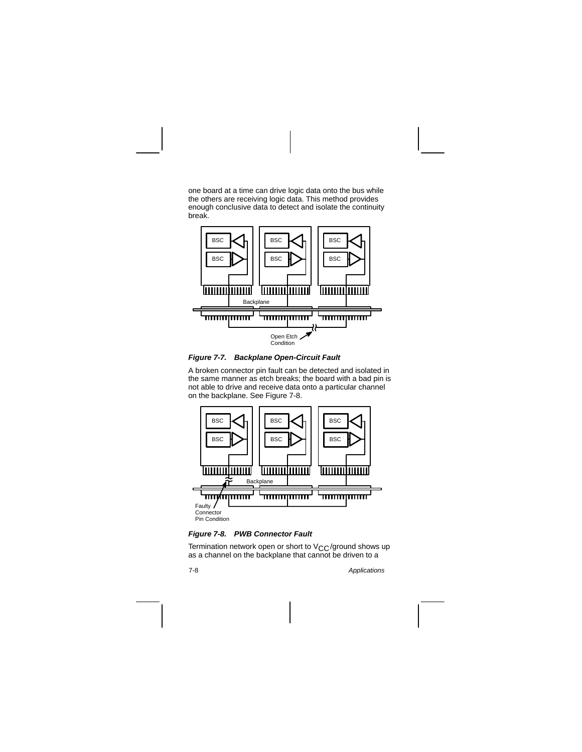one board at a time can drive logic data onto the bus while the others are receiving logic data. This method provides enough conclusive data to detect and isolate the continuity break.



## **Figure 7-7. Backplane Open-Circuit Fault**

A broken connector pin fault can be detected and isolated in the same manner as etch breaks; the board with a bad pin is not able to drive and receive data onto a particular channel on the backplane. See Figure 7-8.



## **Figure 7-8. PWB Connector Fault**

Termination network open or short to  $V_{CC}/$  ground shows up as a channel on the backplane that cannot be driven to a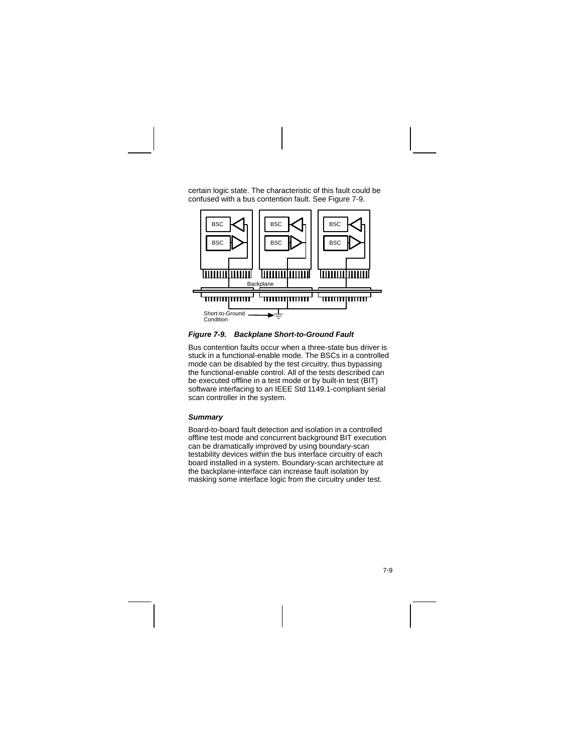certain logic state. The characteristic of this fault could be confused with a bus contention fault. See Figure 7-9.



**Figure 7-9. Backplane Short-to-Ground Fault**

Bus contention faults occur when a three-state bus driver is stuck in a functional-enable mode. The BSCs in a controlled mode can be disabled by the test circuitry, thus bypassing the functional-enable control. All of the tests described can be executed offline in a test mode or by built-in test (BIT) software interfacing to an IEEE Std 1149.1-compliant serial scan controller in the system.

## **Summary**

Board-to-board fault detection and isolation in a controlled offline test mode and concurrent background BIT execution can be dramatically improved by using boundary-scan testability devices within the bus interface circuitry of each board installed in a system. Boundary-scan architecture at the backplane-interface can increase fault isolation by masking some interface logic from the circuitry under test.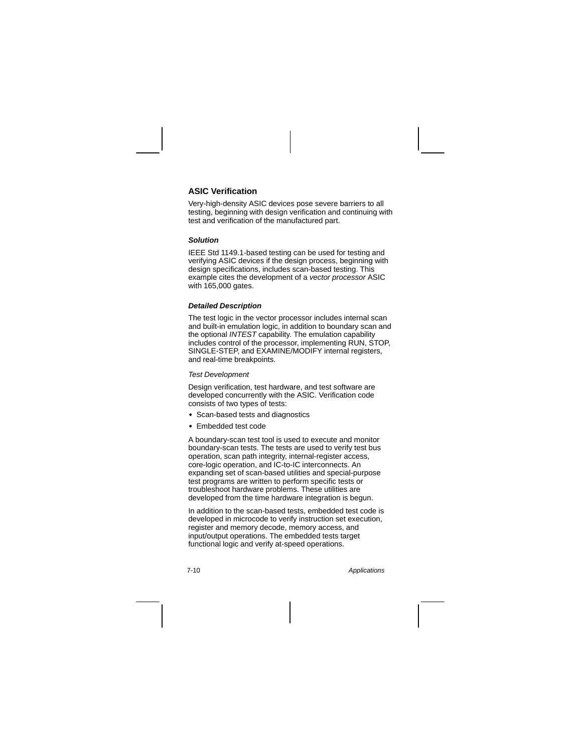## **ASIC Verification**

Very-high-density ASIC devices pose severe barriers to all testing, beginning with design verification and continuing with test and verification of the manufactured part.

### **Solution**

IEEE Std 1149.1-based testing can be used for testing and verifying ASIC devices if the design process, beginning with design specifications, includes scan-based testing. This example cites the development of a vector processor ASIC with 165,000 gates.

### **Detailed Description**

The test logic in the vector processor includes internal scan and built-in emulation logic, in addition to boundary scan and the optional INTEST capability. The emulation capability includes control of the processor, implementing RUN, STOP, SINGLE-STEP, and EXAMINE/MODIFY internal registers, and real-time breakpoints.

#### Test Development

Design verification, test hardware, and test software are developed concurrently with the ASIC. Verification code consists of two types of tests:

- Scan-based tests and diagnostics
- Embedded test code

A boundary-scan test tool is used to execute and monitor boundary-scan tests. The tests are used to verify test bus operation, scan path integrity, internal-register access, core-logic operation, and IC-to-IC interconnects. An expanding set of scan-based utilities and special-purpose test programs are written to perform specific tests or troubleshoot hardware problems. These utilities are developed from the time hardware integration is begun.

In addition to the scan-based tests, embedded test code is developed in microcode to verify instruction set execution, register and memory decode, memory access, and input/output operations. The embedded tests target functional logic and verify at-speed operations.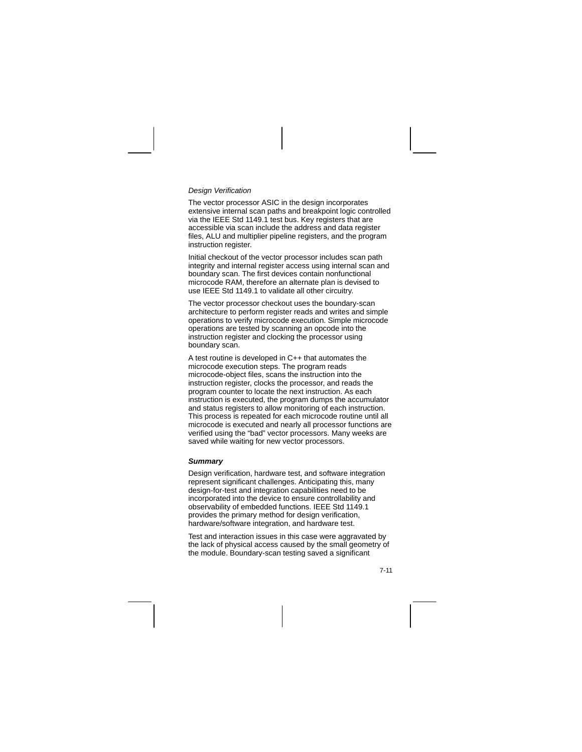#### Design Verification

The vector processor ASIC in the design incorporates extensive internal scan paths and breakpoint logic controlled via the IEEE Std 1149.1 test bus. Key registers that are accessible via scan include the address and data register files, ALU and multiplier pipeline registers, and the program instruction register.

Initial checkout of the vector processor includes scan path integrity and internal register access using internal scan and boundary scan. The first devices contain nonfunctional microcode RAM, therefore an alternate plan is devised to use IEEE Std 1149.1 to validate all other circuitry.

The vector processor checkout uses the boundary-scan architecture to perform register reads and writes and simple operations to verify microcode execution. Simple microcode operations are tested by scanning an opcode into the instruction register and clocking the processor using boundary scan.

A test routine is developed in C++ that automates the microcode execution steps. The program reads microcode-object files, scans the instruction into the instruction register, clocks the processor, and reads the program counter to locate the next instruction. As each instruction is executed, the program dumps the accumulator and status registers to allow monitoring of each instruction. This process is repeated for each microcode routine until all microcode is executed and nearly all processor functions are verified using the "bad" vector processors. Many weeks are saved while waiting for new vector processors.

#### **Summary**

Design verification, hardware test, and software integration represent significant challenges. Anticipating this, many design-for-test and integration capabilities need to be incorporated into the device to ensure controllability and observability of embedded functions. IEEE Std 1149.1 provides the primary method for design verification, hardware/software integration, and hardware test.

Test and interaction issues in this case were aggravated by the lack of physical access caused by the small geometry of the module. Boundary-scan testing saved a significant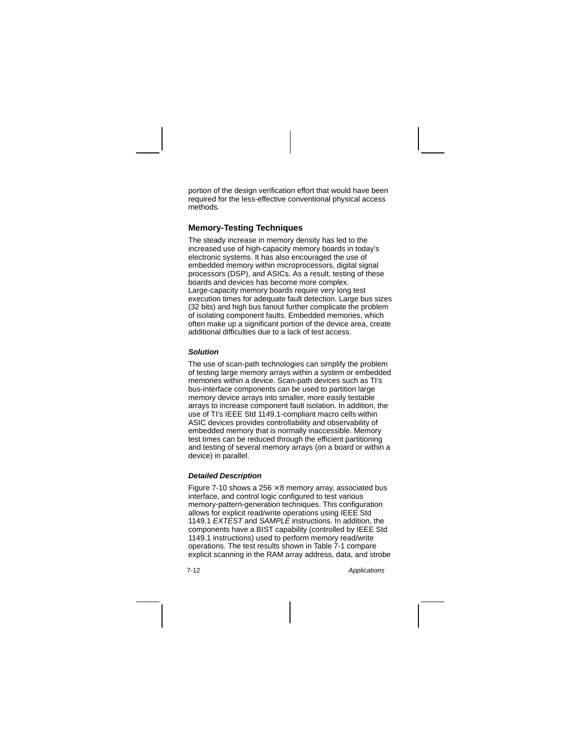portion of the design verification effort that would have been required for the less-effective conventional physical access methods.

## **Memory-Testing Techniques**

The steady increase in memory density has led to the increased use of high-capacity memory boards in today's electronic systems. It has also encouraged the use of embedded memory within microprocessors, digital signal processors (DSP), and ASICs. As a result, testing of these boards and devices has become more complex. Large-capacity memory boards require very long test execution times for adequate fault detection. Large bus sizes (32 bits) and high bus fanout further complicate the problem of isolating component faults. Embedded memories, which often make up a significant portion of the device area, create additional difficulties due to a lack of test access.

## **Solution**

The use of scan-path technologies can simplify the problem of testing large memory arrays within a system or embedded memories within a device. Scan-path devices such as TI's bus-interface components can be used to partition large memory device arrays into smaller, more easily testable arrays to increase component fault isolation. In addition, the use of TI's IEEE Std 1149.1-compliant macro cells within ASIC devices provides controllability and observability of embedded memory that is normally inaccessible. Memory test times can be reduced through the efficient partitioning and testing of several memory arrays (on a board or within a device) in parallel.

## **Detailed Description**

Figure 7-10 shows a 256  $\times$  8 memory array, associated bus interface, and control logic configured to test various memory-pattern-generation techniques. This configuration allows for explicit read/write operations using IEEE Std 1149.1 EXTEST and SAMPLE instructions. In addition, the components have a BIST capability (controlled by IEEE Std 1149.1 instructions) used to perform memory read/write operations. The test results shown in Table 7-1 compare explicit scanning in the RAM array address, data, and strobe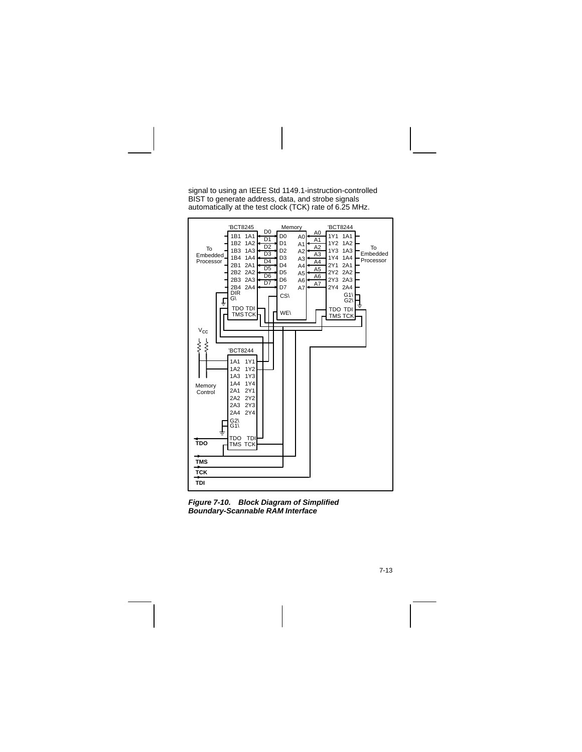signal to using an IEEE Std 1149.1-instruction-controlled BIST to generate address, data, and strobe signals automatically at the test clock (TCK) rate of 6.25 MHz.



**Figure 7-10. Block Diagram of Simplified Boundary-Scannable RAM Interface**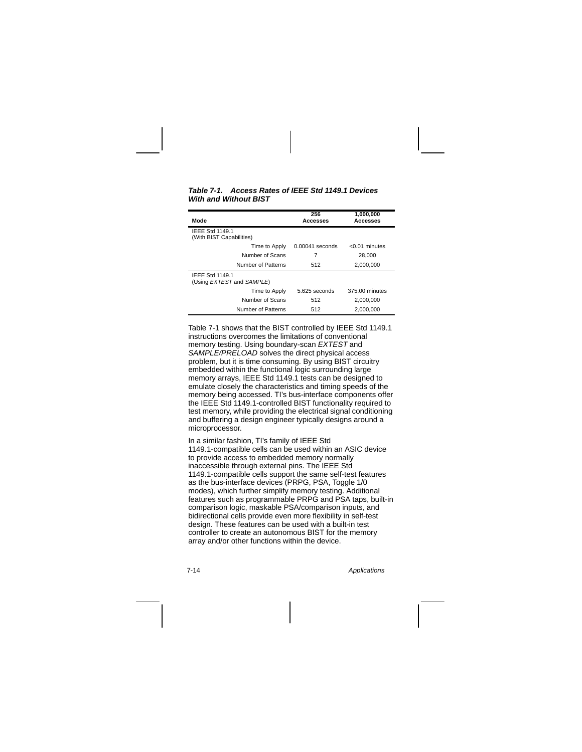| Mode                                                | 256<br>Accesses   | 1,000,000<br>Accesses |
|-----------------------------------------------------|-------------------|-----------------------|
| <b>IEEE Std 1149.1</b><br>(With BIST Capabilities)  |                   |                       |
| Time to Apply                                       | $0.00041$ seconds | $< 0.01$ minutes      |
| Number of Scans                                     | 7                 | 28,000                |
| Number of Patterns                                  | 512               | 2.000.000             |
| <b>IEEE Std 1149.1</b><br>(Using EXTEST and SAMPLE) |                   |                       |
| Time to Apply                                       | 5.625 seconds     | 375.00 minutes        |
| Number of Scans                                     | 512               | 2.000.000             |
| Number of Patterns                                  | 512               | 2.000.000             |

#### **Table 7-1. Access Rates of IEEE Std 1149.1 Devices With and Without BIST**

Table 7-1 shows that the BIST controlled by IEEE Std 1149.1 instructions overcomes the limitations of conventional memory testing. Using boundary-scan EXTEST and SAMPLE/PRELOAD solves the direct physical access problem, but it is time consuming. By using BIST circuitry embedded within the functional logic surrounding large memory arrays, IEEE Std 1149.1 tests can be designed to emulate closely the characteristics and timing speeds of the memory being accessed. TI's bus-interface components offer the IEEE Std 1149.1-controlled BIST functionality required to test memory, while providing the electrical signal conditioning and buffering a design engineer typically designs around a microprocessor.

In a similar fashion, TI's family of IEEE Std 1149.1-compatible cells can be used within an ASIC device to provide access to embedded memory normally inaccessible through external pins. The IEEE Std 1149.1-compatible cells support the same self-test features as the bus-interface devices (PRPG, PSA, Toggle 1/0 modes), which further simplify memory testing. Additional features such as programmable PRPG and PSA taps, built-in comparison logic, maskable PSA/comparison inputs, and bidirectional cells provide even more flexibility in self-test design. These features can be used with a built-in test controller to create an autonomous BIST for the memory array and/or other functions within the device.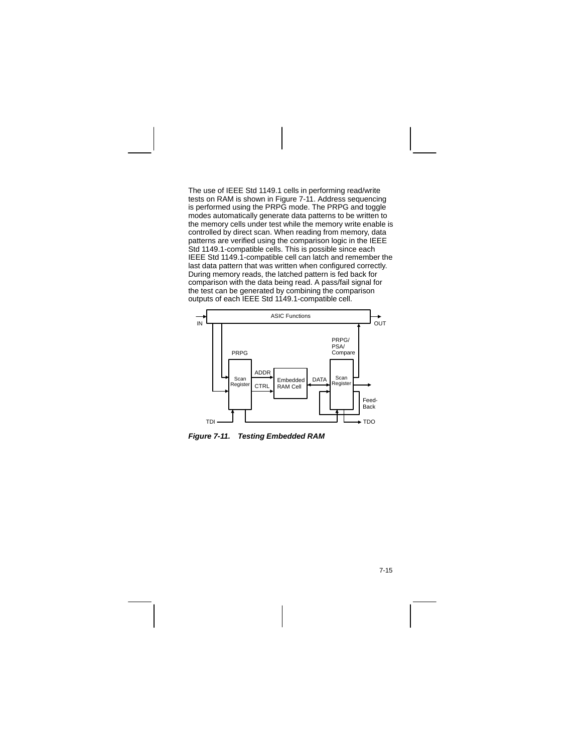The use of IEEE Std 1149.1 cells in performing read/write tests on RAM is shown in Figure 7-11. Address sequencing is performed using the PRPG mode. The PRPG and toggle modes automatically generate data patterns to be written to the memory cells under test while the memory write enable is controlled by direct scan. When reading from memory, data patterns are verified using the comparison logic in the IEEE Std 1149.1-compatible cells. This is possible since each IEEE Std 1149.1-compatible cell can latch and remember the last data pattern that was written when configured correctly. During memory reads, the latched pattern is fed back for comparison with the data being read. A pass/fail signal for the test can be generated by combining the comparison outputs of each IEEE Std 1149.1-compatible cell.



**Figure 7-11. Testing Embedded RAM**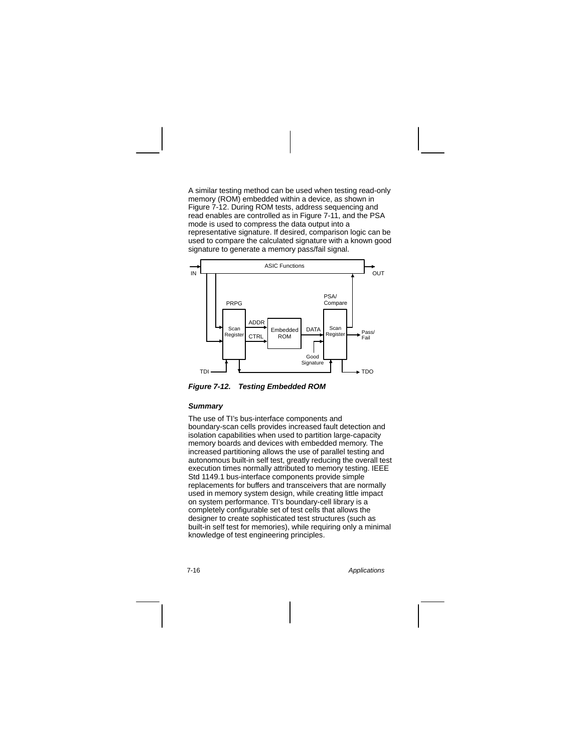A similar testing method can be used when testing read-only memory (ROM) embedded within a device, as shown in Figure 7-12. During ROM tests, address sequencing and read enables are controlled as in Figure 7-11, and the PSA mode is used to compress the data output into a representative signature. If desired, comparison logic can be used to compare the calculated signature with a known good signature to generate a memory pass/fail signal.



**Figure 7-12. Testing Embedded ROM**

#### **Summary**

The use of TI's bus-interface components and boundary-scan cells provides increased fault detection and isolation capabilities when used to partition large-capacity memory boards and devices with embedded memory. The increased partitioning allows the use of parallel testing and autonomous built-in self test, greatly reducing the overall test execution times normally attributed to memory testing. IEEE Std 1149.1 bus-interface components provide simple replacements for buffers and transceivers that are normally used in memory system design, while creating little impact on system performance. TI's boundary-cell library is a completely configurable set of test cells that allows the designer to create sophisticated test structures (such as built-in self test for memories), while requiring only a minimal knowledge of test engineering principles.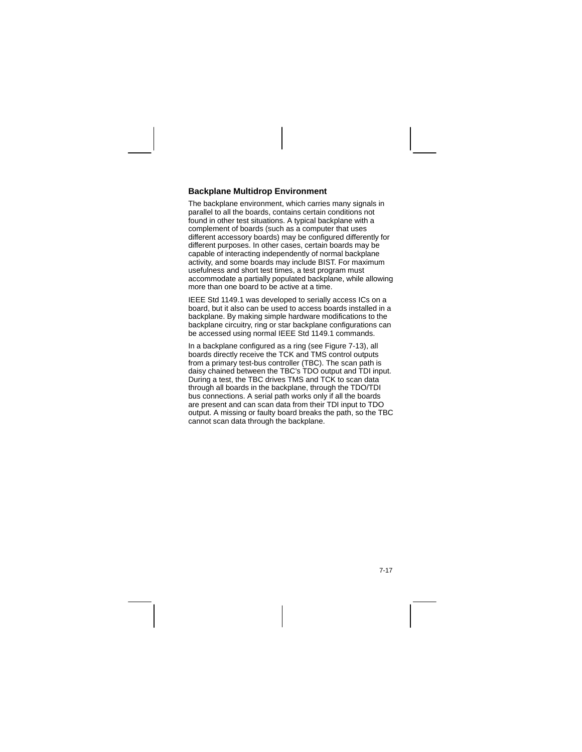## **Backplane Multidrop Environment**

The backplane environment, which carries many signals in parallel to all the boards, contains certain conditions not found in other test situations. A typical backplane with a complement of boards (such as a computer that uses different accessory boards) may be configured differently for different purposes. In other cases, certain boards may be capable of interacting independently of normal backplane activity, and some boards may include BIST. For maximum usefulness and short test times, a test program must accommodate a partially populated backplane, while allowing more than one board to be active at a time.

IEEE Std 1149.1 was developed to serially access ICs on a board, but it also can be used to access boards installed in a backplane. By making simple hardware modifications to the backplane circuitry, ring or star backplane configurations can be accessed using normal IEEE Std 1149.1 commands.

In a backplane configured as a ring (see Figure 7-13), all boards directly receive the TCK and TMS control outputs from a primary test-bus controller (TBC). The scan path is daisy chained between the TBC's TDO output and TDI input. During a test, the TBC drives TMS and TCK to scan data through all boards in the backplane, through the TDO/TDI bus connections. A serial path works only if all the boards are present and can scan data from their TDI input to TDO output. A missing or faulty board breaks the path, so the TBC cannot scan data through the backplane.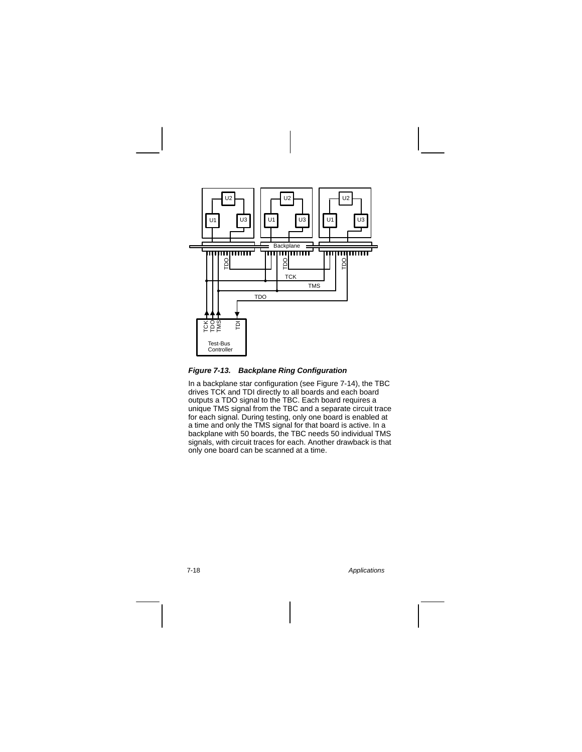

## **Figure 7-13. Backplane Ring Configuration**

In a backplane star configuration (see Figure 7-14), the TBC drives TCK and TDI directly to all boards and each board outputs a TDO signal to the TBC. Each board requires a unique TMS signal from the TBC and a separate circuit trace for each signal. During testing, only one board is enabled at a time and only the TMS signal for that board is active. In a backplane with 50 boards, the TBC needs 50 individual TMS signals, with circuit traces for each. Another drawback is that only one board can be scanned at a time.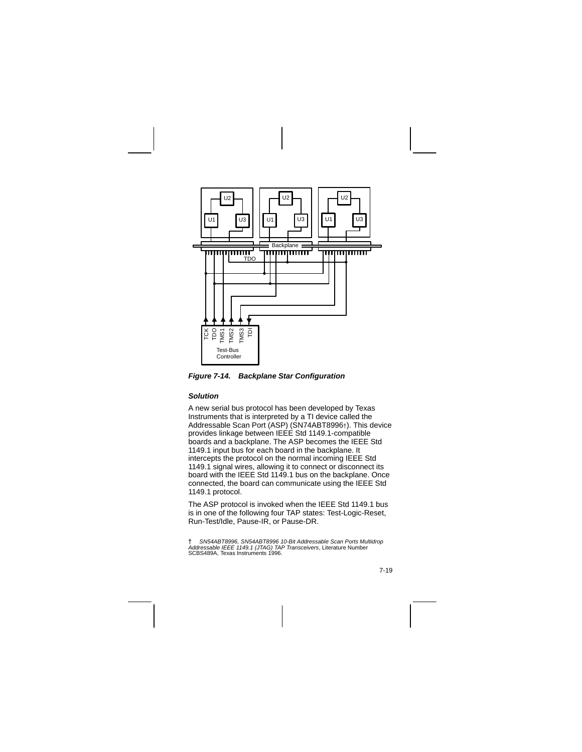

**Figure 7-14. Backplane Star Configuration**

## **Solution**

A new serial bus protocol has been developed by Texas Instruments that is interpreted by a TI device called the Addressable Scan Port (ASP) (SN74ABT8996<sup>+</sup>). This device provides linkage between IEEE Std 1149.1-compatible boards and a backplane. The ASP becomes the IEEE Std 1149.1 input bus for each board in the backplane. It intercepts the protocol on the normal incoming IEEE Std 1149.1 signal wires, allowing it to connect or disconnect its board with the IEEE Std 1149.1 bus on the backplane. Once connected, the board can communicate using the IEEE Std 1149.1 protocol.

The ASP protocol is invoked when the IEEE Std 1149.1 bus is in one of the following four TAP states: Test-Logic-Reset, Run-Test/Idle, Pause-IR, or Pause-DR.

SN54ABT8996, SN54ABT8996 10-Bit Addressable Scan Ports Multidrop Addressable IEEE 1149.1 (JTAG) TAP Transceivers, Literature Number SCBS489A, Texas Instruments 1996.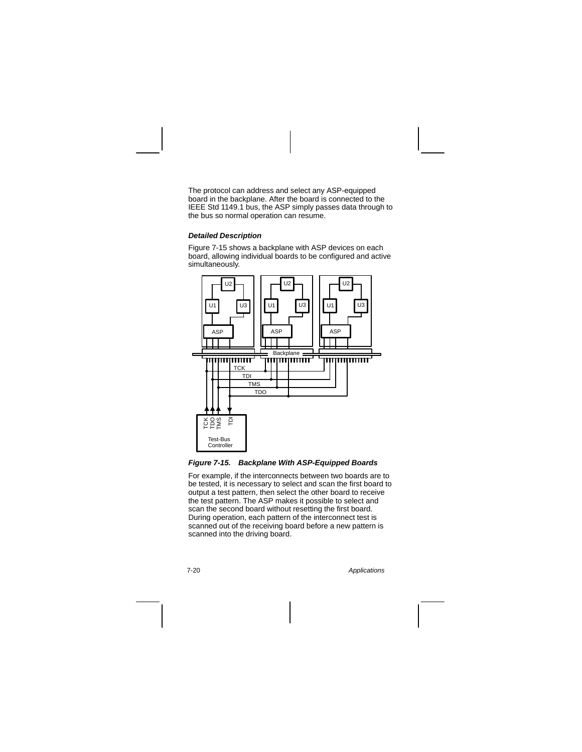The protocol can address and select any ASP-equipped board in the backplane. After the board is connected to the IEEE Std 1149.1 bus, the ASP simply passes data through to the bus so normal operation can resume.

## **Detailed Description**

Figure 7-15 shows a backplane with ASP devices on each board, allowing individual boards to be configured and active simultaneously.



## **Figure 7-15. Backplane With ASP-Equipped Boards**

For example, if the interconnects between two boards are to be tested, it is necessary to select and scan the first board to output a test pattern, then select the other board to receive the test pattern. The ASP makes it possible to select and scan the second board without resetting the first board. During operation, each pattern of the interconnect test is scanned out of the receiving board before a new pattern is scanned into the driving board.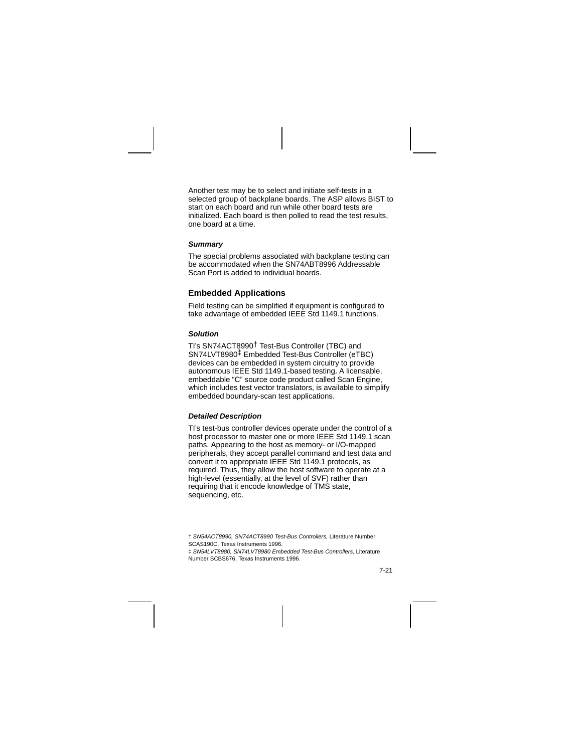Another test may be to select and initiate self-tests in a selected group of backplane boards. The ASP allows BIST to start on each board and run while other board tests are initialized. Each board is then polled to read the test results, one board at a time.

#### **Summary**

The special problems associated with backplane testing can be accommodated when the SN74ABT8996 Addressable Scan Port is added to individual boards.

## **Embedded Applications**

Field testing can be simplified if equipment is configured to take advantage of embedded IEEE Std 1149.1 functions.

#### **Solution**

TI's SN74ACT8990† Test-Bus Controller (TBC) and SN74LVT8980‡ Embedded Test-Bus Controller (eTBC) devices can be embedded in system circuitry to provide autonomous IEEE Std 1149.1-based testing. A licensable, embeddable "C" source code product called Scan Engine, which includes test vector translators, is available to simplify embedded boundary-scan test applications.

#### **Detailed Description**

TI's test-bus controller devices operate under the control of a host processor to master one or more IEEE Std 1149.1 scan paths. Appearing to the host as memory- or I/O-mapped peripherals, they accept parallel command and test data and convert it to appropriate IEEE Std 1149.1 protocols, as required. Thus, they allow the host software to operate at a high-level (essentially, at the level of SVF) rather than requiring that it encode knowledge of TMS state, sequencing, etc.

† SN54ACT8990, SN74ACT8990 Test-Bus Controllers, Literature Number SCAS190C, Texas Instruments 1996.

‡ SN54LVT8980, SN74LVT8980 Embedded Test-Bus Controllers, Literature Number SCBS676, Texas Instruments 1996.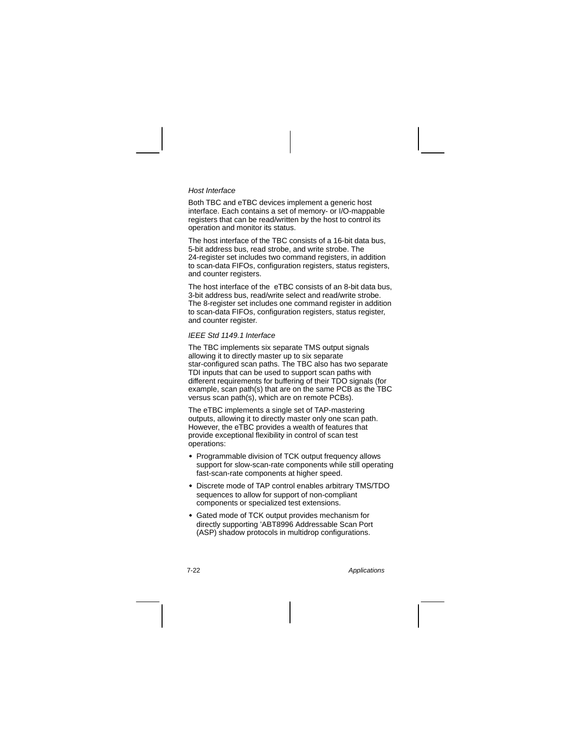#### Host Interface

Both TBC and eTBC devices implement a generic host interface. Each contains a set of memory- or I/O-mappable registers that can be read/written by the host to control its operation and monitor its status.

The host interface of the TBC consists of a 16-bit data bus, 5-bit address bus, read strobe, and write strobe. The 24-register set includes two command registers, in addition to scan-data FIFOs, configuration registers, status registers, and counter registers.

The host interface of the eTBC consists of an 8-bit data bus, 3-bit address bus, read/write select and read/write strobe. The 8-register set includes one command register in addition to scan-data FIFOs, configuration registers, status register, and counter register.

#### IEEE Std 1149.1 Interface

The TBC implements six separate TMS output signals allowing it to directly master up to six separate star-configured scan paths. The TBC also has two separate TDI inputs that can be used to support scan paths with different requirements for buffering of their TDO signals (for example, scan path(s) that are on the same PCB as the TBC versus scan path(s), which are on remote PCBs).

The eTBC implements a single set of TAP-mastering outputs, allowing it to directly master only one scan path. However, the eTBC provides a wealth of features that provide exceptional flexibility in control of scan test operations:

- Programmable division of TCK output frequency allows support for slow-scan-rate components while still operating fast-scan-rate components at higher speed.
- Discrete mode of TAP control enables arbitrary TMS/TDO sequences to allow for support of non-compliant components or specialized test extensions.
- Gated mode of TCK output provides mechanism for directly supporting 'ABT8996 Addressable Scan Port (ASP) shadow protocols in multidrop configurations.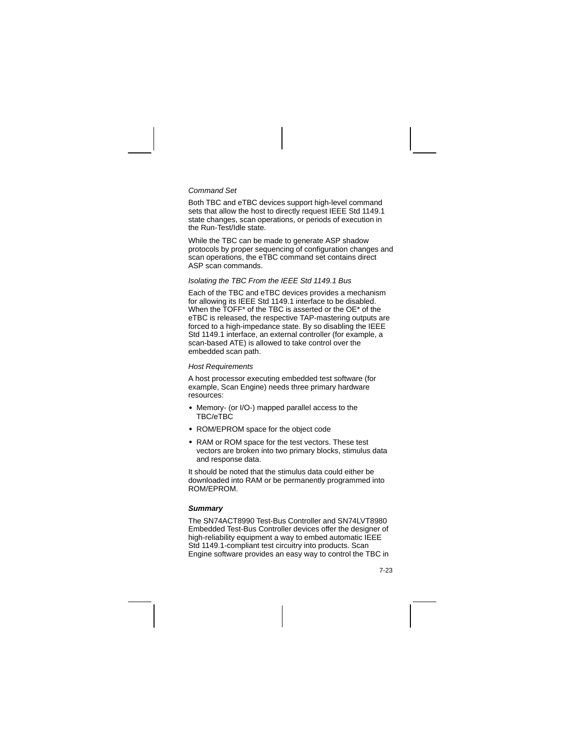#### Command Set

Both TBC and eTBC devices support high-level command sets that allow the host to directly request IEEE Std 1149.1 state changes, scan operations, or periods of execution in the Run-Test/Idle state.

While the TBC can be made to generate ASP shadow protocols by proper sequencing of configuration changes and scan operations, the eTBC command set contains direct ASP scan commands.

## Isolating the TBC From the IEEE Std 1149.1 Bus

Each of the TBC and eTBC devices provides a mechanism for allowing its IEEE Std 1149.1 interface to be disabled. When the TOFF\* of the TBC is asserted or the OE\* of the eTBC is released, the respective TAP-mastering outputs are forced to a high-impedance state. By so disabling the IEEE Std 1149.1 interface, an external controller (for example, a scan-based ATE) is allowed to take control over the embedded scan path.

#### Host Requirements

A host processor executing embedded test software (for example, Scan Engine) needs three primary hardware resources:

- Memory- (or I/O-) mapped parallel access to the TBC/eTBC
- ROM/EPROM space for the object code
- RAM or ROM space for the test vectors. These test vectors are broken into two primary blocks, stimulus data and response data.

It should be noted that the stimulus data could either be downloaded into RAM or be permanently programmed into ROM/EPROM.

#### **Summary**

The SN74ACT8990 Test-Bus Controller and SN74LVT8980 Embedded Test-Bus Controller devices offer the designer of high-reliability equipment a way to embed automatic IEEE Std 1149.1-compliant test circuitry into products. Scan Engine software provides an easy way to control the TBC in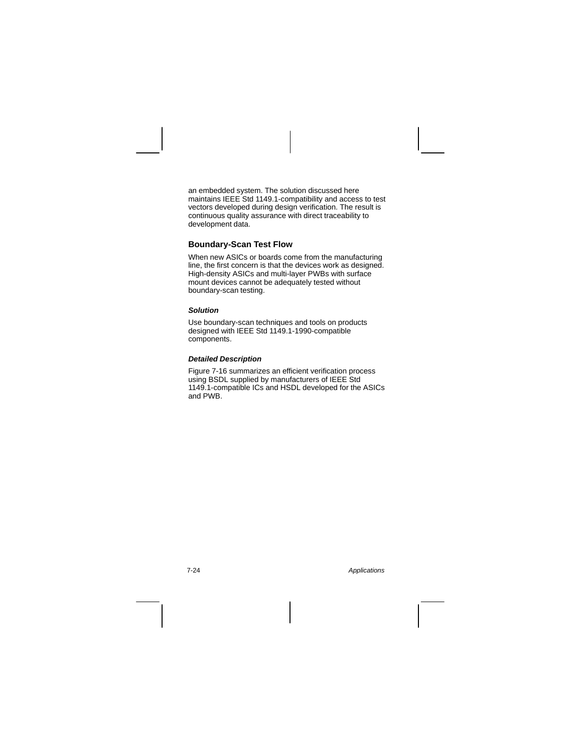an embedded system. The solution discussed here maintains IEEE Std 1149.1-compatibility and access to test vectors developed during design verification. The result is continuous quality assurance with direct traceability to development data.

## **Boundary-Scan Test Flow**

When new ASICs or boards come from the manufacturing line, the first concern is that the devices work as designed. High-density ASICs and multi-layer PWBs with surface mount devices cannot be adequately tested without boundary-scan testing.

#### **Solution**

Use boundary-scan techniques and tools on products designed with IEEE Std 1149.1-1990-compatible components.

#### **Detailed Description**

Figure 7-16 summarizes an efficient verification process using BSDL supplied by manufacturers of IEEE Std 1149.1-compatible ICs and HSDL developed for the ASICs and PWB.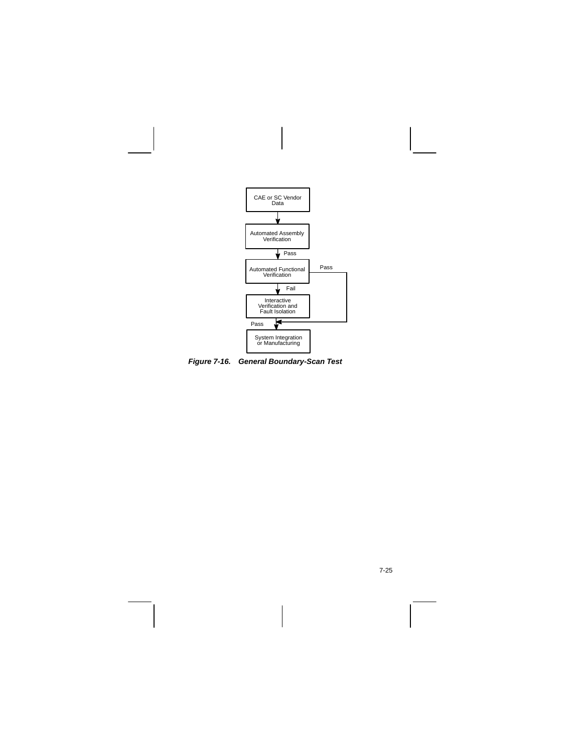

**Figure 7-16. General Boundary-Scan Test**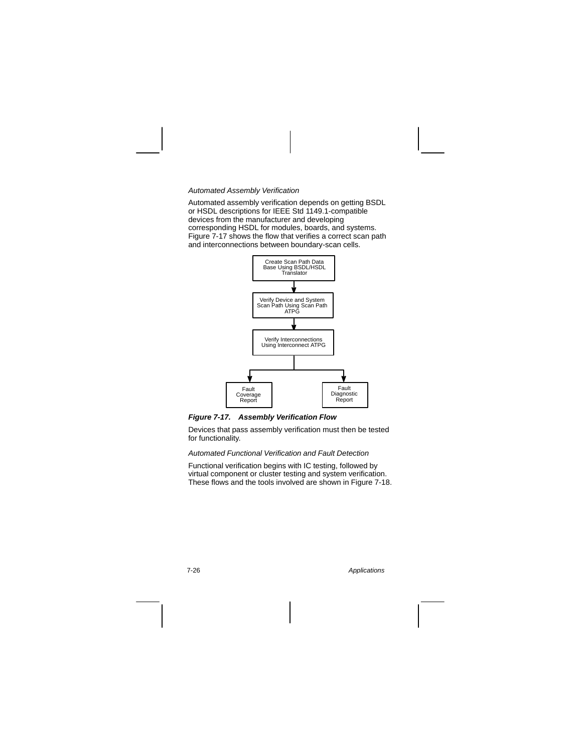#### Automated Assembly Verification

Automated assembly verification depends on getting BSDL or HSDL descriptions for IEEE Std 1149.1-compatible devices from the manufacturer and developing corresponding HSDL for modules, boards, and systems. Figure 7-17 shows the flow that verifies a correct scan path and interconnections between boundary-scan cells.



**Figure 7-17. Assembly Verification Flow**

Devices that pass assembly verification must then be tested for functionality.

#### Automated Functional Verification and Fault Detection

Functional verification begins with IC testing, followed by virtual component or cluster testing and system verification. These flows and the tools involved are shown in Figure 7-18.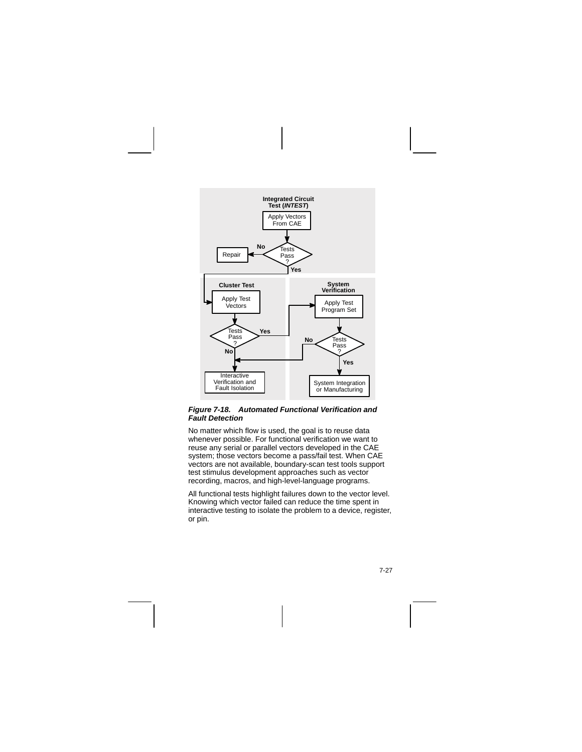

#### **Figure 7-18. Automated Functional Verification and Fault Detection**

No matter which flow is used, the goal is to reuse data whenever possible. For functional verification we want to reuse any serial or parallel vectors developed in the CAE system; those vectors become a pass/fail test. When CAE vectors are not available, boundary-scan test tools support test stimulus development approaches such as vector recording, macros, and high-level-language programs.

All functional tests highlight failures down to the vector level. Knowing which vector failed can reduce the time spent in interactive testing to isolate the problem to a device, register, or pin.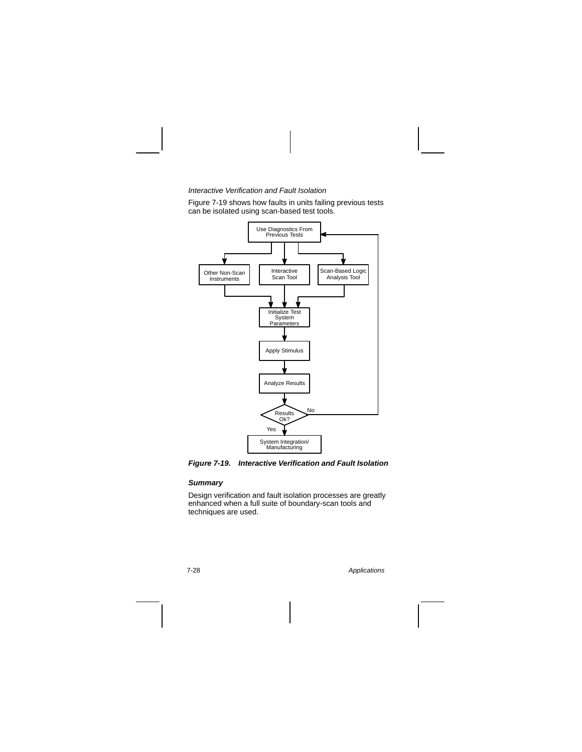Interactive Verification and Fault Isolation

Figure 7-19 shows how faults in units failing previous tests can be isolated using scan-based test tools.



**Figure 7-19. Interactive Verification and Fault Isolation**

#### **Summary**

Design verification and fault isolation processes are greatly enhanced when a full suite of boundary-scan tools and techniques are used.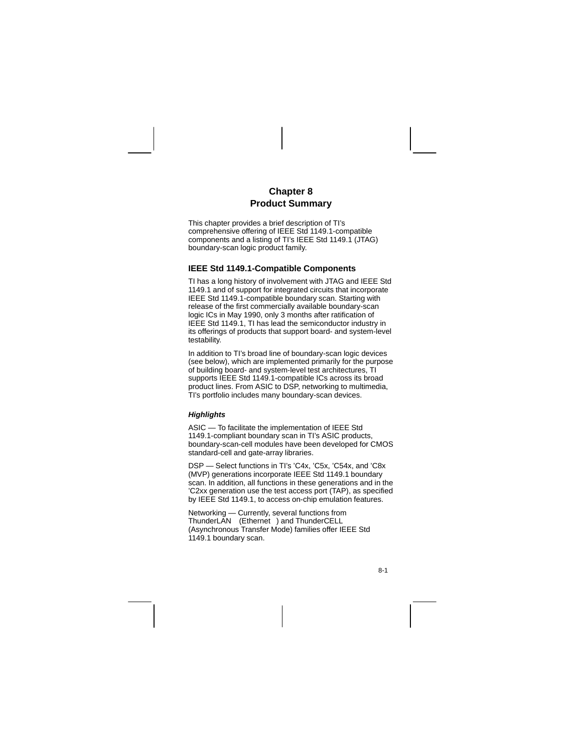# **Chapter 8 Product Summary**

This chapter provides a brief description of TI's comprehensive offering of IEEE Std 1149.1-compatible components and a listing of TI's IEEE Std 1149.1 (JTAG) boundary-scan logic product family.

## **IEEE Std 1149.1-Compatible Components**

TI has a long history of involvement with JTAG and IEEE Std 1149.1 and of support for integrated circuits that incorporate IEEE Std 1149.1-compatible boundary scan. Starting with release of the first commercially available boundary-scan logic ICs in May 1990, only 3 months after ratification of IEEE Std 1149.1, TI has lead the semiconductor industry in its offerings of products that support board- and system-level testability.

In addition to TI's broad line of boundary-scan logic devices (see below), which are implemented primarily for the purpose of building board- and system-level test architectures, TI supports IEEE Std 1149.1-compatible ICs across its broad product lines. From ASIC to DSP, networking to multimedia, TI's portfolio includes many boundary-scan devices.

## **Highlights**

ASIC — To facilitate the implementation of IEEE Std 1149.1-compliant boundary scan in TI's ASIC products, boundary-scan-cell modules have been developed for CMOS standard-cell and gate-array libraries.

DSP — Select functions in TI's 'C4x, 'C5x, 'C54x, and 'C8x (MVP) generations incorporate IEEE Std 1149.1 boundary scan. In addition, all functions in these generations and in the 'C2xx generation use the test access port (TAP), as specified by IEEE Std 1149.1, to access on-chip emulation features.

Networking — Currently, several functions from ThunderLAN™ (Ethernet™) and ThunderCELL™ (Asynchronous Transfer Mode) families offer IEEE Std 1149.1 boundary scan.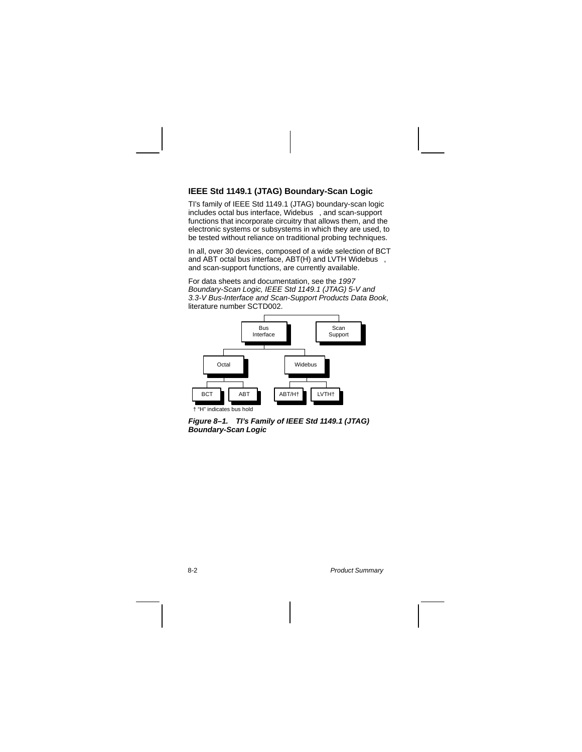## **IEEE Std 1149.1 (JTAG) Boundary-Scan Logic**

TI's family of IEEE Std 1149.1 (JTAG) boundary-scan logic includes octal bus interface, Widebus™, and scan-support functions that incorporate circuitry that allows them, and the electronic systems or subsystems in which they are used, to be tested without reliance on traditional probing techniques.

In all, over 30 devices, composed of a wide selection of BCT and ABT octal bus interface, ABT(H) and LVTH Widebus™, and scan-support functions, are currently available.

For data sheets and documentation, see the 1997 Boundary-Scan Logic, IEEE Std 1149.1 (JTAG) 5-V and 3.3-V Bus-Interface and Scan-Support Products Data Book, literature number SCTD002.



**Figure 8–1. TI's Family of IEEE Std 1149.1 (JTAG) Boundary-Scan Logic**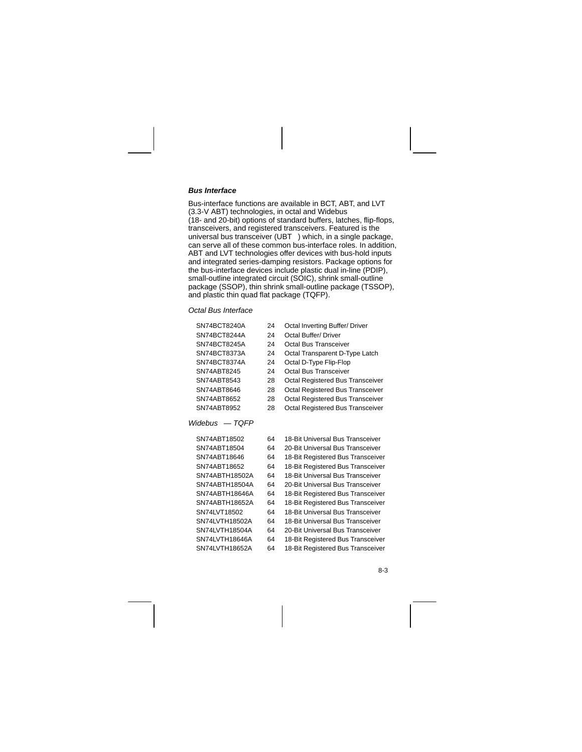## **Bus Interface**

Bus-interface functions are available in BCT, ABT, and LVT (3.3-V ABT) technologies, in octal and Widebus™ (18- and 20-bit) options of standard buffers, latches, flip-flops, transceivers, and registered transceivers. Featured is the universal bus transceiver (UBT™) which, in a single package, can serve all of these common bus-interface roles. In addition, ABT and LVT technologies offer devices with bus-hold inputs and integrated series-damping resistors. Package options for the bus-interface devices include plastic dual in-line (PDIP), small-outline integrated circuit (SOIC), shrink small-outline package (SSOP), thin shrink small-outline package (TSSOP), and plastic thin quad flat package (TQFP).

#### Octal Bus Interface

| SN74BCT8240A                | 24 | Octal Inverting Buffer/ Driver    |
|-----------------------------|----|-----------------------------------|
| SN74BCT8244A                | 24 | Octal Buffer/Driver               |
| SN74BCT8245A                | 24 | Octal Bus Transceiver             |
| SN74BCT8373A                | 24 | Octal Transparent D-Type Latch    |
| SN74BCT8374A                | 24 | Octal D-Type Flip-Flop            |
| SN74ABT8245                 | 24 | Octal Bus Transceiver             |
| SN74ABT8543                 | 28 | Octal Registered Bus Transceiver  |
| SN74ABT8646                 | 28 | Octal Registered Bus Transceiver  |
| SN74ABT8652                 | 28 | Octal Registered Bus Transceiver  |
| SN74ABT8952                 | 28 | Octal Registered Bus Transceiver  |
| Widebus <sup>™</sup> — TQFP |    |                                   |
| SN74ABT18502                | 64 | 18-Bit Universal Bus Transceiver  |
| SN74ABT18504                | 64 | 20-Bit Universal Bus Transceiver  |
| SN74ABT18646                | 64 | 18-Bit Registered Bus Transceiver |
| SN74ABT18652                | 64 | 18-Bit Registered Bus Transceiver |
| SN74ABTH18502A              | 64 | 18-Bit Universal Bus Transceiver  |
| SN74ABTH18504A              | 64 | 20-Bit Universal Bus Transceiver  |
| SN74ABTH18646A              | 64 | 18-Bit Registered Bus Transceiver |
| SN74ABTH18652A              | 64 | 18-Bit Registered Bus Transceiver |
| SN74LVT18502                | 64 | 18-Bit Universal Bus Transceiver  |
| SN74LVTH18502A              | 64 | 18-Bit Universal Bus Transceiver  |
| SN74LVTH18504A              | 64 | 20-Bit Universal Bus Transceiver  |
| SN74LVTH18646A              | 64 | 18-Bit Registered Bus Transceiver |
| SN74LVTH18652A              | 64 | 18-Bit Registered Bus Transceiver |
|                             |    |                                   |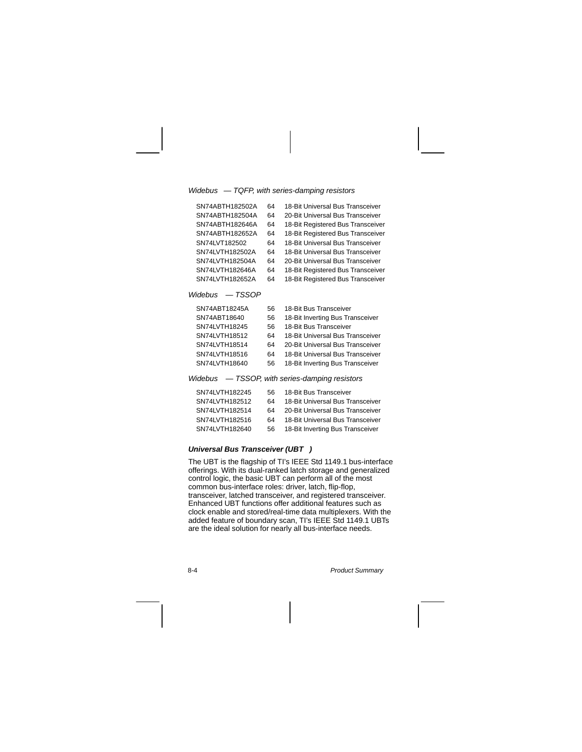#### Widebus<sup>™</sup>— TQFP, with series-damping resistors

| SN74ABTH182502A                                             | 64 | 18-Bit Universal Bus Transceiver  |  |
|-------------------------------------------------------------|----|-----------------------------------|--|
| SN74ABTH182504A                                             | 64 | 20-Bit Universal Bus Transceiver  |  |
| SN74ABTH182646A                                             | 64 | 18-Bit Registered Bus Transceiver |  |
| SN74ABTH182652A                                             | 64 | 18-Bit Registered Bus Transceiver |  |
| SN74LVT182502                                               | 64 | 18-Bit Universal Bus Transceiver  |  |
| SN74LVTH182502A                                             | 64 | 18-Bit Universal Bus Transceiver  |  |
| SN74LVTH182504A                                             | 64 | 20-Bit Universal Bus Transceiver  |  |
| SN74LVTH182646A                                             | 64 | 18-Bit Registered Bus Transceiver |  |
| SN74LVTH182652A                                             | 64 | 18-Bit Registered Bus Transceiver |  |
| <i>Widebus</i> ™ — $TSSOP$                                  |    |                                   |  |
| SN74ABT18245A                                               | 56 | 18-Bit Bus Transceiver            |  |
| SN74ABT18640                                                | 56 | 18-Bit Inverting Bus Transceiver  |  |
| SN74LVTH18245                                               | 56 | 18-Bit Bus Transceiver            |  |
| SN74LVTH18512                                               | 64 | 18-Bit Universal Bus Transceiver  |  |
| SN74LVTH18514                                               | 64 | 20-Bit Universal Bus Transceiver  |  |
| SN74LVTH18516                                               | 64 | 18-Bit Universal Bus Transceiver  |  |
| SN74LVTH18640                                               | 56 | 18-Bit Inverting Bus Transceiver  |  |
| Widebus <sup>™</sup> — TSSOP, with series-damping resistors |    |                                   |  |
|                                                             |    |                                   |  |

| SN74LVTH182245 | 56 | 18-Bit Bus Transceiver           |
|----------------|----|----------------------------------|
| SN74LVTH182512 | 64 | 18-Bit Universal Bus Transceiver |
| SN74LVTH182514 | 64 | 20-Bit Universal Bus Transceiver |
| SN74LVTH182516 | 64 | 18-Bit Universal Bus Transceiver |
| SN74LVTH182640 | 56 | 18-Bit Inverting Bus Transceiver |
|                |    |                                  |

#### **Universal Bus Transceiver (UBT)**

The UBT is the flagship of TI's IEEE Std 1149.1 bus-interface offerings. With its dual-ranked latch storage and generalized control logic, the basic UBT can perform all of the most common bus-interface roles: driver, latch, flip-flop, transceiver, latched transceiver, and registered transceiver. Enhanced UBT functions offer additional features such as clock enable and stored/real-time data multiplexers. With the added feature of boundary scan, TI's IEEE Std 1149.1 UBTs are the ideal solution for nearly all bus-interface needs.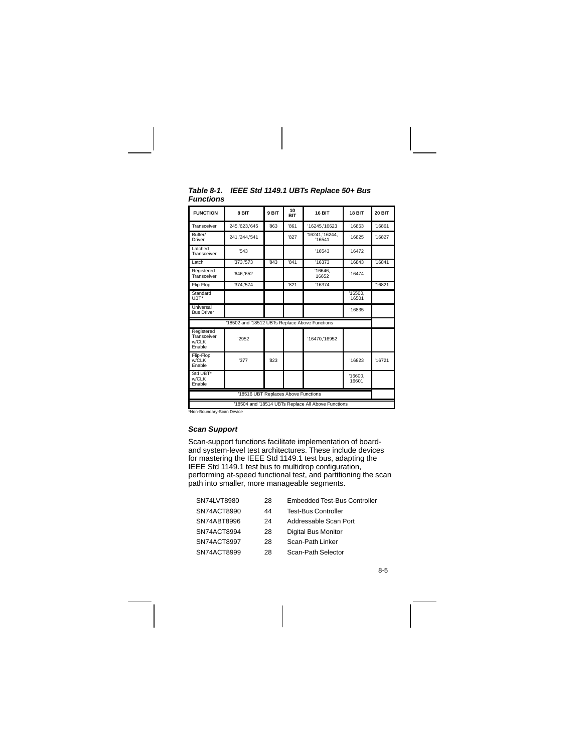#### **Table 8-1. IEEE Std 1149.1 UBTs Replace 50+ Bus Functions**

| <b>FUNCTION</b>                                    | 8 BIT            | 9 BIT | 10<br><b>BIT</b> | <b>16 BIT</b>            | 18 BIT            | <b>20 BIT</b> |
|----------------------------------------------------|------------------|-------|------------------|--------------------------|-------------------|---------------|
| Transceiver                                        | '245, '623, '645 | '863  | '861             | '16245,'16623            | '16863            | '16861        |
| Buffer/<br>Driver                                  | '241,'244,'541   |       | '827             | '16241,'16244,<br>'16541 | '16825            | '16827        |
| Latched<br>Transceiver                             | 1543             |       |                  | '16543                   | '16472            |               |
| Latch                                              | 373, 573         | '843  | '841             | '16373                   | '16843            | 76841         |
| Registered<br>Transceiver                          | '646,'652        |       |                  | '16646.<br>16652         | '16474            |               |
| Flip-Flop                                          | '374.'574        |       | '821             | '16374                   |                   | '16821        |
| Standard<br>UBT*                                   |                  |       |                  |                          | '16500.<br>'16501 |               |
| Universal<br><b>Bus Driver</b>                     |                  |       |                  |                          | '16835            |               |
| '18502 and '18512 UBTs Replace Above Functions     |                  |       |                  |                          |                   |               |
| Registered<br>Transceiver<br>w/CLK<br>Enable       | '2952            |       |                  | '16470.'16952            |                   |               |
| Flip-Flop<br>w/CLK<br>Enable                       | '377             | '823  |                  |                          | '16823            | '16721        |
| Std UBT*<br>w/CLK<br>Enable                        |                  |       |                  |                          | '16600.<br>16601  |               |
| '18516 UBT Replaces Above Functions                |                  |       |                  |                          |                   |               |
| '18504 and '18514 UBTs Replace All Above Functions |                  |       |                  |                          |                   |               |

\*Non-Boundary-Scan Device

#### **Scan Support**

Scan-support functions facilitate implementation of boardand system-level test architectures. These include devices for mastering the IEEE Std 1149.1 test bus, adapting the IEEE Std 1149.1 test bus to multidrop configuration, performing at-speed functional test, and partitioning the scan path into smaller, more manageable segments.

| SN74LVT8980 | 28 | Embedded Test-Bus Controller |
|-------------|----|------------------------------|
| SN74ACT8990 | 44 | Test-Bus Controller          |
| SN74ABT8996 | 24 | Addressable Scan Port        |
| SN74ACT8994 | 28 | Digital Bus Monitor          |
| SN74ACT8997 | 28 | Scan-Path Linker             |
| SN74ACT8999 | 28 | Scan-Path Selector           |
|             |    |                              |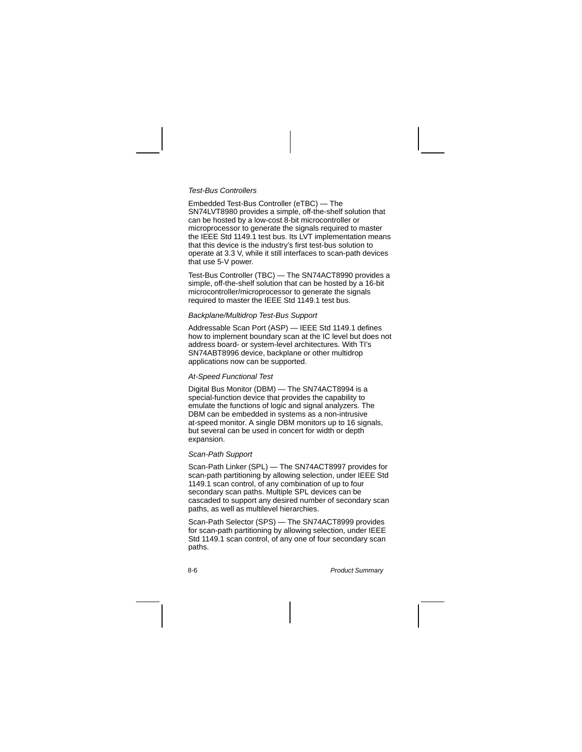#### Test-Bus Controllers

Embedded Test-Bus Controller (eTBC) — The SN74LVT8980 provides a simple, off-the-shelf solution that can be hosted by a low-cost 8-bit microcontroller or microprocessor to generate the signals required to master the IEEE Std 1149.1 test bus. Its LVT implementation means that this device is the industry's first test-bus solution to operate at 3.3 V, while it still interfaces to scan-path devices that use 5-V power.

Test-Bus Controller (TBC) — The SN74ACT8990 provides a simple, off-the-shelf solution that can be hosted by a 16-bit microcontroller/microprocessor to generate the signals required to master the IEEE Std 1149.1 test bus.

#### Backplane/Multidrop Test-Bus Support

Addressable Scan Port (ASP) — IEEE Std 1149.1 defines how to implement boundary scan at the IC level but does not address board- or system-level architectures. With TI's SN74ABT8996 device, backplane or other multidrop applications now can be supported.

### At-Speed Functional Test

Digital Bus Monitor (DBM) — The SN74ACT8994 is a special-function device that provides the capability to emulate the functions of logic and signal analyzers. The DBM can be embedded in systems as a non-intrusive at-speed monitor. A single DBM monitors up to 16 signals, but several can be used in concert for width or depth expansion.

#### Scan-Path Support

Scan-Path Linker (SPL) — The SN74ACT8997 provides for scan-path partitioning by allowing selection, under IEEE Std 1149.1 scan control, of any combination of up to four secondary scan paths. Multiple SPL devices can be cascaded to support any desired number of secondary scan paths, as well as multilevel hierarchies.

Scan-Path Selector (SPS) — The SN74ACT8999 provides for scan-path partitioning by allowing selection, under IEEE Std 1149.1 scan control, of any one of four secondary scan paths.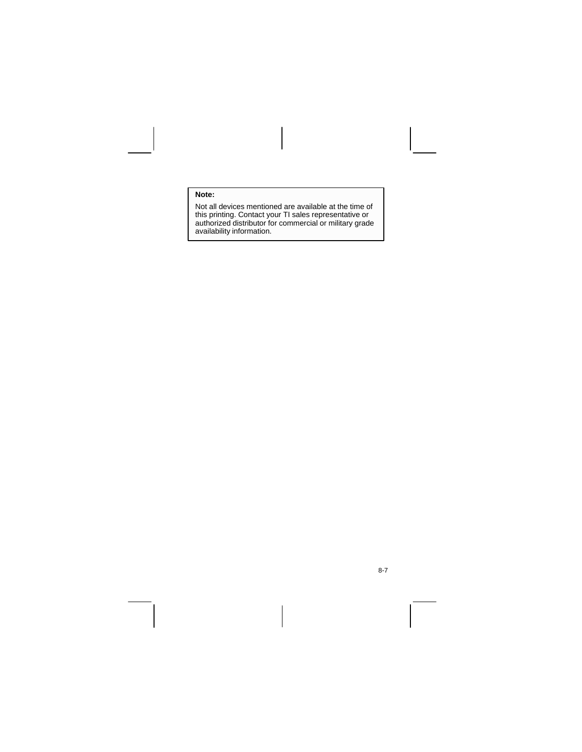## **Note:**

Not all devices mentioned are available at the time of this printing. Contact your TI sales representative or authorized distributor for commercial or military grade availability information.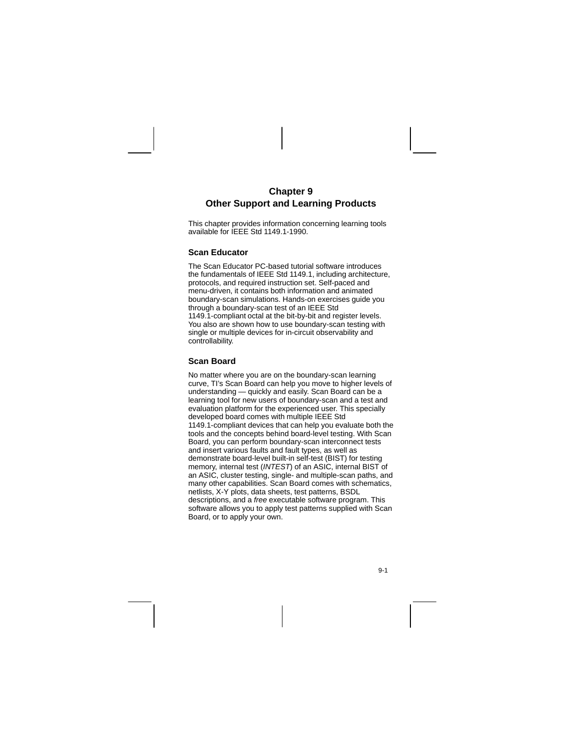# **Chapter 9 Other Support and Learning Products**

This chapter provides information concerning learning tools available for IEEE Std 1149.1-1990.

## **Scan Educator**

The Scan Educator PC-based tutorial software introduces the fundamentals of IEEE Std 1149.1, including architecture, protocols, and required instruction set. Self-paced and menu-driven, it contains both information and animated boundary-scan simulations. Hands-on exercises guide you through a boundary-scan test of an IEEE Std 1149.1-compliant octal at the bit-by-bit and register levels. You also are shown how to use boundary-scan testing with single or multiple devices for in-circuit observability and controllability.

## **Scan Board**

No matter where you are on the boundary-scan learning curve, TI's Scan Board can help you move to higher levels of understanding — quickly and easily. Scan Board can be a learning tool for new users of boundary-scan and a test and evaluation platform for the experienced user. This specially developed board comes with multiple IEEE Std 1149.1-compliant devices that can help you evaluate both the tools and the concepts behind board-level testing. With Scan Board, you can perform boundary-scan interconnect tests and insert various faults and fault types, as well as demonstrate board-level built-in self-test (BIST) for testing memory, internal test (INTEST) of an ASIC, internal BIST of an ASIC, cluster testing, single- and multiple-scan paths, and many other capabilities. Scan Board comes with schematics, netlists, X-Y plots, data sheets, test patterns, BSDL descriptions, and a free executable software program. This software allows you to apply test patterns supplied with Scan Board, or to apply your own.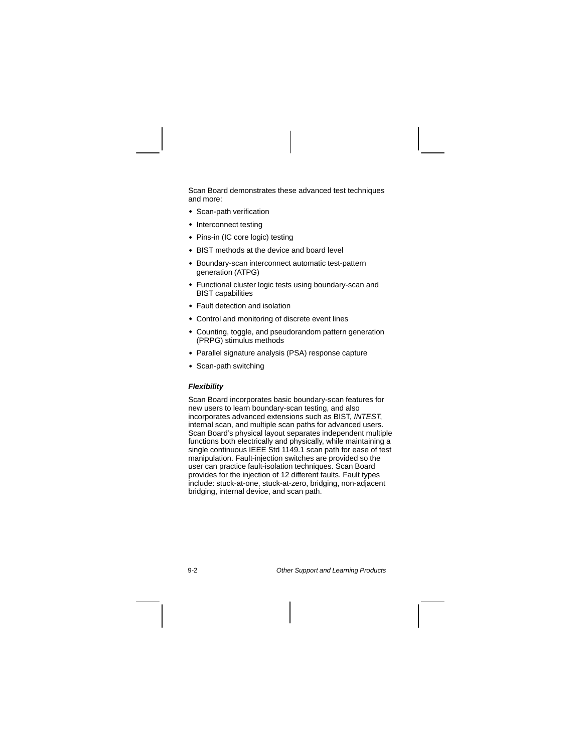Scan Board demonstrates these advanced test techniques and more:

- Scan-path verification
- Interconnect testing
- Pins-in (IC core logic) testing
- BIST methods at the device and board level
- Boundary-scan interconnect automatic test-pattern generation (ATPG)
- Functional cluster logic tests using boundary-scan and BIST capabilities
- Fault detection and isolation
- Control and monitoring of discrete event lines
- Counting, toggle, and pseudorandom pattern generation (PRPG) stimulus methods
- Parallel signature analysis (PSA) response capture
- Scan-path switching

## **Flexibility**

Scan Board incorporates basic boundary-scan features for new users to learn boundary-scan testing, and also incorporates advanced extensions such as BIST, INTEST, internal scan, and multiple scan paths for advanced users. Scan Board's physical layout separates independent multiple functions both electrically and physically, while maintaining a single continuous IEEE Std 1149.1 scan path for ease of test manipulation. Fault-injection switches are provided so the user can practice fault-isolation techniques. Scan Board provides for the injection of 12 different faults. Fault types include: stuck-at-one, stuck-at-zero, bridging, non-adjacent bridging, internal device, and scan path.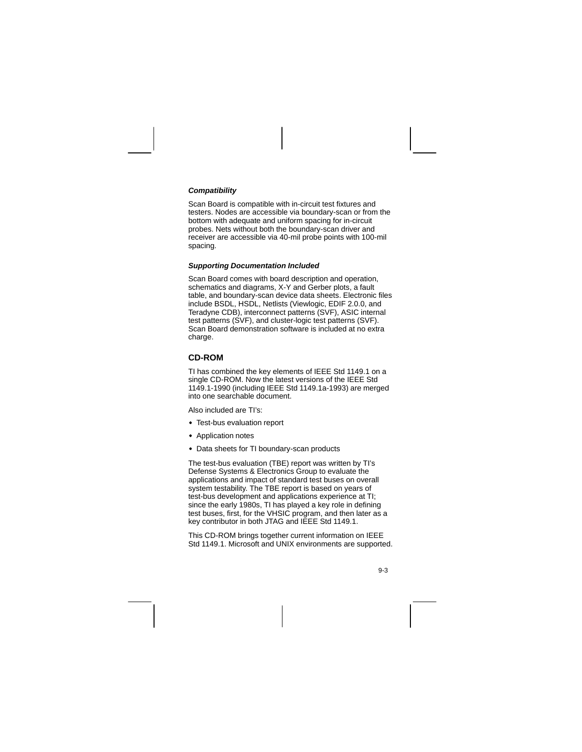#### <span id="page-108-0"></span>**Compatibility**

Scan Board is compatible with in-circuit test fixtures and testers. Nodes are accessible via boundary-scan or from the bottom with adequate and uniform spacing for in-circuit probes. Nets without both the boundary-scan driver and receiver are accessible via 40-mil probe points with 100-mil spacing.

#### **Supporting Documentation Included**

Scan Board comes with board description and operation, schematics and diagrams, X-Y and Gerber plots, a fault table, and boundary-scan device data sheets. Electronic files include BSDL, HSDL, Netlists (Viewlogic, EDIF 2.0.0, and Teradyne CDB), interconnect patterns (SVF), ASIC internal test patterns (SVF), and cluster-logic test patterns (SVF). Scan Board demonstration software is included at no extra charge.

### **CD-ROM**

TI has combined the key elements of IEEE Std 1149.1 on a single CD-ROM. Now the latest versions of the IEEE Std 1149.1-1990 (including IEEE Std 1149.1a-1993) are merged into one searchable document.

Also included are TI's:

- Test-bus evaluation report
- Application notes
- Data sheets for TI boundary-scan products

The test-bus evaluation (TBE) report was written by TI's Defense Systems & Electronics Group to evaluate the applications and impact of standard test buses on overall system testability. The TBE report is based on years of test-bus development and applications experience at TI; since the early 1980s, TI has played a key role in defining test buses, first, for the VHSIC program, and then later as a key contributor in both JTAG and IEEE Std 1149.1.

This CD-ROM brings together current information on IEEE Std 1149.1. Microsoft and UNIX environments are supported.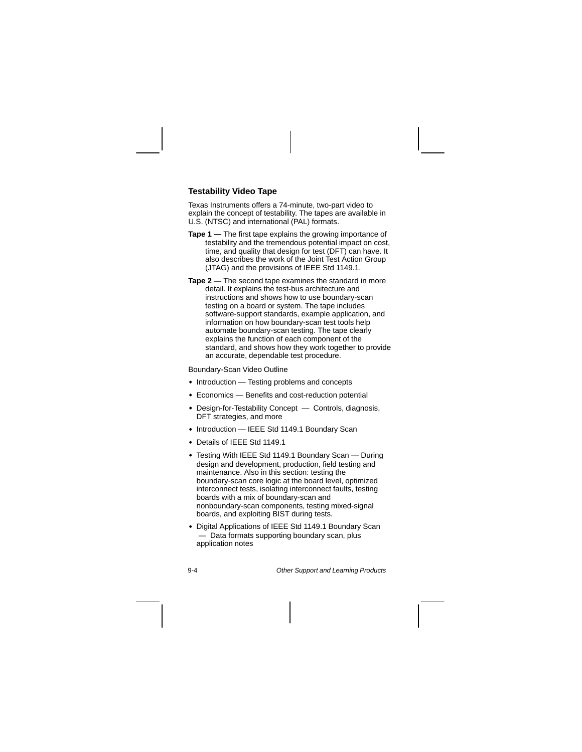### <span id="page-109-0"></span>**Testability Video Tape**

Texas Instruments offers a 74-minute, two-part video to explain the concept of testability. The tapes are available in U.S. (NTSC) and international (PAL) formats.

- **Tape 1** The first tape explains the growing importance of testability and the tremendous potential impact on cost, time, and quality that design for test (DFT) can have. It also describes the work of the Joint Test Action Group (JTAG) and the provisions of IEEE Std 1149.1.
- **Tape 2 —** The second tape examines the standard in more detail. It explains the test-bus architecture and instructions and shows how to use boundary-scan testing on a board or system. The tape includes software-support standards, example application, and information on how boundary-scan test tools help automate boundary-scan testing. The tape clearly explains the function of each component of the standard, and shows how they work together to provide an accurate, dependable test procedure.

Boundary-Scan Video Outline

- Introduction Testing problems and concepts
- Economics Benefits and cost-reduction potential
- Design-for-Testability Concept Controls, diagnosis, DFT strategies, and more
- Introduction IEEE Std 1149.1 Boundary Scan
- Details of IEEE Std 1149.1
- Testing With IEEE Std 1149.1 Boundary Scan During design and development, production, field testing and maintenance. Also in this section: testing the boundary-scan core logic at the board level, optimized interconnect tests, isolating interconnect faults, testing boards with a mix of boundary-scan and nonboundary-scan components, testing mixed-signal boards, and exploiting BIST during tests.
- Digital Applications of IEEE Std 1149.1 Boundary Scan — Data formats supporting boundary scan, plus application notes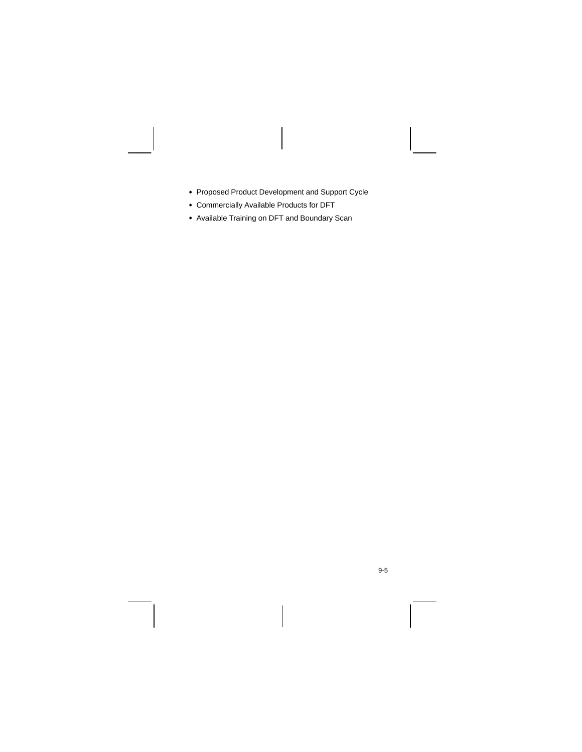- Proposed Product Development and Support Cycle
- Commercially Available Products for DFT
- Available Training on DFT and Boundary Scan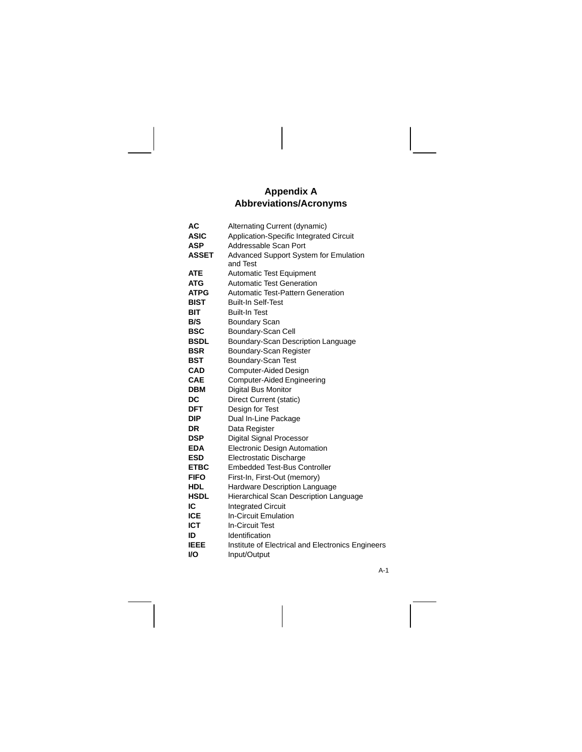## **Appendix A Abbreviations/Acronyms**

| AC           | Alternating Current (dynamic)                     |
|--------------|---------------------------------------------------|
| <b>ASIC</b>  | Application-Specific Integrated Circuit           |
| <b>ASP</b>   | Addressable Scan Port                             |
| <b>ASSET</b> | Advanced Support System for Emulation<br>and Test |
| <b>ATE</b>   | <b>Automatic Test Equipment</b>                   |
| <b>ATG</b>   | <b>Automatic Test Generation</b>                  |
| <b>ATPG</b>  | Automatic Test-Pattern Generation                 |
| <b>BIST</b>  | <b>Built-In Self-Test</b>                         |
| BIT          | <b>Built-In Test</b>                              |
| B/S          | <b>Boundary Scan</b>                              |
| <b>BSC</b>   | Boundary-Scan Cell                                |
| <b>BSDL</b>  | Boundary-Scan Description Language                |
| <b>BSR</b>   | Boundary-Scan Register                            |
| BST          | Boundary-Scan Test                                |
| <b>CAD</b>   | Computer-Aided Design                             |
| <b>CAE</b>   | <b>Computer-Aided Engineering</b>                 |
| <b>DBM</b>   | Digital Bus Monitor                               |
| DC           | Direct Current (static)                           |
| <b>DFT</b>   | Design for Test                                   |
| DIP          | Dual In-Line Package                              |
| DR           | Data Register                                     |
| <b>DSP</b>   | Digital Signal Processor                          |
| <b>EDA</b>   | <b>Electronic Design Automation</b>               |
| <b>ESD</b>   | Electrostatic Discharge                           |
| <b>ETBC</b>  | <b>Embedded Test-Bus Controller</b>               |
| <b>FIFO</b>  | First-In, First-Out (memory)                      |
| HDL          | Hardware Description Language                     |
| <b>HSDL</b>  | Hierarchical Scan Description Language            |
| ΙC           | <b>Integrated Circuit</b>                         |
| ICE          | In-Circuit Emulation                              |
| ICT          | In-Circuit Test                                   |
| ID           | Identification                                    |
| <b>IEEE</b>  | Institute of Electrical and Electronics Engineers |
| <b>I/O</b>   | Input/Output                                      |
|              |                                                   |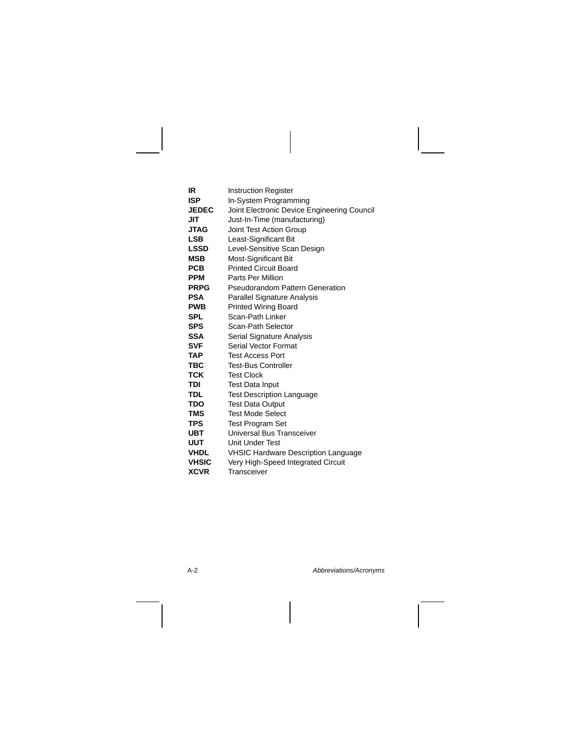| IR           | <b>Instruction Register</b>                 |
|--------------|---------------------------------------------|
| <b>ISP</b>   | In-System Programming                       |
| <b>JEDEC</b> | Joint Electronic Device Engineering Council |
| <b>JIT</b>   | Just-In-Time (manufacturing)                |
| <b>JTAG</b>  | Joint Test Action Group                     |
| <b>LSB</b>   | Least-Significant Bit                       |
| <b>LSSD</b>  | Level-Sensitive Scan Design                 |
| <b>MSB</b>   | <b>Most-Significant Bit</b>                 |
| <b>PCB</b>   | <b>Printed Circuit Board</b>                |
| <b>PPM</b>   | Parts Per Million                           |
| <b>PRPG</b>  | Pseudorandom Pattern Generation             |
| <b>PSA</b>   | <b>Parallel Signature Analysis</b>          |
| <b>PWB</b>   | <b>Printed Wiring Board</b>                 |
| <b>SPL</b>   | Scan-Path Linker                            |
| <b>SPS</b>   | Scan-Path Selector                          |
| <b>SSA</b>   | Serial Signature Analysis                   |
| SVF          | <b>Serial Vector Format</b>                 |
| TAP          | <b>Test Access Port</b>                     |
| <b>TBC</b>   | <b>Test-Bus Controller</b>                  |
| <b>TCK</b>   | <b>Test Clock</b>                           |
| TDI          | <b>Test Data Input</b>                      |
| <b>TDL</b>   | <b>Test Description Language</b>            |
| <b>TDO</b>   | <b>Test Data Output</b>                     |
| <b>TMS</b>   | <b>Test Mode Select</b>                     |
| TPS          | <b>Test Program Set</b>                     |
| <b>UBT</b>   | Universal Bus Transceiver                   |
| <b>UUT</b>   | Unit Under Test                             |
| <b>VHDL</b>  | <b>VHSIC Hardware Description Language</b>  |
| <b>VHSIC</b> | Very High-Speed Integrated Circuit          |
| <b>XCVR</b>  | Transceiver                                 |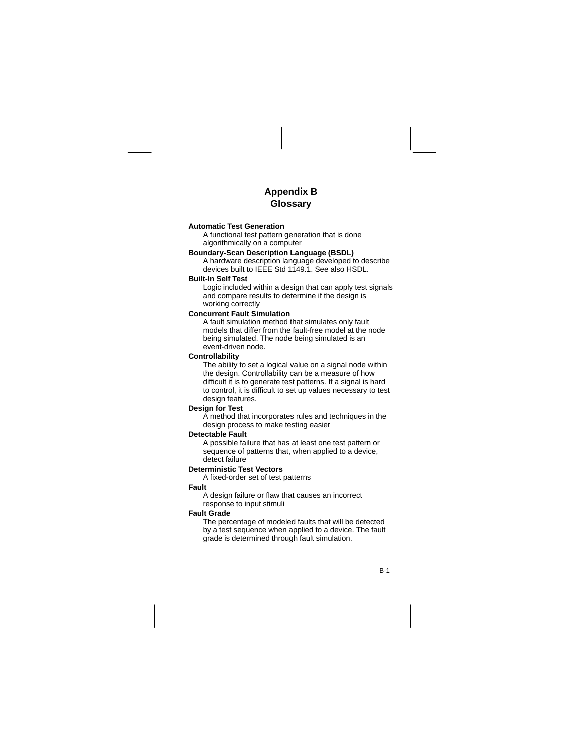## **Appendix B Glossary**

#### <span id="page-113-0"></span>**Automatic Test Generation**

A functional test pattern generation that is done algorithmically on a computer

#### **Boundary-Scan Description Language (BSDL)**

A hardware description language developed to describe devices built to IFFF Std 1149.1. See also HSDL.

#### **Built-In Self Test**

Logic included within a design that can apply test signals and compare results to determine if the design is working correctly

#### **Concurrent Fault Simulation**

A fault simulation method that simulates only fault models that differ from the fault-free model at the node being simulated. The node being simulated is an event-driven node.

#### **Controllability**

The ability to set a logical value on a signal node within the design. Controllability can be a measure of how difficult it is to generate test patterns. If a signal is hard to control, it is difficult to set up values necessary to test design features.

#### **Design for Test**

A method that incorporates rules and techniques in the design process to make testing easier

#### **Detectable Fault**

A possible failure that has at least one test pattern or sequence of patterns that, when applied to a device, detect failure

#### **Deterministic Test Vectors**

A fixed-order set of test patterns

#### **Fault**

A design failure or flaw that causes an incorrect response to input stimuli

#### **Fault Grade**

The percentage of modeled faults that will be detected by a test sequence when applied to a device. The fault grade is determined through fault simulation.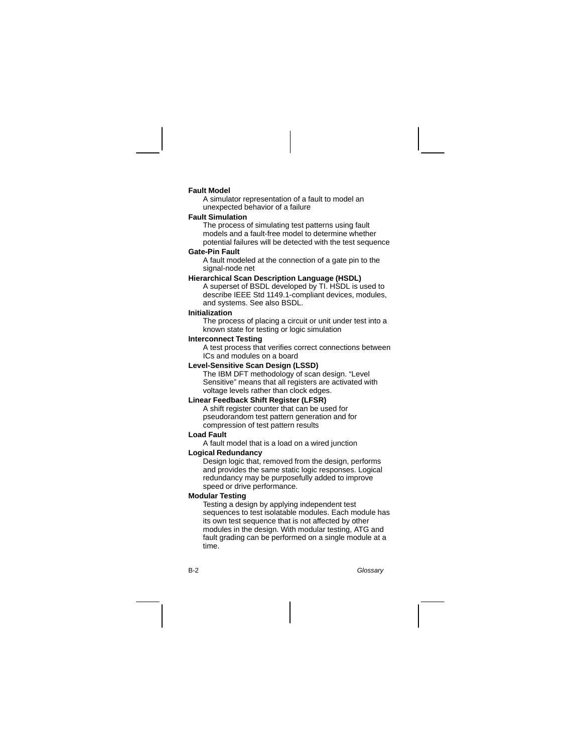#### <span id="page-114-0"></span>**Fault Model**

A simulator representation of a fault to model an unexpected behavior of a failure

#### **Fault Simulation**

The process of simulating test patterns using fault models and a fault-free model to determine whether potential failures will be detected with the test sequence

#### **Gate-Pin Fault**

A fault modeled at the connection of a gate pin to the signal-node net

#### **Hierarchical Scan Description Language (HSDL)**

A superset of BSDL developed by TI. HSDL is used to describe IEEE Std 1149.1-compliant devices, modules, and systems. See also BSDL.

#### **Initialization**

The process of placing a circuit or unit under test into a known state for testing or logic simulation

#### **Interconnect Testing**

A test process that verifies correct connections between ICs and modules on a board

#### **Level-Sensitive Scan Design (LSSD)**

The IBM DFT methodology of scan design. "Level Sensitive" means that all registers are activated with voltage levels rather than clock edges.

#### **Linear Feedback Shift Register (LFSR)**

A shift register counter that can be used for pseudorandom test pattern generation and for compression of test pattern results

#### **Load Fault**

A fault model that is a load on a wired junction

#### **Logical Redundancy**

Design logic that, removed from the design, performs and provides the same static logic responses. Logical redundancy may be purposefully added to improve speed or drive performance.

#### **Modular Testing**

Testing a design by applying independent test sequences to test isolatable modules. Each module has its own test sequence that is not affected by other modules in the design. With modular testing, ATG and fault grading can be performed on a single module at a time.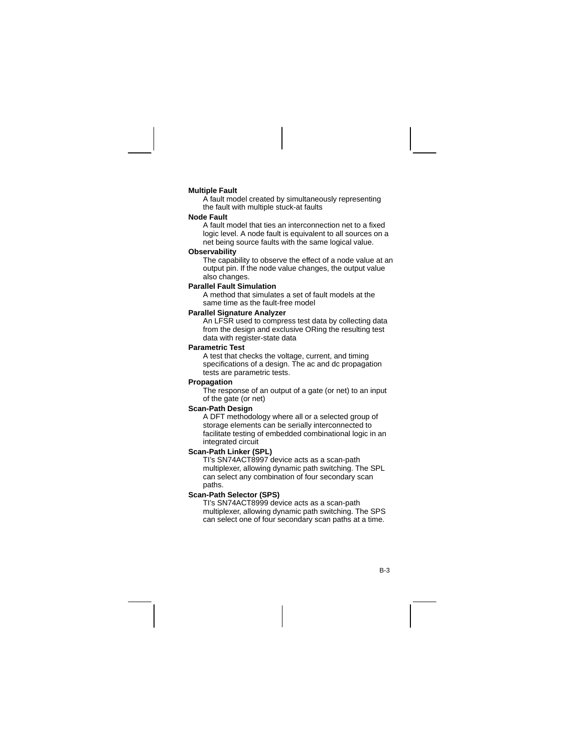#### <span id="page-115-0"></span>**Multiple Fault**

A fault model created by simultaneously representing the fault with multiple stuck-at faults

#### **Node Fault**

A fault model that ties an interconnection net to a fixed logic level. A node fault is equivalent to all sources on a net being source faults with the same logical value.

#### **Observability**

The capability to observe the effect of a node value at an output pin. If the node value changes, the output value also changes.

#### **Parallel Fault Simulation**

A method that simulates a set of fault models at the same time as the fault-free model

#### **Parallel Signature Analyzer**

An LFSR used to compress test data by collecting data from the design and exclusive ORing the resulting test data with register-state data

#### **Parametric Test**

A test that checks the voltage, current, and timing specifications of a design. The ac and dc propagation tests are parametric tests.

#### **Propagation**

The response of an output of a gate (or net) to an input of the gate (or net)

#### **Scan-Path Design**

A DFT methodology where all or a selected group of storage elements can be serially interconnected to facilitate testing of embedded combinational logic in an integrated circuit

#### **Scan-Path Linker (SPL)**

TI's SN74ACT8997 device acts as a scan-path multiplexer, allowing dynamic path switching. The SPL can select any combination of four secondary scan paths.

#### **Scan-Path Selector (SPS)**

TI's SN74ACT8999 device acts as a scan-path multiplexer, allowing dynamic path switching. The SPS can select one of four secondary scan paths at a time.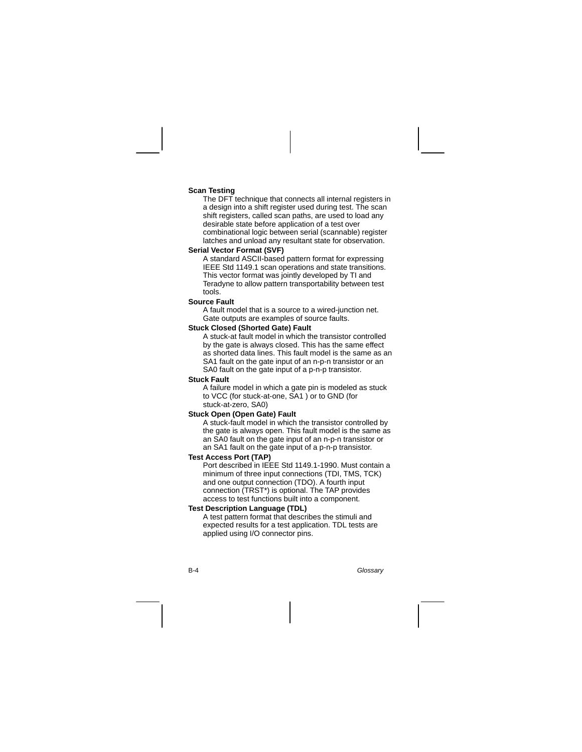#### <span id="page-116-0"></span>**Scan Testing**

The DFT technique that connects all internal registers in a design into a shift register used during test. The scan shift registers, called scan paths, are used to load any desirable state before application of a test over combinational logic between serial (scannable) register latches and unload any resultant state for observation.

#### **Serial Vector Format (SVF)**

A standard ASCII-based pattern format for expressing IEEE Std 1149.1 scan operations and state transitions. This vector format was jointly developed by TI and Teradyne to allow pattern transportability between test tools.

#### **Source Fault**

A fault model that is a source to a wired-junction net. Gate outputs are examples of source faults.

#### **Stuck Closed (Shorted Gate) Fault**

A stuck-at fault model in which the transistor controlled by the gate is always closed. This has the same effect as shorted data lines. This fault model is the same as an SA1 fault on the gate input of an n-p-n transistor or an SA0 fault on the gate input of a p-n-p transistor.

#### **Stuck Fault**

A failure model in which a gate pin is modeled as stuck to VCC (for stuck-at-one, SA1 ) or to GND (for stuck-at-zero, SA0)

#### **Stuck Open (Open Gate) Fault**

A stuck-fault model in which the transistor controlled by the gate is always open. This fault model is the same as an SA0 fault on the gate input of an n-p-n transistor or an SA1 fault on the gate input of a p-n-p transistor.

#### **Test Access Port (TAP)**

Port described in IEEE Std 1149.1-1990. Must contain a minimum of three input connections (TDI, TMS, TCK) and one output connection (TDO). A fourth input connection (TRST\*) is optional. The TAP provides access to test functions built into a component.

#### **Test Description Language (TDL)**

A test pattern format that describes the stimuli and expected results for a test application. TDL tests are applied using I/O connector pins.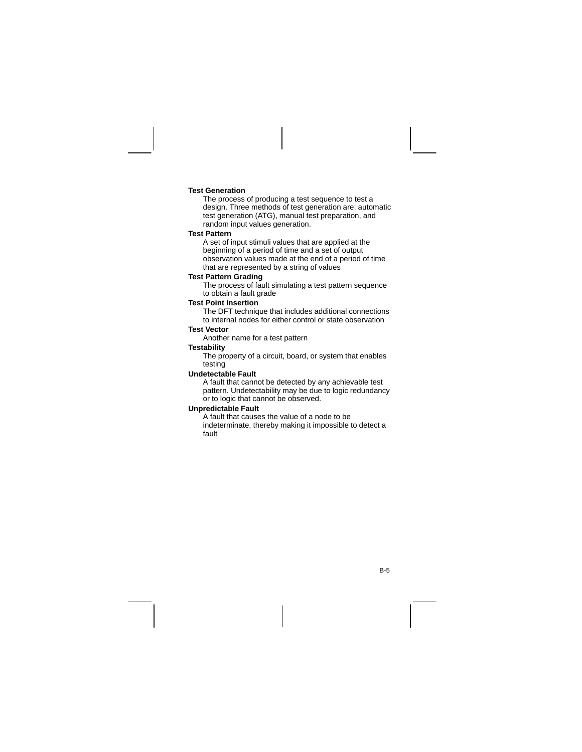#### <span id="page-117-0"></span>**Test Generation**

The process of producing a test sequence to test a design. Three methods of test generation are: automatic test generation (ATG), manual test preparation, and random input values generation.

#### **Test Pattern**

A set of input stimuli values that are applied at the beginning of a period of time and a set of output observation values made at the end of a period of time that are represented by a string of values

#### **Test Pattern Grading**

The process of fault simulating a test pattern sequence to obtain a fault grade

#### **Test Point Insertion**

The DFT technique that includes additional connections to internal nodes for either control or state observation

#### **Test Vector**

Another name for a test pattern

#### **Testability**

The property of a circuit, board, or system that enables testing

#### **Undetectable Fault**

A fault that cannot be detected by any achievable test pattern. Undetectability may be due to logic redundancy or to logic that cannot be observed.

#### **Unpredictable Fault**

A fault that causes the value of a node to be indeterminate, thereby making it impossible to detect a fault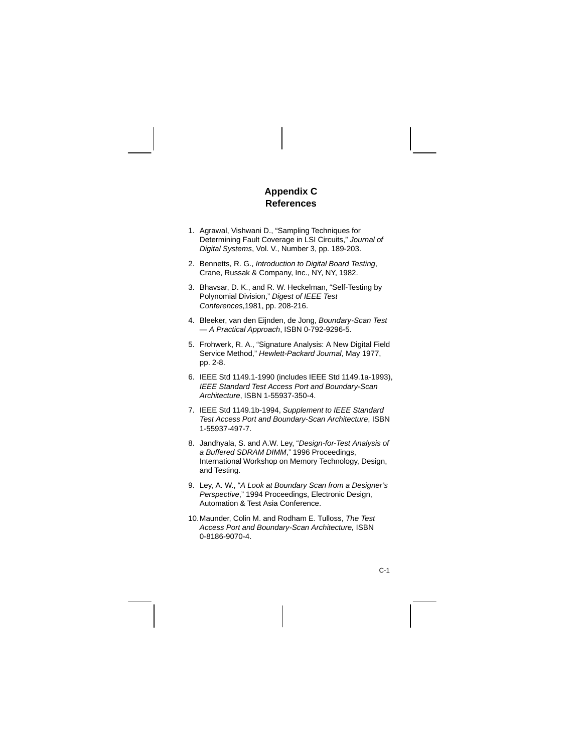## **Appendix C References**

- 1. Agrawal, Vishwani D., "Sampling Techniques for Determining Fault Coverage in LSI Circuits," Journal of Digital Systems, Vol. V., Number 3, pp. 189-203.
- 2. Bennetts, R. G., Introduction to Digital Board Testing, Crane, Russak & Company, Inc., NY, NY, 1982.
- 3. Bhavsar, D. K., and R. W. Heckelman, "Self-Testing by Polynomial Division," Digest of IEEE Test Conferences,1981, pp. 208-216.
- 4. Bleeker, van den Eijnden, de Jong, Boundary-Scan Test — A Practical Approach, ISBN 0-792-9296-5.
- 5. Frohwerk, R. A., "Signature Analysis: A New Digital Field Service Method," Hewlett-Packard Journal, May 1977, pp. 2-8.
- 6. IEEE Std 1149.1-1990 (includes IEEE Std 1149.1a-1993), IEEE Standard Test Access Port and Boundary-Scan Architecture, ISBN 1-55937-350-4.
- 7. IEEE Std 1149.1b-1994, Supplement to IEEE Standard Test Access Port and Boundary-Scan Architecture, ISBN 1-55937-497-7.
- 8. Jandhyala, S. and A.W. Ley, "Design-for-Test Analysis of a Buffered SDRAM DIMM," 1996 Proceedings, International Workshop on Memory Technology, Design, and Testing.
- 9. Ley, A. W., "A Look at Boundary Scan from a Designer's Perspective," 1994 Proceedings, Electronic Design, Automation & Test Asia Conference.
- 10.Maunder, Colin M. and Rodham E. Tulloss, The Test Access Port and Boundary-Scan Architecture, ISBN 0-8186-9070-4.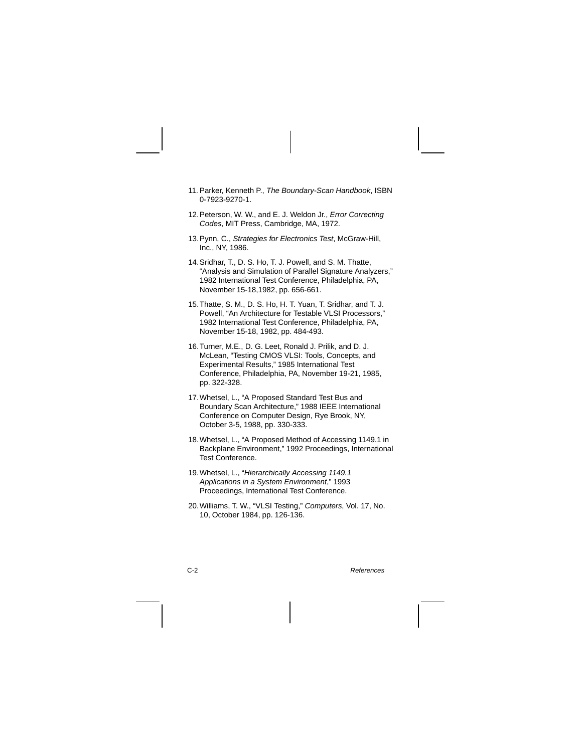- 11. Parker, Kenneth P., The Boundary-Scan Handbook, ISBN 0-7923-9270-1.
- 12.Peterson, W. W., and E. J. Weldon Jr., Error Correcting Codes, MIT Press, Cambridge, MA, 1972.
- 13.Pynn, C., Strategies for Electronics Test, McGraw-Hill, Inc., NY, 1986.
- 14.Sridhar, T., D. S. Ho, T. J. Powell, and S. M. Thatte, "Analysis and Simulation of Parallel Signature Analyzers," 1982 International Test Conference, Philadelphia, PA, November 15-18,1982, pp. 656-661.
- 15.Thatte, S. M., D. S. Ho, H. T. Yuan, T. Sridhar, and T. J. Powell, "An Architecture for Testable VLSI Processors," 1982 International Test Conference, Philadelphia, PA, November 15-18, 1982, pp. 484-493.
- 16.Turner, M.E., D. G. Leet, Ronald J. Prilik, and D. J. McLean, "Testing CMOS VLSI: Tools, Concepts, and Experimental Results," 1985 International Test Conference, Philadelphia, PA, November 19-21, 1985, pp. 322-328.
- 17.Whetsel, L., "A Proposed Standard Test Bus and Boundary Scan Architecture," 1988 IEEE International Conference on Computer Design, Rye Brook, NY, October 3-5, 1988, pp. 330-333.
- 18.Whetsel, L., "A Proposed Method of Accessing 1149.1 in Backplane Environment," 1992 Proceedings, International Test Conference.
- 19.Whetsel, L., "Hierarchically Accessing 1149.1 Applications in a System Environment," 1993 Proceedings, International Test Conference.
- 20.Williams, T. W., "VLSI Testing," Computers, Vol. 17, No. 10, October 1984, pp. 126-136.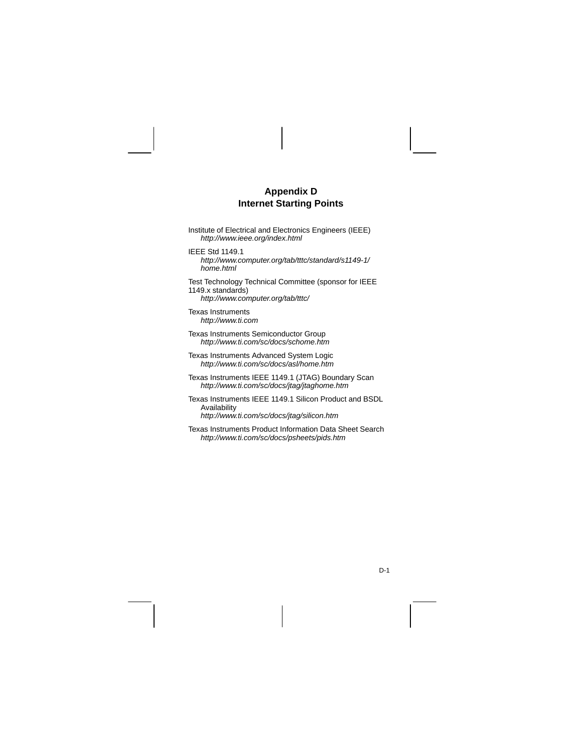## **Appendix D Internet Starting Points**

- Institute of Electrical and Electronics Engineers (IEEE) http://www.ieee.org/index.html
- IEEE Std 1149.1

http://www.computer.org/tab/tttc/standard/s1149-1/ home.html

Test Technology Technical Committee (sponsor for IEEE 1149.x standards) http://www.computer.org/tab/tttc/

Texas Instruments http://www.ti.com

Texas Instruments Semiconductor Group http://www.ti.com/sc/docs/schome.htm

Texas Instruments Advanced System Logic http://www.ti.com/sc/docs/asl/home.htm

Texas Instruments IEEE 1149.1 (JTAG) Boundary Scan http://www.ti.com/sc/docs/jtag/jtaghome.htm

Texas Instruments IEEE 1149.1 Silicon Product and BSDL Availability http://www.ti.com/sc/docs/jtag/silicon.htm

Texas Instruments Product Information Data Sheet Search http://www.ti.com/sc/docs/psheets/pids.htm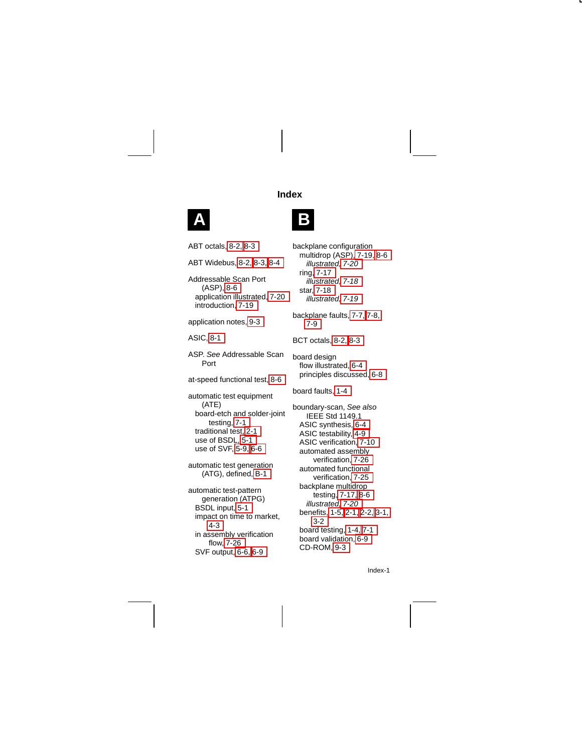## **Index**





ABT octals, [8-2,](#page-100-0) [8-3](#page-101-0) ABT Widebus, [8-2,](#page-100-0) [8-3,](#page-101-0) [8-4](#page-102-0) Addressable Scan Port (ASP), [8-6](#page-104-0) application illustrated[, 7-20](#page-90-0) introduction[, 7-19](#page-89-0) application notes, [9-3](#page-108-0) ASIC, [8-1](#page-99-0)

ASP. See Addressable Scan Port

at-speed functional test[, 8-6](#page-104-0)

automatic test equipment (ATE) board-etch and solder-joint testing, [7-1](#page-71-0) traditional test, [2-1](#page-16-0) use of BSDL, [5-1](#page-45-0) use of SVF, [5-9,](#page-53-0) [6-6](#page-66-0)

automatic test generation (ATG), defined, [B-1](#page-113-0)

automatic test-pattern generation (ATPG) BSDL input, [5-1](#page-45-0) impact on time to market, [4-3](#page-36-0) in assembly verification flow, [7-26](#page-96-0) SVF output, [6-6,](#page-66-0) [6-9](#page-69-0)

backplane configuration multidrop (ASP)[, 7-19,](#page-89-0) [8-6](#page-104-0) illustrated[, 7-20](#page-90-0) ring[, 7-17](#page-87-0) illustrated[, 7-18](#page-88-0) star, [7-18](#page-88-0) illustrated[, 7-19](#page-89-0)

backplane faults, [7-7,](#page-77-0) [7-8,](#page-78-0) [7-9](#page-79-0)

BCT octals, [8-2,](#page-100-0) [8-3](#page-101-0)

board design flow illustrated, [6-4](#page-64-0) principles discussed, [6-8](#page-68-0)

board faults, [1-4](#page-14-0)

boundary-scan, See also IEEE Std 1149.1 ASIC synthesis, [6-4](#page-64-0) ASIC testability, [4-9](#page-42-0) ASIC verification, [7-10](#page-80-0) automated assembly verification[, 7-26](#page-96-0) automated functional verification[, 7-25](#page-95-0) backplane multidrop testing, [7-17,](#page-87-0) [8-6](#page-104-0) illustrated[, 7-20](#page-90-0) benefits, [1-5,](#page-15-0) [2-1,](#page-16-0) [2-2,](#page-17-0) [3-1,](#page-19-0) [3-2](#page-20-0) board testing, [1-4,](#page-14-0) [7-1](#page-71-0) board validation[, 6-9](#page-69-0) CD-ROM, [9-3](#page-108-0)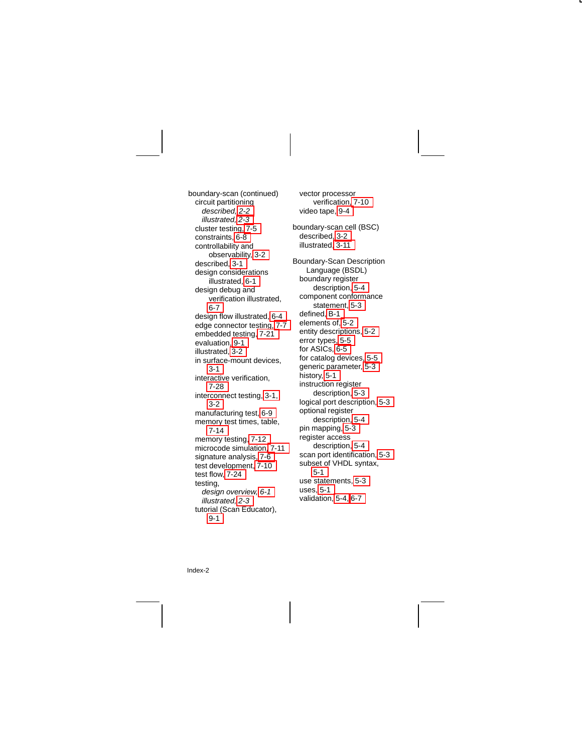boundary-scan (continued) circuit partitioning described, [2-2](#page-17-0) illustrated, [2-3](#page-18-0) cluster testing[, 7-5](#page-75-0) constraints, [6-8](#page-68-0) controllability and observability, [3-2](#page-20-0) described, [3-1](#page-19-0) design considerations illustrated, [6-1](#page-61-0) design debug and verification illustrated, [6-7](#page-67-0) design flow illustrated, [6-4](#page-64-0) edge connector testing, [7-7](#page-77-0) embedded testing[, 7-21](#page-91-0) evaluation, [9-1](#page-106-0) illustrated[, 3-2](#page-20-0) in surface-mount devices, [3-1](#page-19-0) interactive verification, [7-28](#page-98-0) interconnect testing, [3-1,](#page-19-0) [3-2](#page-20-0) manufacturing test, [6-9](#page-69-0) memory test times, table, [7-14](#page-84-0) memory testing[, 7-12](#page-82-0) microcode simulation[, 7-11](#page-81-0) signature analysis, [7-6](#page-76-0) test development[, 7-10](#page-80-0) test flow, [7-24](#page-94-0) testing, design overview, [6-1](#page-61-0) illustrated, [2-3](#page-18-0) tutorial (Scan Educator), [9-1](#page-106-0)

vector processor verification[, 7-10](#page-80-0) video tape, [9-4](#page-109-0) boundary-scan cell (BSC) described, [3-2](#page-20-0) illustrated[, 3-11](#page-29-0) Boundary-Scan Description Language (BSDL) boundary register description, [5-4](#page-48-0) component conformance statement, [5-3](#page-47-0) defined, [B-1](#page-113-0) elements of, [5-2](#page-46-0) entity descriptions, [5-2](#page-46-0) error types, [5-5](#page-49-0) for ASICs, [6-5](#page-65-0) for catalog devices, [5-5](#page-49-0) generic parameter, [5-3](#page-47-0) history, [5-1](#page-45-0) instruction register description, [5-3](#page-47-0) logical port description[, 5-3](#page-47-0) optional register description, [5-4](#page-48-0) pin mapping, [5-3](#page-47-0) register access description, [5-4](#page-48-0) scan port identification[, 5-3](#page-47-0) subset of VHDL syntax, [5-1](#page-45-0) use statements, [5-3](#page-47-0) uses, [5-1](#page-45-0) validation, [5-4,](#page-48-0) [6-7](#page-67-0)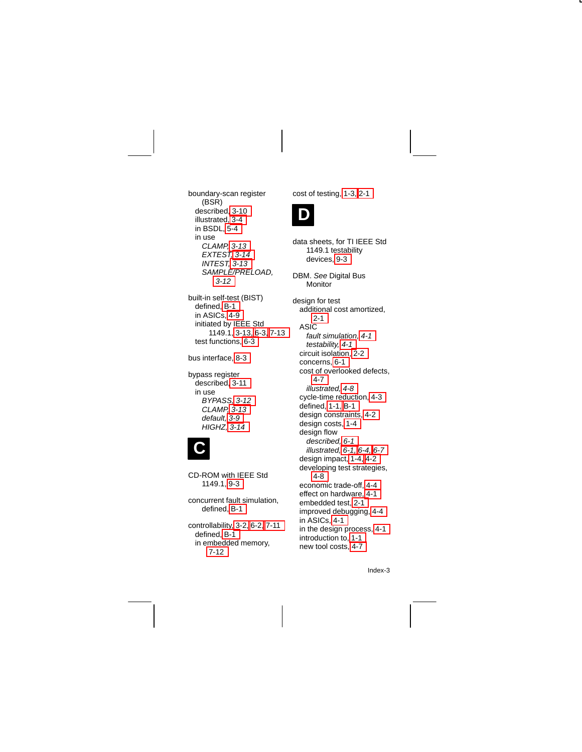boundary-scan register (BSR) described[, 3-10](#page-28-0) illustrated[, 3-4](#page-22-0) in BSDL, [5-4](#page-48-0) in use CLAMP, [3-13](#page-31-0) EXTEST[, 3-14](#page-32-0) INTEST, [3-13](#page-31-0) SAMPLE/PRELOAD, [3-12](#page-30-0)

built-in self-test (BIST) defined[, B-1](#page-113-0) in ASICs, [4-9](#page-42-0) initiated by IEEE Std 1149.1[, 3-13,](#page-31-0) [6-3,](#page-63-0) [7-13](#page-83-0) test functions, [6-3](#page-63-0)

bus interface, [8-3](#page-101-0)

bypass register described[, 3-11](#page-29-0) in use BYPASS[, 3-12](#page-30-0) CLAMP, [3-13](#page-31-0) default[, 3-9](#page-27-0) HIGHZ, [3-14](#page-32-0)

# **C**

CD-ROM with IEEE Std 1149.1, [9-3](#page-108-0) concurrent fault simulation, defined[, B-1](#page-113-0) controllability, [3-2,](#page-20-0) [6-2,](#page-62-0) [7-11](#page-81-0) defined[, B-1](#page-113-0)

in embedded memory, [7-12](#page-82-0)

cost of testing, [1-3,](#page-13-0) [2-1](#page-16-0)



data sheets, for TI IEEE Std 1149.1 testability devices[, 9-3](#page-108-0) DBM. See Digital Bus Monitor design for test additional cost amortized, [2-1](#page-16-0) ASIC fault simulation[, 4-1](#page-34-0) testability, [4-1](#page-34-0) circuit isolation[, 2-2](#page-17-0) concerns, [6-1](#page-61-0) cost of overlooked defects, [4-7](#page-40-0) illustrated[, 4-8](#page-41-0) cycle-time reduction, [4-3](#page-36-0) defined, [1-1,](#page-11-0) [B-1](#page-113-0) design constraints[, 4-2](#page-35-0) design costs, [1-4](#page-14-0) design flow described, [6-1](#page-61-0) illustrated[, 6-1,](#page-61-0) [6-4,](#page-64-0) [6-7](#page-67-0) design impact, [1-4,](#page-14-0) [4-2](#page-35-0) developing test strategies, [4-8](#page-41-0) economic trade-off, [4-4](#page-37-0) effect on hardware, [4-1](#page-34-0) embedded test, [2-1](#page-16-0) improved debugging, [4-4](#page-37-0) in ASICs, [4-1](#page-34-0) in the design process, [4-1](#page-34-0) introduction to, [1-1](#page-11-0) new tool costs, [4-7](#page-40-0)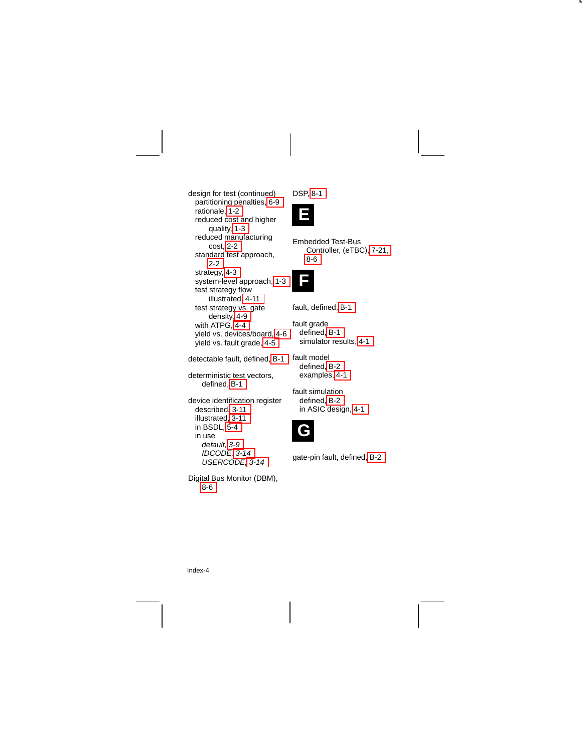design for test (continued) partitioning penalties, [6-9](#page-69-0) rationale, [1-2](#page-12-0) reduced cost and higher quality, [1-3](#page-13-0) reduced manufacturing cost, [2-2](#page-17-0) standard test approach, [2-2](#page-17-0) strategy, [4-3](#page-36-0) system-level approach, [1-3](#page-13-0) test strategy flow illustrated[, 4-11](#page-44-0) test strategy vs. gate density, [4-9](#page-42-0) with ATPG, [4-4](#page-37-0) yield vs. devices/board, [4-6](#page-39-0) yield vs. fault grade, [4-5](#page-38-0)

detectable fault, defined[, B-1](#page-113-0)

deterministic test vectors, defined[, B-1](#page-113-0)

device identification register described[, 3-11](#page-29-0) illustrated[, 3-11](#page-29-0) in BSDL, [5-4](#page-48-0) in use default[, 3-9](#page-27-0) IDCODE[, 3-14](#page-32-0) USERCODE[, 3-14](#page-32-0)

Digital Bus Monitor (DBM), [8-6](#page-104-0)

DSP, [8-1](#page-99-0)



Embedded Test-Bus Controller, (eTBC)[, 7-21,](#page-91-0) [8-6](#page-104-0)



fault, defined[, B-1](#page-113-0)

fault grade defined, [B-1](#page-113-0) simulator results, [4-1](#page-34-0)

fault model defined, [B-2](#page-114-0) examples, [4-1](#page-34-0)

fault simulation defined, [B-2](#page-114-0) in ASIC design, [4-1](#page-34-0)



gate-pin fault, defined[, B-2](#page-114-0)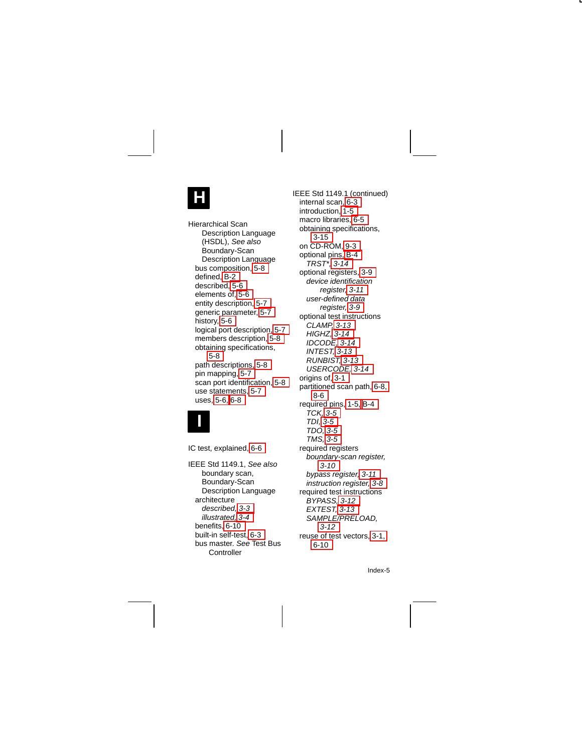# **H**

Hierarchical Scan Description Language (HSDL), See also Boundary-Scan Description Language bus composition, [5-8](#page-52-0) defined[, B-2](#page-114-0) described, [5-6](#page-50-0) elements of[, 5-6](#page-50-0) entity description, [5-7](#page-51-0) generic parameter, [5-7](#page-51-0) history, [5-6](#page-50-0) logical port description, [5-7](#page-51-0) members description, [5-8](#page-52-0) obtaining specifications, [5-8](#page-52-0) path descriptions, [5-8](#page-52-0) pin mapping, [5-7](#page-51-0) scan port identification, [5-8](#page-52-0) use statements, [5-7](#page-51-0) uses, [5-6,](#page-50-0) [6-8](#page-68-0)

## **I**

IC test, explained, [6-6](#page-66-0)

IEEE Std 1149.1, See also boundary scan, Boundary-Scan Description Language architecture described, [3-3](#page-21-0) illustrated, [3-4](#page-22-0) benefits, [6-10](#page-70-0) built-in self-test, [6-3](#page-63-0) bus master. See Test Bus **Controller** 

IEEE Std 1149.1 (continued) internal scan, [6-3](#page-63-0) introduction[, 1-5](#page-15-0) macro libraries[, 6-5](#page-65-0) obtaining specifications, [3-15](#page-33-0) on CD-ROM, [9-3](#page-108-0) optional pins, [B-4](#page-116-0) TRST\*, [3-14](#page-32-0) optional registers, [3-9](#page-27-0) device identification register[, 3-11](#page-29-0) user-defined data register, [3-9](#page-27-0) optional test instructions CLAMP, [3-13](#page-31-0) HIGHZ, [3-14](#page-32-0) IDCODE[, 3-14](#page-32-0) INTEST, [3-13](#page-31-0) RUNBIST[, 3-13](#page-31-0) USERCODE[, 3-14](#page-32-0) origins of, [3-1](#page-19-0) partitioned scan path, [6-8,](#page-68-0) [8-6](#page-104-0) required pins, [1-5,](#page-15-0) [B-4](#page-116-0) TCK, [3-5](#page-23-0) TDI, [3-5](#page-23-0) TDO, [3-5](#page-23-0) TMS, [3-5](#page-23-0) required registers boundary-scan register, [3-10](#page-28-0) bypass register[, 3-11](#page-29-0) instruction register, [3-8](#page-26-0) required test instructions BYPASS[, 3-12](#page-30-0) EXTEST[, 3-13](#page-31-0) SAMPLE/PRELOAD, [3-12](#page-30-0) reuse of test vectors, [3-1,](#page-19-0) [6-10](#page-70-0)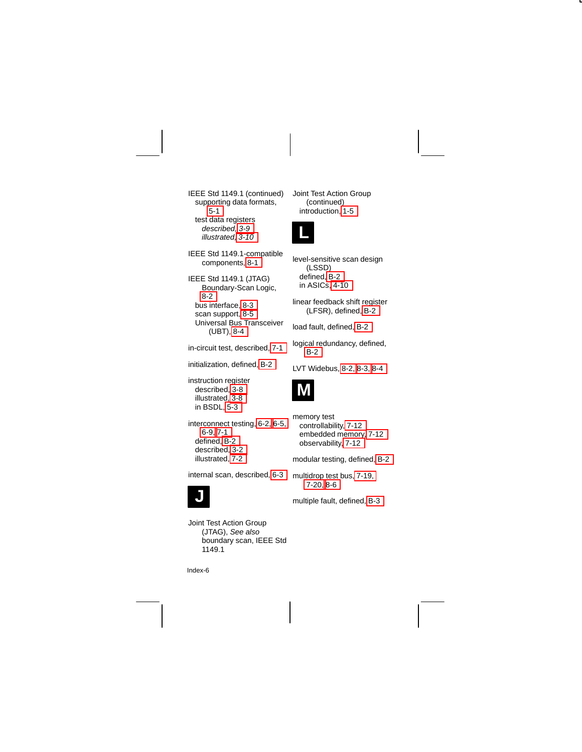IEEE Std 1149.1 (continued) supporting data formats, [5-1](#page-45-0) test data registers described, [3-9](#page-27-0) illustrated[, 3-10](#page-28-0)

IEEE Std 1149.1-compatible components, [8-1](#page-99-0)

IEEE Std 1149.1 (JTAG) Boundary-Scan Logic, [8-2](#page-100-0) bus interface, [8-3](#page-101-0) scan support, [8-5](#page-103-0) Universal Bus Transceiver (UBT), [8-4](#page-102-0)

in-circuit test, described, [7-1](#page-71-0)

initialization, defined, [B-2](#page-114-0)

instruction register described, [3-8](#page-26-0) illustrated[, 3-8](#page-26-0) in BSDL, [5-3](#page-47-0)

interconnect testing, [6-2,](#page-62-0) [6-5,](#page-65-0) [6-9,](#page-69-0) [7-1](#page-71-0) defined[, B-2](#page-114-0) described, [3-2](#page-20-0) illustrated[, 7-2](#page-72-0)

internal scan, described, [6-3](#page-63-0)

## **J**

Joint Test Action Group (JTAG), See also boundary scan, IEEE Std 1149.1

Joint Test Action Group (continued) introduction[, 1-5](#page-15-0)



level-sensitive scan design (LSSD) defined, [B-2](#page-114-0) in ASICs, [4-10](#page-43-0)

linear feedback shift register (LFSR), defined, [B-2](#page-114-0)

load fault, defined, [B-2](#page-114-0)

logical redundancy, defined, [B-2](#page-114-0)

LVT Widebus, [8-2,](#page-100-0) [8-3,](#page-101-0) [8-4](#page-102-0)



memory test controllability[, 7-12](#page-82-0) embedded memory, [7-12](#page-82-0) observability, [7-12](#page-82-0)

modular testing, defined, [B-2](#page-114-0)

multidrop test bus[, 7-19,](#page-89-0) [7-20,](#page-90-0) [8-6](#page-104-0)

multiple fault, defined, [B-3](#page-115-0)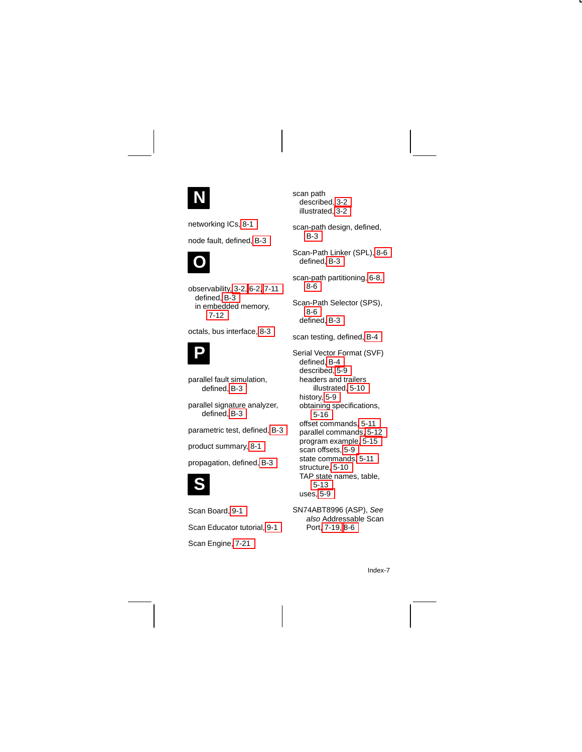# **N**

networking ICs, [8-1](#page-99-0)

node fault, defined[, B-3](#page-115-0)

# **O**

observability, [3-2,](#page-20-0) [6-2,](#page-62-0) [7-11](#page-81-0) defined[, B-3](#page-115-0) in embedded memory, [7-12](#page-82-0)

octals, bus interface, [8-3](#page-101-0)

# **P**

parallel fault simulation, defined[, B-3](#page-115-0)

parallel signature analyzer, defined[, B-3](#page-115-0)

parametric test, defined, [B-3](#page-115-0)

product summary, [8-1](#page-99-0)

propagation, defined, [B-3](#page-115-0)



Scan Board, [9-1](#page-106-0) Scan Educator tutorial[, 9-1](#page-106-0) Scan Engine, [7-21](#page-91-0)

scan path described, [3-2](#page-20-0) illustrated, [3-2](#page-20-0) scan-path design, defined, [B-3](#page-115-0) Scan-Path Linker (SPL), [8-6](#page-104-0) defined, [B-3](#page-115-0) scan-path partitioning, [6-8,](#page-68-0) [8-6](#page-104-0) Scan-Path Selector (SPS), [8-6](#page-104-0) defined, [B-3](#page-115-0) scan testing, defined, [B-4](#page-116-0) Serial Vector Format (SVF) defined, [B-4](#page-116-0) described, [5-9](#page-53-0) headers and trailers illustrated[, 5-10](#page-54-0) history, [5-9](#page-53-0) obtaining specifications, [5-16](#page-60-0) offset commands[, 5-11](#page-55-0) parallel commands[, 5-12](#page-56-0) program example, [5-15](#page-59-0) scan offsets, [5-9](#page-53-0) state commands[, 5-11](#page-55-0) structure, [5-10](#page-54-0) TAP state names, table, [5-13](#page-57-0) uses, [5-9](#page-53-0)

SN74ABT8996 (ASP), See also Addressable Scan Port[, 7-19,](#page-89-0) [8-6](#page-104-0)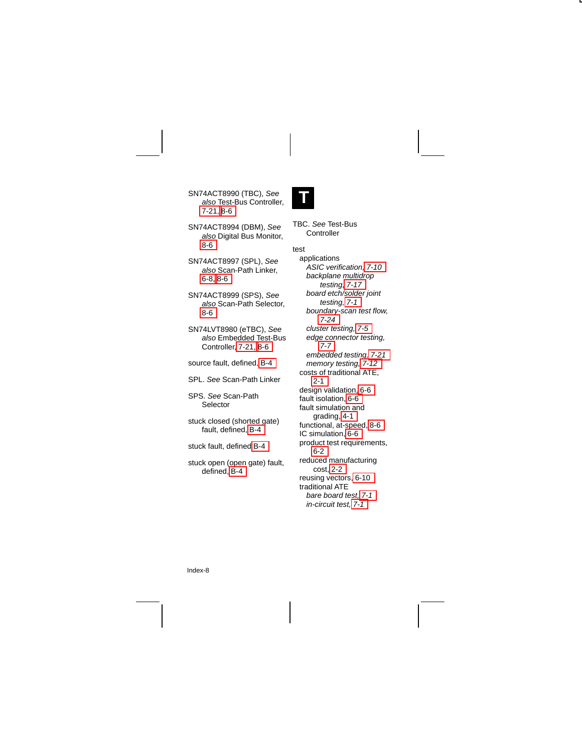SN74ACT8990 (TBC), See also Test-Bus Controller, [7-21,](#page-91-0) [8-6](#page-104-0)



- SN74ACT8997 (SPL), See also Scan-Path Linker, [6-8,](#page-68-0) [8-6](#page-104-0)
- SN74ACT8999 (SPS), See also Scan-Path Selector, [8-6](#page-104-0)
- SN74LVT8980 (eTBC), See also Embedded Test-Bus Controller[, 7-21,](#page-91-0) [8-6](#page-104-0)
- source fault, defined, [B-4](#page-116-0)
- SPL. See Scan-Path Linker

SPS. See Scan-Path Selector

- stuck closed (shorted gate) fault, defined, [B-4](#page-116-0)
- stuck fault, defined [B-4](#page-116-0)
- stuck open (open gate) fault, defined[, B-4](#page-116-0)



TBC. See Test-Bus **Controller** 

test

applications ASIC verification, [7-10](#page-80-0) backplane multidrop testing, [7-17](#page-87-0) board etch/solder joint testing, [7-1](#page-71-0) boundary-scan test flow, [7-24](#page-94-0) cluster testing, [7-5](#page-75-0) edge connector testing, [7-7](#page-77-0) embedded testing[, 7-21](#page-91-0) memory testing[, 7-12](#page-82-0) costs of traditional ATE, [2-1](#page-16-0) design validation, [6-6](#page-66-0) fault isolation, [6-6](#page-66-0) fault simulation and grading, [4-1](#page-34-0) functional, at-speed, [8-6](#page-104-0) IC simulation, [6-6](#page-66-0) product test requirements, [6-2](#page-62-0) reduced manufacturing cost, [2-2](#page-17-0) reusing vectors, [6-10](#page-70-0) traditional ATE bare board test, [7-1](#page-71-0) in-circuit test, [7-1](#page-71-0)